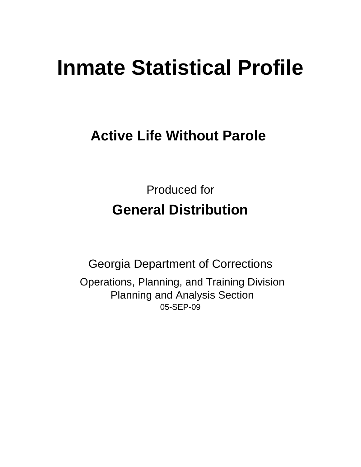# **Inmate Statistical Profile**

## **Active Life Without Parole**

Produced for **General Distribution**

05-SEP-09 Georgia Department of Corrections Operations, Planning, and Training Division Planning and Analysis Section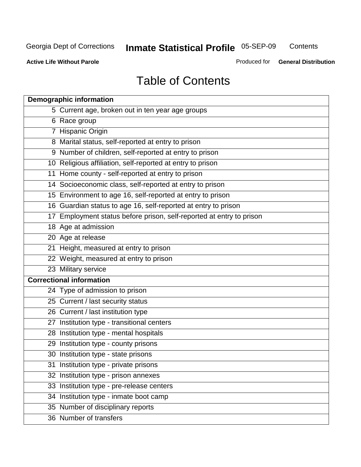**Contents** 

**Active Life Without Parole** 

Produced for **General Distribution**

## Table of Contents

| <b>Demographic information</b>                                       |
|----------------------------------------------------------------------|
| 5 Current age, broken out in ten year age groups                     |
| 6 Race group                                                         |
| 7 Hispanic Origin                                                    |
| 8 Marital status, self-reported at entry to prison                   |
| 9 Number of children, self-reported at entry to prison               |
| 10 Religious affiliation, self-reported at entry to prison           |
| 11 Home county - self-reported at entry to prison                    |
| 14 Socioeconomic class, self-reported at entry to prison             |
| 15 Environment to age 16, self-reported at entry to prison           |
| 16 Guardian status to age 16, self-reported at entry to prison       |
| 17 Employment status before prison, self-reported at entry to prison |
| 18 Age at admission                                                  |
| 20 Age at release                                                    |
| 21 Height, measured at entry to prison                               |
| 22 Weight, measured at entry to prison                               |
| 23 Military service                                                  |
| <b>Correctional information</b>                                      |
| 24 Type of admission to prison                                       |
| 25 Current / last security status                                    |
| 26 Current / last institution type                                   |
| 27 Institution type - transitional centers                           |
| 28 Institution type - mental hospitals                               |
| 29 Institution type - county prisons                                 |
| 30 Institution type - state prisons                                  |
| 31 Institution type - private prisons                                |
| 32 Institution type - prison annexes                                 |
| 33 Institution type - pre-release centers                            |
| 34 Institution type - inmate boot camp                               |
| 35 Number of disciplinary reports                                    |
| 36 Number of transfers                                               |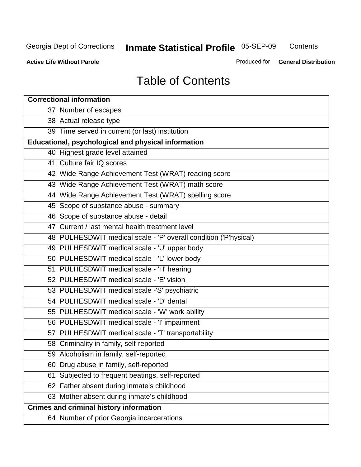**Contents** 

**Active Life Without Parole** 

Produced for **General Distribution**

## Table of Contents

| <b>Correctional information</b>                                  |
|------------------------------------------------------------------|
| 37 Number of escapes                                             |
| 38 Actual release type                                           |
| 39 Time served in current (or last) institution                  |
| Educational, psychological and physical information              |
| 40 Highest grade level attained                                  |
| 41 Culture fair IQ scores                                        |
| 42 Wide Range Achievement Test (WRAT) reading score              |
| 43 Wide Range Achievement Test (WRAT) math score                 |
| 44 Wide Range Achievement Test (WRAT) spelling score             |
| 45 Scope of substance abuse - summary                            |
| 46 Scope of substance abuse - detail                             |
| 47 Current / last mental health treatment level                  |
| 48 PULHESDWIT medical scale - 'P' overall condition ('P'hysical) |
| 49 PULHESDWIT medical scale - 'U' upper body                     |
| 50 PULHESDWIT medical scale - 'L' lower body                     |
| 51 PULHESDWIT medical scale - 'H' hearing                        |
| 52 PULHESDWIT medical scale - 'E' vision                         |
| 53 PULHESDWIT medical scale -'S' psychiatric                     |
| 54 PULHESDWIT medical scale - 'D' dental                         |
| 55 PULHESDWIT medical scale - 'W' work ability                   |
| 56 PULHESDWIT medical scale - 'I' impairment                     |
| 57 PULHESDWIT medical scale - 'T' transportability               |
| 58 Criminality in family, self-reported                          |
| 59 Alcoholism in family, self-reported                           |
| 60 Drug abuse in family, self-reported                           |
| Subjected to frequent beatings, self-reported<br>61              |
| 62 Father absent during inmate's childhood                       |
| 63 Mother absent during inmate's childhood                       |
| <b>Crimes and criminal history information</b>                   |
| 64 Number of prior Georgia incarcerations                        |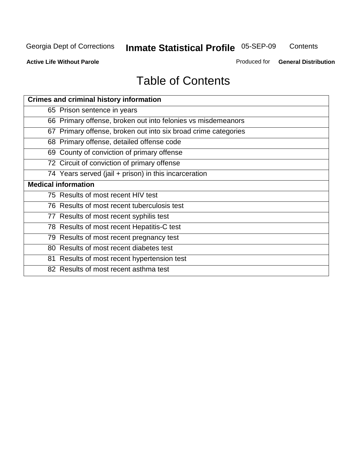**Contents** 

**Active Life Without Parole** 

Produced for **General Distribution**

## Table of Contents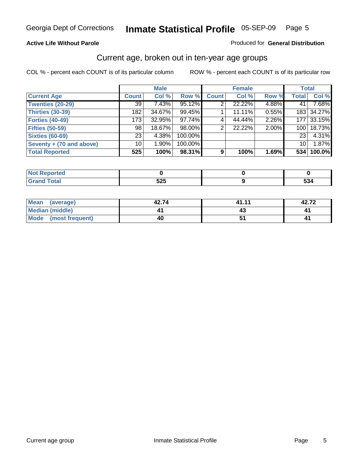#### **Active Life Without Parole**

#### Produced for **General Distribution**

#### Current age, broken out in ten-year age groups

|                          |                 | <b>Male</b> |           |              | <b>Female</b> |       |                  | <b>Total</b> |
|--------------------------|-----------------|-------------|-----------|--------------|---------------|-------|------------------|--------------|
| <b>Current Age</b>       | <b>Count</b>    | Col %       | Row %     | <b>Count</b> | Col %         | Row % | <b>Total</b>     | Col %        |
| <b>Twenties (20-29)</b>  | 39              | 7.43%       | $95.12\%$ |              | 22.22%        | 4.88% | 41               | 7.68%        |
| <b>Thirties (30-39)</b>  | 182             | 34.67%      | 99.45%    |              | 11.11%        | 0.55% |                  | 183 34.27%   |
| <b>Forties (40-49)</b>   | 173             | 32.95%      | 97.74%    | 4            | 44.44%        | 2.26% | 177              | 33.15%       |
| <b>Fifties (50-59)</b>   | 98              | 18.67%      | 98.00%    | 2            | 22.22%        | 2.00% | 100 <sub>1</sub> | 18.73%       |
| <b>Sixties (60-69)</b>   | 23 <sub>1</sub> | 4.38%       | 100.00%   |              |               |       | 23               | 4.31%        |
| Seventy + (70 and above) | 10              | $1.90\%$    | 100.00%   |              |               |       | 10 <sup>1</sup>  | 1.87%        |
| <b>Total Reported</b>    | 525             | 100%        | 98.31%    | 9            | 100%          | 1.69% | 534              | 100.0%       |

| <b>Not Reported</b> |       |      |
|---------------------|-------|------|
| <b>Total</b>        | EOE   | $-$  |
| $\mathbf{v}$ and    | ິບ∠ິບ | - აა |

| Mean (average)       | 42.74 | 41.11 | 42.72 |
|----------------------|-------|-------|-------|
| Median (middle)      |       |       |       |
| Mode (most frequent) | 40    |       | л.    |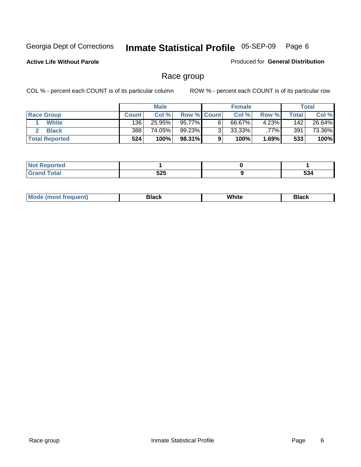**Active Life Without Parole** 

Produced for **General Distribution**

#### Race group

|                       |              | <b>Male</b> |                    |   | <b>Female</b> |          |       | <b>Total</b> |
|-----------------------|--------------|-------------|--------------------|---|---------------|----------|-------|--------------|
| <b>Race Group</b>     | <b>Count</b> | Col %       | <b>Row % Count</b> |   | Col %         | Row %    | Total | Col %        |
| <b>White</b>          | 136          | 25.95%      | 95.77%             | 6 | 66.67%        | $4.23\%$ | 142   | 26.64%       |
| <b>Black</b>          | 388          | 74.05%      | 99.23%             | ◠ | $33.33\%$     | $.77\%$  | 391   | 73.36%       |
| <b>Total Reported</b> | 524          | 100%        | 98.31%             |   | 100%          | 1.69%    | 533   | 100%         |

| eported<br>$\cdots$ |     |             |
|---------------------|-----|-------------|
| fota'<br>_____      | 525 | $-2$<br>აა4 |

| $^1$ Mo. | Rlack | White | 3lack |
|----------|-------|-------|-------|
| .        |       |       |       |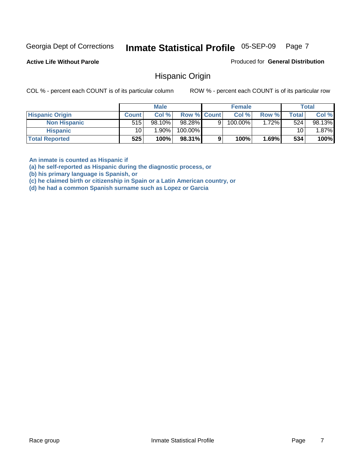**Active Life Without Parole** 

Produced for **General Distribution**

#### Hispanic Origin

COL % - percent each COUNT is of its particular column ROW % - percent each COUNT is of its particular row

|                        |                 | <b>Male</b> |                    |   | <b>Female</b> |         |       | <b>Total</b> |
|------------------------|-----------------|-------------|--------------------|---|---------------|---------|-------|--------------|
| <b>Hispanic Origin</b> | <b>Count</b>    | Col %       | <b>Row % Count</b> |   | Col %         | Row %   | Total | Col %        |
| <b>Non Hispanic</b>    | 515             | $98.10\%$   | 98.28%             | 9 | $100.00\%$    | $.72\%$ | 524   | 98.13%       |
| <b>Hispanic</b>        | 10 <sub>1</sub> | $1.90\%$    | 100.00%            |   |               |         | 10    | $.87\%$      |
| <b>Total Reported</b>  | 525             | 100%        | 98.31%             | 9 | 100%          | 1.69%   | 534   | 100%         |

**An inmate is counted as Hispanic if** 

**(a) he self-reported as Hispanic during the diagnostic process, or** 

**(b) his primary language is Spanish, or** 

**(c) he claimed birth or citizenship in Spain or a Latin American country, or** 

**(d) he had a common Spanish surname such as Lopez or Garcia**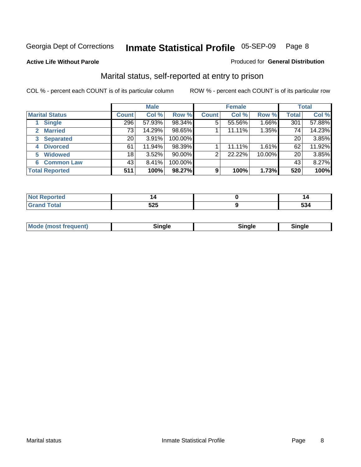**Active Life Without Parole** 

#### Produced for **General Distribution**

#### Marital status, self-reported at entry to prison

|                                  | <b>Male</b>  |          |         | <b>Female</b> |        |        | <b>Total</b> |        |
|----------------------------------|--------------|----------|---------|---------------|--------|--------|--------------|--------|
| <b>Marital Status</b>            | <b>Count</b> | Col %    | Row %   | <b>Count</b>  | Col %  | Row %  | <b>Total</b> | Col %  |
| <b>Single</b>                    | 296          | 57.93%   | 98.34%  | 5             | 55.56% | 1.66%  | 301          | 57.88% |
| <b>Married</b><br>$\mathbf{2}$   | 73           | 14.29%   | 98.65%  |               | 11.11% | 1.35%  | 74           | 14.23% |
| <b>Separated</b><br>$\mathbf{3}$ | 20           | $3.91\%$ | 100.00% |               |        |        | 20           | 3.85%  |
| <b>Divorced</b><br>4             | 61           | 11.94%   | 98.39%  |               | 11.11% | 1.61%  | 62           | 11.92% |
| <b>Widowed</b><br>5              | 18           | $3.52\%$ | 90.00%  | 2             | 22.22% | 10.00% | 20           | 3.85%  |
| <b>Common Law</b><br>6           | 43           | 8.41%    | 100.00% |               |        |        | 43           | 8.27%  |
| <b>Total Reported</b>            | 511          | 100%     | 98.27%  | 9             | 100%   | 1.73%  | 520          | 100%   |

| ----- | EOF<br>JLJ | ັ |
|-------|------------|---|

|  | Moc<br>: (most frequent) | ли |  | <b>Rinale</b> |
|--|--------------------------|----|--|---------------|
|--|--------------------------|----|--|---------------|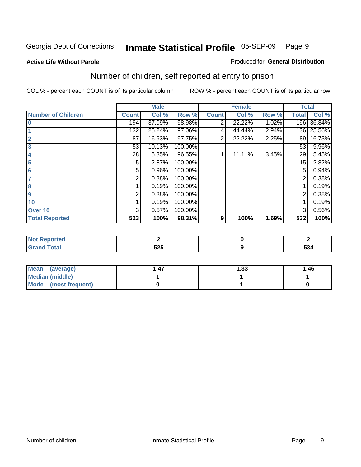#### **Active Life Without Parole**

#### Produced for **General Distribution**

## Number of children, self reported at entry to prison

|                           |              | <b>Male</b> |         |                | <b>Female</b> |       | <b>Total</b>   |        |
|---------------------------|--------------|-------------|---------|----------------|---------------|-------|----------------|--------|
| <b>Number of Children</b> | <b>Count</b> | Col %       | Row %   | <b>Count</b>   | Col %         | Row % | <b>Total</b>   | Col %  |
| $\bf{0}$                  | 194          | 37.09%      | 98.98%  | 2              | 22.22%        | 1.02% | 196            | 36.84% |
|                           | 132          | 25.24%      | 97.06%  | 4              | 44.44%        | 2.94% | 136            | 25.56% |
| $\overline{2}$            | 87           | 16.63%      | 97.75%  | $\overline{2}$ | 22.22%        | 2.25% | 89             | 16.73% |
| 3                         | 53           | 10.13%      | 100.00% |                |               |       | 53             | 9.96%  |
| 4                         | 28           | 5.35%       | 96.55%  |                | 11.11%        | 3.45% | 29             | 5.45%  |
| 5                         | 15           | 2.87%       | 100.00% |                |               |       | 15             | 2.82%  |
| $6\phantom{a}$            | 5            | 0.96%       | 100.00% |                |               |       | 5              | 0.94%  |
|                           | 2            | 0.38%       | 100.00% |                |               |       | 2              | 0.38%  |
| 8                         |              | 0.19%       | 100.00% |                |               |       |                | 0.19%  |
| 9                         | 2            | 0.38%       | 100.00% |                |               |       | $\overline{2}$ | 0.38%  |
| 10                        |              | 0.19%       | 100.00% |                |               |       |                | 0.19%  |
| Over 10                   | 3            | 0.57%       | 100.00% |                |               |       | 3              | 0.56%  |
| <b>Total Reported</b>     | 523          | 100%        | 98.31%  | 9              | 100%          | 1.69% | 532            | 100%   |

| ™teu<br>.                               |            |     |
|-----------------------------------------|------------|-----|
| <b>otal</b><br>$\sim$ . $\sim$ . $\sim$ | につに<br>ບ∠ບ | 534 |

| <b>Mean</b><br>(average) | .47 | 33. ا | 1.46 |
|--------------------------|-----|-------|------|
| <b>Median (middle)</b>   |     |       |      |
| Mode (most frequent)     |     |       |      |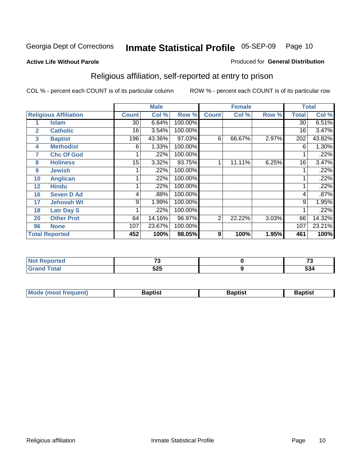#### **Active Life Without Parole**

#### Produced for **General Distribution**

## Religious affiliation, self-reported at entry to prison

|              |                              |              | <b>Male</b> |         |                | <b>Female</b> |       |              | <b>Total</b> |
|--------------|------------------------------|--------------|-------------|---------|----------------|---------------|-------|--------------|--------------|
|              | <b>Religious Affiliation</b> | <b>Count</b> | Col %       | Row %   | <b>Count</b>   | Col %         | Row % | <b>Total</b> | Col %        |
|              | <b>Islam</b>                 | 30           | 6.64%       | 100.00% |                |               |       | 30           | 6.51%        |
| $\mathbf{2}$ | <b>Catholic</b>              | 16           | 3.54%       | 100.00% |                |               |       | 16           | 3.47%        |
| 3            | <b>Baptist</b>               | 196          | 43.36%      | 97.03%  | 6              | 66.67%        | 2.97% | 202          | 43.82%       |
| 4            | <b>Methodist</b>             | 6            | 1.33%       | 100.00% |                |               |       | 6            | 1.30%        |
| 7            | <b>Chc Of God</b>            |              | .22%        | 100.00% |                |               |       |              | .22%         |
| 8            | <b>Holiness</b>              | 15           | 3.32%       | 93.75%  | 1              | 11.11%        | 6.25% | 16           | 3.47%        |
| 9            | <b>Jewish</b>                |              | .22%        | 100.00% |                |               |       |              | .22%         |
| 10           | <b>Anglican</b>              |              | .22%        | 100.00% |                |               |       |              | .22%         |
| 12           | <b>Hindu</b>                 |              | .22%        | 100.00% |                |               |       |              | .22%         |
| 16           | <b>Seven D Ad</b>            | 4            | .88%        | 100.00% |                |               |       | 4            | .87%         |
| 17           | <b>Jehovah Wt</b>            | 9            | 1.99%       | 100.00% |                |               |       | 9            | 1.95%        |
| 18           | <b>Latr Day S</b>            |              | .22%        | 100.00% |                |               |       |              | .22%         |
| 20           | <b>Other Prot</b>            | 64           | 14.16%      | 96.97%  | $\overline{2}$ | 22.22%        | 3.03% | 66           | 14.32%       |
| 96           | <b>None</b>                  | 107          | 23.67%      | 100.00% |                |               |       | 107          | 23.21%       |
|              | <b>Total Reported</b>        | 452          | 100%        | 98.05%  | 9              | 100%          | 1.95% | 461          | 100%         |

| ™uteu<br>. | $-$        | $\sim$    |
|------------|------------|-----------|
| .          | につに<br>JLJ | -^<br>534 |

| <b>Mode (most frequent)</b> | 3aptist | Baptist | <b>`a</b> ptist |
|-----------------------------|---------|---------|-----------------|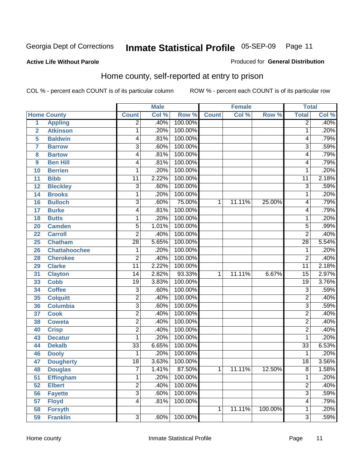#### **Active Life Without Parole**

## Produced for **General Distribution**

#### Home county, self-reported at entry to prison

|                |                      |                 | <b>Male</b> |         |              | <b>Female</b> |         | <b>Total</b>    |       |
|----------------|----------------------|-----------------|-------------|---------|--------------|---------------|---------|-----------------|-------|
|                | <b>Home County</b>   | <b>Count</b>    | Col %       | Row %   | <b>Count</b> | Col %         | Row %   | <b>Total</b>    | Col % |
| 1              | <b>Appling</b>       | 2               | .40%        | 100.00% |              |               |         | 2               | .40%  |
| $\overline{2}$ | <b>Atkinson</b>      | 1               | .20%        | 100.00% |              |               |         | 1               | .20%  |
| 5              | <b>Baldwin</b>       | 4               | .81%        | 100.00% |              |               |         | 4               | .79%  |
| 7              | <b>Barrow</b>        | $\overline{3}$  | .60%        | 100.00% |              |               |         | $\overline{3}$  | .59%  |
| 8              | <b>Bartow</b>        | 4               | .81%        | 100.00% |              |               |         | 4               | .79%  |
| 9              | <b>Ben Hill</b>      | 4               | .81%        | 100.00% |              |               |         | 4               | .79%  |
| 10             | <b>Berrien</b>       | 1               | .20%        | 100.00% |              |               |         | 1               | .20%  |
| 11             | <b>Bibb</b>          | $\overline{11}$ | 2.22%       | 100.00% |              |               |         | 11              | 2.18% |
| 12             | <b>Bleckley</b>      | 3               | .60%        | 100.00% |              |               |         | 3               | .59%  |
| 14             | <b>Brooks</b>        | 1               | .20%        | 100.00% |              |               |         | 1               | .20%  |
| 16             | <b>Bulloch</b>       | 3               | .60%        | 75.00%  | 1            | 11.11%        | 25.00%  | 4               | .79%  |
| 17             | <b>Burke</b>         | 4               | .81%        | 100.00% |              |               |         | 4               | .79%  |
| 18             | <b>Butts</b>         | 1               | .20%        | 100.00% |              |               |         | 1               | .20%  |
| 20             | <b>Camden</b>        | $\overline{5}$  | 1.01%       | 100.00% |              |               |         | $\overline{5}$  | .99%  |
| 22             | <b>Carroll</b>       | $\overline{2}$  | .40%        | 100.00% |              |               |         | $\overline{2}$  | .40%  |
| 25             | <b>Chatham</b>       | $\overline{28}$ | 5.65%       | 100.00% |              |               |         | $\overline{28}$ | 5.54% |
| 26             | <b>Chattahoochee</b> | 1               | .20%        | 100.00% |              |               |         | 1               | .20%  |
| 28             | <b>Cherokee</b>      | $\overline{2}$  | .40%        | 100.00% |              |               |         | $\overline{2}$  | .40%  |
| 29             | <b>Clarke</b>        | 11              | 2.22%       | 100.00% |              |               |         | 11              | 2.18% |
| 31             | <b>Clayton</b>       | $\overline{14}$ | 2.82%       | 93.33%  | 1            | 11.11%        | 6.67%   | 15              | 2.97% |
| 33             | <b>Cobb</b>          | 19              | 3.83%       | 100.00% |              |               |         | $\overline{19}$ | 3.76% |
| 34             | <b>Coffee</b>        | 3               | .60%        | 100.00% |              |               |         | 3               | .59%  |
| 35             | <b>Colquitt</b>      | 2               | .40%        | 100.00% |              |               |         | $\overline{2}$  | .40%  |
| 36             | <b>Columbia</b>      | $\overline{3}$  | .60%        | 100.00% |              |               |         | $\overline{3}$  | .59%  |
| 37             | <b>Cook</b>          | 2               | .40%        | 100.00% |              |               |         | $\overline{2}$  | .40%  |
| 38             | <b>Coweta</b>        | $\overline{2}$  | .40%        | 100.00% |              |               |         | $\overline{2}$  | .40%  |
| 40             | <b>Crisp</b>         | 2               | .40%        | 100.00% |              |               |         | $\overline{2}$  | .40%  |
| 43             | <b>Decatur</b>       | 1               | .20%        | 100.00% |              |               |         | 1               | .20%  |
| 44             | <b>Dekalb</b>        | $\overline{33}$ | 6.65%       | 100.00% |              |               |         | $\overline{33}$ | 6.53% |
| 46             | <b>Dooly</b>         | 1               | .20%        | 100.00% |              |               |         | 1               | .20%  |
| 47             | <b>Dougherty</b>     | $\overline{18}$ | 3.63%       | 100.00% |              |               |         | $\overline{18}$ | 3.56% |
| 48             | <b>Douglas</b>       | 7               | 1.41%       | 87.50%  | 1            | 11.11%        | 12.50%  | 8               | 1.58% |
| 51             | <b>Effingham</b>     | 1               | .20%        | 100.00% |              |               |         | 1               | .20%  |
| 52             | <b>Elbert</b>        | $\overline{2}$  | .40%        | 100.00% |              |               |         | $\overline{2}$  | .40%  |
| 56             | <b>Fayette</b>       | $\overline{3}$  | .60%        | 100.00% |              |               |         | $\overline{3}$  | .59%  |
| 57             | <b>Floyd</b>         | 4               | .81%        | 100.00% |              |               |         | $\overline{4}$  | .79%  |
| 58             | <b>Forsyth</b>       |                 |             |         | 1            | 11.11%        | 100.00% | 1               | .20%  |
| 59             | <b>Franklin</b>      | $\overline{3}$  | .60%        | 100.00% |              |               |         | $\overline{3}$  | .59%  |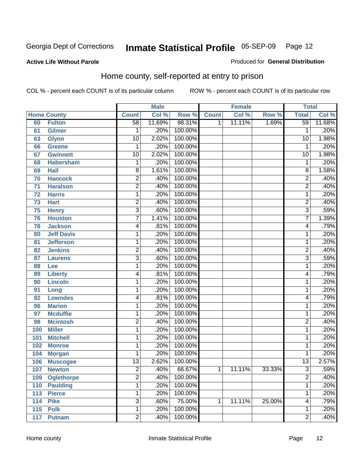#### **Active Life Without Parole**

#### Produced for **General Distribution**

#### Home county, self-reported at entry to prison

|     |                    |                 | <b>Male</b> |         |              | <b>Female</b> |        | <b>Total</b>    |        |
|-----|--------------------|-----------------|-------------|---------|--------------|---------------|--------|-----------------|--------|
|     | <b>Home County</b> | <b>Count</b>    | Col %       | Row %   | <b>Count</b> | Col %         | Row %  | <b>Total</b>    | Col %  |
| 60  | <b>Fulton</b>      | $\overline{58}$ | 11.69%      | 98.31%  | $\mathbf{1}$ | 11.11%        | 1.69%  | 59              | 11.68% |
| 61  | <b>Gilmer</b>      | 1               | .20%        | 100.00% |              |               |        | 1               | .20%   |
| 63  | <b>Glynn</b>       | 10              | 2.02%       | 100.00% |              |               |        | $\overline{10}$ | 1.98%  |
| 66  | <b>Greene</b>      | 1               | .20%        | 100.00% |              |               |        | 1               | .20%   |
| 67  | <b>Gwinnett</b>    | $\overline{10}$ | 2.02%       | 100.00% |              |               |        | $\overline{10}$ | 1.98%  |
| 68  | <b>Habersham</b>   | 1               | .20%        | 100.00% |              |               |        | 1               | .20%   |
| 69  | <b>Hall</b>        | 8               | 1.61%       | 100.00% |              |               |        | 8               | 1.58%  |
| 70  | <b>Hancock</b>     | 2               | .40%        | 100.00% |              |               |        | $\overline{2}$  | .40%   |
| 71  | <b>Haralson</b>    | $\overline{2}$  | .40%        | 100.00% |              |               |        | $\overline{2}$  | .40%   |
| 72  | <b>Harris</b>      | 1               | .20%        | 100.00% |              |               |        | 1               | .20%   |
| 73  | <b>Hart</b>        | $\overline{2}$  | .40%        | 100.00% |              |               |        | $\overline{2}$  | .40%   |
| 75  | <b>Henry</b>       | $\overline{3}$  | .60%        | 100.00% |              |               |        | $\overline{3}$  | .59%   |
| 76  | <b>Houston</b>     | $\overline{7}$  | 1.41%       | 100.00% |              |               |        | 7               | 1.39%  |
| 78  | <b>Jackson</b>     | 4               | .81%        | 100.00% |              |               |        | 4               | .79%   |
| 80  | <b>Jeff Davis</b>  | 1               | .20%        | 100.00% |              |               |        | 1               | .20%   |
| 81  | <b>Jefferson</b>   | 1               | .20%        | 100.00% |              |               |        | 1               | .20%   |
| 82  | <b>Jenkins</b>     | $\overline{2}$  | .40%        | 100.00% |              |               |        | $\overline{2}$  | .40%   |
| 87  | <b>Laurens</b>     | $\overline{3}$  | .60%        | 100.00% |              |               |        | $\overline{3}$  | .59%   |
| 88  | <b>Lee</b>         | $\mathbf{1}$    | .20%        | 100.00% |              |               |        | 1               | .20%   |
| 89  | <b>Liberty</b>     | 4               | .81%        | 100.00% |              |               |        | 4               | .79%   |
| 90  | <b>Lincoln</b>     | 1               | .20%        | 100.00% |              |               |        | 1               | .20%   |
| 91  | Long               | 1               | .20%        | 100.00% |              |               |        | 1               | .20%   |
| 92  | <b>Lowndes</b>     | 4               | .81%        | 100.00% |              |               |        | 4               | .79%   |
| 96  | <b>Marion</b>      | 1               | .20%        | 100.00% |              |               |        | 1               | .20%   |
| 97  | <b>Mcduffie</b>    | 1               | .20%        | 100.00% |              |               |        | 1               | .20%   |
| 98  | <b>Mcintosh</b>    | $\overline{2}$  | .40%        | 100.00% |              |               |        | $\overline{2}$  | .40%   |
| 100 | <b>Miller</b>      | $\mathbf{1}$    | .20%        | 100.00% |              |               |        | 1               | .20%   |
| 101 | <b>Mitchell</b>    | 1               | .20%        | 100.00% |              |               |        | 1               | .20%   |
| 102 | <b>Monroe</b>      | 1               | .20%        | 100.00% |              |               |        | 1               | .20%   |
| 104 | <b>Morgan</b>      | 1               | .20%        | 100.00% |              |               |        | 1               | .20%   |
| 106 | <b>Muscogee</b>    | $\overline{13}$ | 2.62%       | 100.00% |              |               |        | $\overline{13}$ | 2.57%  |
| 107 | <b>Newton</b>      | 2               | .40%        | 66.67%  | 1            | 11.11%        | 33.33% | 3               | .59%   |
| 109 | <b>Oglethorpe</b>  | $\overline{2}$  | .40%        | 100.00% |              |               |        | $\overline{2}$  | .40%   |
| 110 | <b>Paulding</b>    | 1               | .20%        | 100.00% |              |               |        | 1               | .20%   |
| 113 | <b>Pierce</b>      | 1               | .20%        | 100.00% |              |               |        | 1               | .20%   |
| 114 | <b>Pike</b>        | $\overline{3}$  | .60%        | 75.00%  | 1            | 11.11%        | 25.00% | 4               | .79%   |
| 115 | <b>Polk</b>        | $\mathbf{1}$    | .20%        | 100.00% |              |               |        | 1               | .20%   |
| 117 | <b>Putnam</b>      | $\overline{2}$  | .40%        | 100.00% |              |               |        | $\overline{2}$  | .40%   |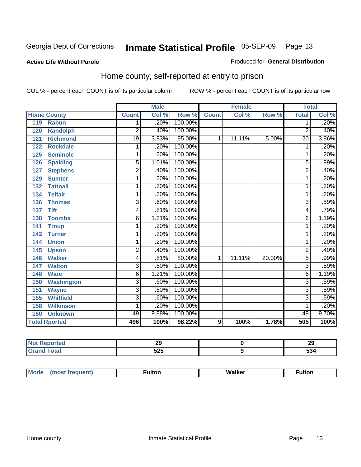#### **Active Life Without Parole**

#### Produced for **General Distribution**

#### Home county, self-reported at entry to prison

|     |                      |                 | <b>Male</b> |         |                | <b>Female</b> |        | <b>Total</b>    |       |
|-----|----------------------|-----------------|-------------|---------|----------------|---------------|--------|-----------------|-------|
|     | <b>Home County</b>   | <b>Count</b>    | Col %       | Row %   | <b>Count</b>   | Col %         | Row %  | <b>Total</b>    | Col % |
| 119 | <b>Rabun</b>         | 1               | .20%        | 100.00% |                |               |        | 1               | .20%  |
| 120 | <b>Randolph</b>      | $\overline{2}$  | .40%        | 100.00% |                |               |        | $\overline{2}$  | .40%  |
| 121 | <b>Richmond</b>      | $\overline{19}$ | 3.83%       | 95.00%  | 1              | 11.11%        | 5.00%  | $\overline{20}$ | 3.96% |
| 122 | <b>Rockdale</b>      | 1               | .20%        | 100.00% |                |               |        | 1               | .20%  |
| 125 | <b>Seminole</b>      | 1               | .20%        | 100.00% |                |               |        |                 | .20%  |
| 126 | <b>Spalding</b>      | $\overline{5}$  | 1.01%       | 100.00% |                |               |        | $\overline{5}$  | .99%  |
| 127 | <b>Stephens</b>      | $\overline{2}$  | .40%        | 100.00% |                |               |        | $\overline{2}$  | .40%  |
| 129 | <b>Sumter</b>        | 1               | .20%        | 100.00% |                |               |        | 1               | .20%  |
| 132 | <b>Tattnall</b>      | 1               | .20%        | 100.00% |                |               |        | 1               | .20%  |
| 134 | <b>Telfair</b>       | 1               | .20%        | 100.00% |                |               |        | 1               | .20%  |
| 136 | <b>Thomas</b>        | $\overline{3}$  | .60%        | 100.00% |                |               |        | 3               | .59%  |
| 137 | <b>Tift</b>          | 4               | .81%        | 100.00% |                |               |        | $\overline{4}$  | .79%  |
| 138 | <b>Toombs</b>        | 6               | 1.21%       | 100.00% |                |               |        | 6               | 1.19% |
| 141 | <b>Troup</b>         | 1               | .20%        | 100.00% |                |               |        | 1               | .20%  |
| 142 | <b>Turner</b>        | 1               | .20%        | 100.00% |                |               |        | 1               | .20%  |
| 144 | <b>Union</b>         | 1               | .20%        | 100.00% |                |               |        | 1               | .20%  |
| 145 | <b>Upson</b>         | $\overline{2}$  | .40%        | 100.00% |                |               |        | $\overline{c}$  | .40%  |
| 146 | <b>Walker</b>        | 4               | .81%        | 80.00%  | 1              | 11.11%        | 20.00% | $\overline{5}$  | .99%  |
| 147 | <b>Walton</b>        | $\overline{3}$  | .60%        | 100.00% |                |               |        | $\overline{3}$  | .59%  |
| 148 | <b>Ware</b>          | 6               | 1.21%       | 100.00% |                |               |        | 6               | 1.19% |
| 150 | <b>Washington</b>    | $\overline{3}$  | .60%        | 100.00% |                |               |        | $\overline{3}$  | .59%  |
| 151 | <b>Wayne</b>         | $\overline{3}$  | .60%        | 100.00% |                |               |        | $\overline{3}$  | .59%  |
| 155 | <b>Whitfield</b>     | 3               | .60%        | 100.00% |                |               |        | 3               | .59%  |
| 158 | <b>Wilkinson</b>     | 1               | .20%        | 100.00% |                |               |        | 1               | .20%  |
| 160 | <b>Unknown</b>       | 49              | 9.88%       | 100.00% |                |               |        | 49              | 9.70% |
|     | <b>Total Rported</b> | 496             | 100%        | 98.22%  | $\overline{9}$ | 100%          | 1.78%  | 505             | 100%  |

| <b><i>Continued the Second</i></b> | <u>__</u>  | ኅሮ         |
|------------------------------------|------------|------------|
| тео                                | __         | ∡ง         |
|                                    | よつよ<br>JLJ | $-$<br>ാാ• |

| Mode | (most frequent) | <b>ulton</b> | <b>Walker</b><br>_____ | <b>ulton</b> |
|------|-----------------|--------------|------------------------|--------------|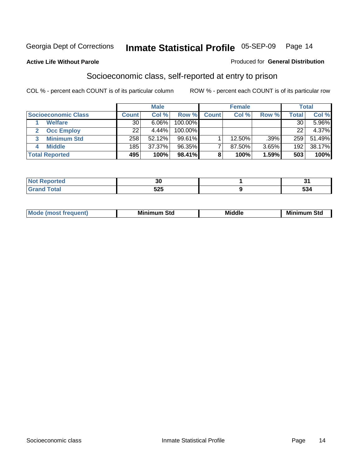#### **Active Life Without Parole**

#### Produced for **General Distribution**

#### Socioeconomic class, self-reported at entry to prison

|                                   | <b>Male</b>  |          | <b>Female</b> |              |        | <b>Total</b> |                 |        |
|-----------------------------------|--------------|----------|---------------|--------------|--------|--------------|-----------------|--------|
| <b>Socioeconomic Class</b>        | <b>Count</b> | Col %    | Row %         | <b>Count</b> | Col %  | Row %        | Total           | Col %  |
| <b>Welfare</b>                    | 30           | $6.06\%$ | 100.00%       |              |        |              | 30 <sub>1</sub> | 5.96%  |
| <b>Occ Employ</b><br>$\mathbf{2}$ | 22           | $4.44\%$ | $100.00\%$    |              |        |              | 22 <sub>1</sub> | 4.37%  |
| <b>Minimum Std</b><br>3           | 258          | 52.12%   | 99.61%        |              | 12.50% | .39%         | 259             | 51.49% |
| <b>Middle</b>                     | 185          | 37.37%   | 96.35%        |              | 87.50% | 3.65%        | 192             | 38.17% |
| <b>Total Reported</b>             | 495          | 100%     | 98.41%        |              | 100%   | 1.59%        | 503             | 100%   |

| тео      | n n<br>ึงเ |      |
|----------|------------|------|
| Contact: | rar        | ra 1 |
| -        | ວ∠ວ        | 534  |

| .<br>___ |
|----------|
|----------|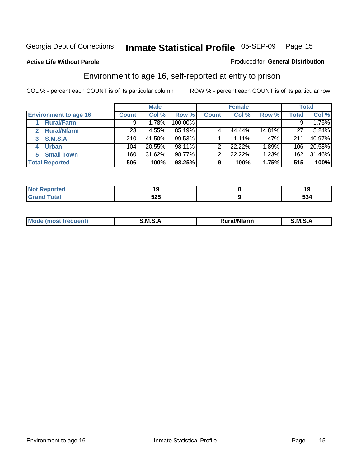Produced for **General Distribution**

#### **Active Life Without Parole**

## Environment to age 16, self-reported at entry to prison

|                                      | <b>Male</b>  |        | <b>Female</b> |              |        | <b>Total</b> |              |        |
|--------------------------------------|--------------|--------|---------------|--------------|--------|--------------|--------------|--------|
| <b>Environment to age 16</b>         | <b>Count</b> | Col %  | Row %         | <b>Count</b> | Col %  | Row %        | <b>Total</b> | Col %  |
| <b>Rural/Farm</b>                    | 9            | 1.78%  | 100.00%       |              |        |              |              | 1.75%  |
| <b>Rural/Nfarm</b><br>$\overline{2}$ | 23           | 4.55%  | 85.19%        |              | 44.44% | 14.81%       | 27           | 5.24%  |
| <b>S.M.S.A</b><br>3                  | 210          | 41.50% | 99.53%        |              | 11.11% | $.47\%$      | 211          | 40.97% |
| <b>Urban</b><br>4                    | 104          | 20.55% | 98.11%        |              | 22.22% | 1.89%        | 106          | 20.58% |
| <b>Small Town</b><br>5.              | 160          | 31.62% | 98.77%        | ົ            | 22.22% | 1.23%        | 162          | 31.46% |
| <b>Total Reported</b>                | 506          | 100%   | 98.25%        | 9            | 100%   | 1.75%        | 515          | 100%   |

| <b>rted</b>           |              |     |
|-----------------------|--------------|-----|
| <b>Total</b><br>Grand | よつよ<br>ິບ∠ີບ | 534 |

| Mo<br>זחנ | M<br>.<br>_____ | $1.3.14 \times 10^{18}$<br>. Ifara<br>arm | -<br>M<br>______ |
|-----------|-----------------|-------------------------------------------|------------------|
|           |                 |                                           |                  |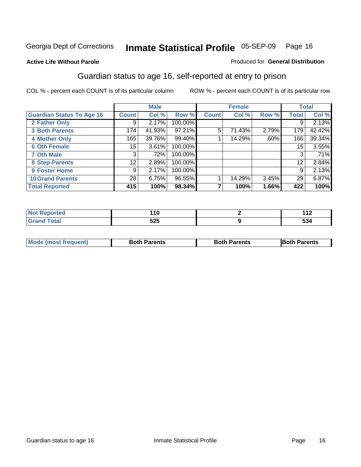Produced for **General Distribution**

#### **Active Life Without Parole**

#### Guardian status to age 16, self-reported at entry to prison

|                                  |                 | <b>Male</b> |         |              | <b>Female</b> |       |              | <b>Total</b> |
|----------------------------------|-----------------|-------------|---------|--------------|---------------|-------|--------------|--------------|
| <b>Guardian Status To Age 16</b> | <b>Count</b>    | Col %       | Row %   | <b>Count</b> | Col %         | Row % | <b>Total</b> | Col %        |
| 2 Father Only                    | 9               | 2.17%       | 100.00% |              |               |       | 9            | 2.13%        |
| <b>3 Both Parents</b>            | 174             | 41.93%      | 97.21%  | 5            | 71.43%        | 2.79% | 179          | 42.42%       |
| <b>4 Mother Only</b>             | 165             | 39.76%      | 99.40%  |              | 14.29%        | .60%  | 166          | 39.34%       |
| <b>6 Oth Female</b>              | 15              | $3.61\%$    | 100.00% |              |               |       | 15           | 3.55%        |
| <b>7 Oth Male</b>                | 3               | .72%        | 100.00% |              |               |       | 3            | .71%         |
| 8 Step-Parents                   | 12 <sub>1</sub> | 2.89%       | 100.00% |              |               |       | 12           | 2.84%        |
| 9 Foster Home                    | 9               | 2.17%       | 100.00% |              |               |       | 9            | 2.13%        |
| <b>10 Grand Parents</b>          | 28              | 6.75%       | 96.55%  |              | 14.29%        | 3.45% | 29           | 6.87%        |
| <b>Total Reported</b>            | 415             | 100%        | 98.34%  |              | 100%          | 1.66% | 422          | 100%         |

| 40<br>u<br>$\sim$ | 44C<br>. . |
|-------------------|------------|
| 525               | 534        |

| Mode (most frequent) | <b>Both Parents</b> | <b>Both Parents</b> | <b>IBoth Parents</b> |
|----------------------|---------------------|---------------------|----------------------|
|                      |                     |                     |                      |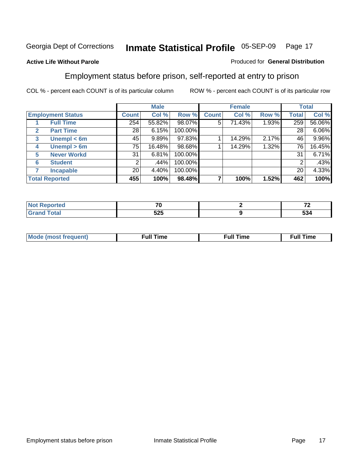#### **Active Life Without Parole**

#### Produced for **General Distribution**

#### Employment status before prison, self-reported at entry to prison

|              |                          |              | <b>Male</b> |         |              | <b>Female</b> |       |              | <b>Total</b> |
|--------------|--------------------------|--------------|-------------|---------|--------------|---------------|-------|--------------|--------------|
|              | <b>Employment Status</b> | <b>Count</b> | Col %       | Row %   | <b>Count</b> | Col %         | Row % | <b>Total</b> | Col %        |
|              | <b>Full Time</b>         | 254          | 55.82%      | 98.07%  | 5            | 71.43%        | 1.93% | 259          | 56.06%       |
| $\mathbf{2}$ | <b>Part Time</b>         | 28           | 6.15%       | 100.00% |              |               |       | 28           | 6.06%        |
| $\mathbf{3}$ | Unempl $<$ 6m            | 45           | 9.89%       | 97.83%  |              | 14.29%        | 2.17% | 46           | 9.96%        |
| 4            | Unempl $> 6m$            | 75           | 16.48%      | 98.68%  |              | 14.29%        | 1.32% | 76           | 16.45%       |
| 5            | <b>Never Workd</b>       | 31           | 6.81%       | 100.00% |              |               |       | 31           | 6.71%        |
| 6            | <b>Student</b>           | 2            | .44%        | 100.00% |              |               |       | 2            | .43%         |
|              | <b>Incapable</b>         | 20           | 4.40%       | 100.00% |              |               |       | 20           | 4.33%        |
|              | <b>Total Reported</b>    | 455          | 100%        | 98.48%  |              | 100%          | 1.52% | 462          | 100%         |

| тес.                     | --<br>'U   | $\sim$ |
|--------------------------|------------|--------|
| <b>Coto</b> "<br>_______ | につに<br>ວ∠ວ | 534    |

| <b>M</b> ດ | the contract of the contract of the contract of the contract of the contract of the contract of the contract of | , ull i<br>ıme | ïme<br>uı |
|------------|-----------------------------------------------------------------------------------------------------------------|----------------|-----------|
|            |                                                                                                                 |                |           |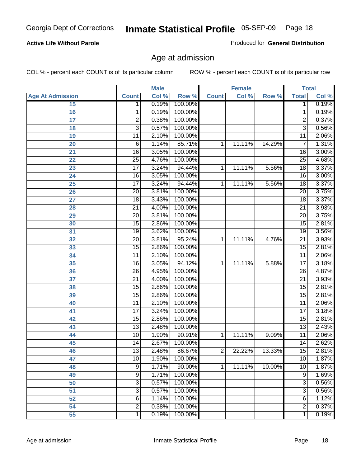#### **Active Life Without Parole**

Produced for **General Distribution**

#### Age at admission

|                         |                 | <b>Male</b> |         |              | <b>Female</b> |        |                 | <b>Total</b> |
|-------------------------|-----------------|-------------|---------|--------------|---------------|--------|-----------------|--------------|
| <b>Age At Admission</b> | <b>Count</b>    | Col %       | Row %   | <b>Count</b> | Col %         | Row %  | <b>Total</b>    | Col %        |
| 15                      | 1               | 0.19%       | 100.00% |              |               |        | 1               | 0.19%        |
| 16                      | 1               | 0.19%       | 100.00% |              |               |        | $\overline{1}$  | 0.19%        |
| 17                      | $\overline{2}$  | 0.38%       | 100.00% |              |               |        | 2               | 0.37%        |
| 18                      | $\overline{3}$  | 0.57%       | 100.00% |              |               |        | $\overline{3}$  | 0.56%        |
| 19                      | 11              | 2.10%       | 100.00% |              |               |        | 11              | 2.06%        |
| 20                      | 6               | 1.14%       | 85.71%  | 1            | 11.11%        | 14.29% | 7               | 1.31%        |
| 21                      | $\overline{16}$ | 3.05%       | 100.00% |              |               |        | $\overline{16}$ | 3.00%        |
| 22                      | $\overline{25}$ | 4.76%       | 100.00% |              |               |        | $\overline{25}$ | 4.68%        |
| 23                      | $\overline{17}$ | 3.24%       | 94.44%  | 1            | 11.11%        | 5.56%  | $\overline{18}$ | 3.37%        |
| 24                      | $\overline{16}$ | 3.05%       | 100.00% |              |               |        | 16              | 3.00%        |
| 25                      | $\overline{17}$ | 3.24%       | 94.44%  | 1            | 11.11%        | 5.56%  | $\overline{18}$ | 3.37%        |
| 26                      | $\overline{20}$ | 3.81%       | 100.00% |              |               |        | $\overline{20}$ | 3.75%        |
| 27                      | $\overline{18}$ | 3.43%       | 100.00% |              |               |        | $\overline{18}$ | 3.37%        |
| 28                      | $\overline{21}$ | 4.00%       | 100.00% |              |               |        | $\overline{21}$ | 3.93%        |
| 29                      | $\overline{20}$ | 3.81%       | 100.00% |              |               |        | $\overline{20}$ | 3.75%        |
| 30                      | $\overline{15}$ | 2.86%       | 100.00% |              |               |        | $\overline{15}$ | 2.81%        |
| 31                      | $\overline{19}$ | 3.62%       | 100.00% |              |               |        | $\overline{19}$ | 3.56%        |
| 32                      | $\overline{20}$ | 3.81%       | 95.24%  | 1            | 11.11%        | 4.76%  | $\overline{21}$ | 3.93%        |
| 33                      | $\overline{15}$ | 2.86%       | 100.00% |              |               |        | 15              | 2.81%        |
| 34                      | $\overline{11}$ | 2.10%       | 100.00% |              |               |        | 11              | 2.06%        |
| 35                      | $\overline{16}$ | 3.05%       | 94.12%  | 1            | 11.11%        | 5.88%  | $\overline{17}$ | 3.18%        |
| 36                      | $\overline{26}$ | 4.95%       | 100.00% |              |               |        | 26              | 4.87%        |
| 37                      | $\overline{21}$ | 4.00%       | 100.00% |              |               |        | $\overline{21}$ | 3.93%        |
| 38                      | $\overline{15}$ | 2.86%       | 100.00% |              |               |        | $\overline{15}$ | 2.81%        |
| 39                      | $\overline{15}$ | 2.86%       | 100.00% |              |               |        | $\overline{15}$ | 2.81%        |
| 40                      | $\overline{11}$ | 2.10%       | 100.00% |              |               |        | 11              | 2.06%        |
| 41                      | $\overline{17}$ | 3.24%       | 100.00% |              |               |        | 17              | 3.18%        |
| 42                      | 15              | 2.86%       | 100.00% |              |               |        | 15              | 2.81%        |
| 43                      | $\overline{13}$ | 2.48%       | 100.00% |              |               |        | $\overline{13}$ | 2.43%        |
| 44                      | $\overline{10}$ | 1.90%       | 90.91%  | 1            | 11.11%        | 9.09%  | 11              | 2.06%        |
| 45                      | $\overline{14}$ | 2.67%       | 100.00% |              |               |        | 14              | 2.62%        |
| 46                      | 13              | 2.48%       | 86.67%  | 2            | 22.22%        | 13.33% | 15              | 2.81%        |
| 47                      | 10              | 1.90%       | 100.00% |              |               |        | 10              | 1.87%        |
| 48                      | $\overline{9}$  | 1.71%       | 90.00%  | 1            | 11.11%        | 10.00% | 10              | 1.87%        |
| 49                      | 9               | 1.71%       | 100.00% |              |               |        | $\overline{9}$  | 1.69%        |
| 50                      | 3               | 0.57%       | 100.00% |              |               |        | 3               | 0.56%        |
| 51                      | 3               | 0.57%       | 100.00% |              |               |        | 3               | 0.56%        |
| 52                      | 6               | 1.14%       | 100.00% |              |               |        | 6               | 1.12%        |
| 54                      | $\overline{2}$  | 0.38%       | 100.00% |              |               |        | $\overline{2}$  | 0.37%        |
| 55                      | 1               | 0.19%       | 100.00% |              |               |        | $\mathbf{1}$    | 0.19%        |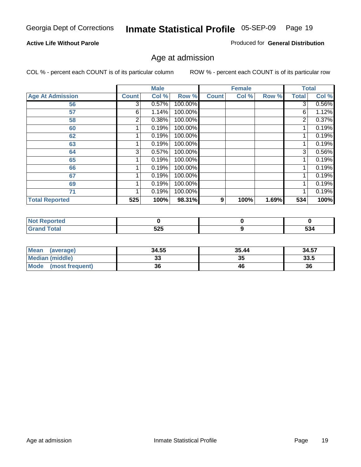#### **Active Life Without Parole**

Produced for **General Distribution**

#### Age at admission

|                         |                | <b>Male</b> |         |              | <b>Female</b> |       |              | <b>Total</b> |
|-------------------------|----------------|-------------|---------|--------------|---------------|-------|--------------|--------------|
| <b>Age At Admission</b> | <b>Count</b>   | Col %       | Row %   | <b>Count</b> | Col %         | Row % | <b>Total</b> | Col %        |
| 56                      | 3              | 0.57%       | 100.00% |              |               |       | 3            | 0.56%        |
| 57                      | 6              | 1.14%       | 100.00% |              |               |       | 6            | 1.12%        |
| 58                      | 2              | 0.38%       | 100.00% |              |               |       | 2            | 0.37%        |
| 60                      |                | 0.19%       | 100.00% |              |               |       |              | 0.19%        |
| 62                      |                | 0.19%       | 100.00% |              |               |       |              | 0.19%        |
| 63                      |                | 0.19%       | 100.00% |              |               |       |              | 0.19%        |
| 64                      | 3 <sub>l</sub> | 0.57%       | 100.00% |              |               |       | 3            | 0.56%        |
| 65                      |                | 0.19%       | 100.00% |              |               |       |              | 0.19%        |
| 66                      |                | 0.19%       | 100.00% |              |               |       |              | 0.19%        |
| 67                      |                | 0.19%       | 100.00% |              |               |       |              | 0.19%        |
| 69                      |                | 0.19%       | 100.00% |              |               |       |              | 0.19%        |
| 71                      |                | 0.19%       | 100.00% |              |               |       |              | 0.19%        |
| <b>Total Reported</b>   | 525            | 100%        | 98.31%  | 9            | 100%          | 1.69% | 534          | 100%         |

| <b>rted</b>          |            |     |
|----------------------|------------|-----|
| <b>otal</b><br>_____ | よつに<br>ວ∠ວ | 534 |

| <b>Mean</b><br>(average)       | 34.55 | 35.44 | 34.57 |
|--------------------------------|-------|-------|-------|
| <b>Median (middle)</b>         | აა    | 35    | 33.5  |
| <b>Mode</b><br>(most frequent) | 36    | 46    | 36    |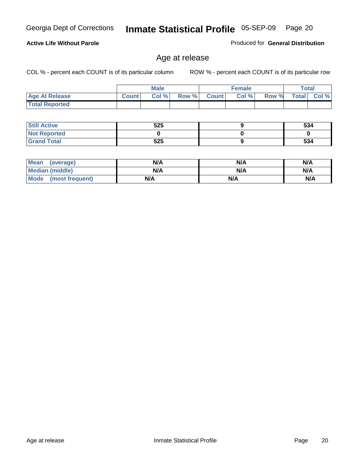COL % - percent each COUNT is of its particular column ROW % - percent each COUNT is of its particular row

|                       |              | <b>Male</b> |       |              | <b>Female</b> |       |              | Total |
|-----------------------|--------------|-------------|-------|--------------|---------------|-------|--------------|-------|
| <b>Age At Release</b> | <b>Count</b> | Col%        | Row % | <b>Count</b> | Col %         | Row % | <b>Total</b> | Col % |
| <b>Total Reported</b> |              |             |       |              |               |       |              |       |

Age at release

| <b>Still Active</b> | 525 | 534 |
|---------------------|-----|-----|
| <b>Not Reported</b> |     |     |
| <b>Grand Total</b>  | 525 | 534 |

| Mean<br>(average)      | N/A | N/A | N/A |
|------------------------|-----|-----|-----|
| <b>Median (middle)</b> | N/A | N/A | N/A |
| Mode (most frequent)   | N/A | N/A | N/A |

#### **Active Life Without Parole**

Produced for **General Distribution**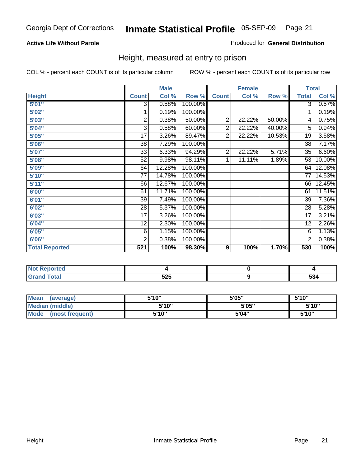#### **Active Life Without Parole**

#### Produced for **General Distribution**

#### Height, measured at entry to prison

|                       |                | <b>Male</b> |         |                | <b>Female</b> |        |                 | <b>Total</b> |
|-----------------------|----------------|-------------|---------|----------------|---------------|--------|-----------------|--------------|
| <b>Height</b>         | <b>Count</b>   | Col %       | Row %   | <b>Count</b>   | Col %         | Row %  | <b>Total</b>    | Col %        |
| 5'01''                | 3              | 0.58%       | 100.00% |                |               |        | $\overline{3}$  | 0.57%        |
| 5'02"                 | 1              | 0.19%       | 100.00% |                |               |        | 1               | 0.19%        |
| 5'03"                 | $\overline{c}$ | 0.38%       | 50.00%  | $\overline{2}$ | 22.22%        | 50.00% | 4               | 0.75%        |
| 5'04"                 | 3              | 0.58%       | 60.00%  | $\overline{2}$ | 22.22%        | 40.00% | 5               | 0.94%        |
| 5'05"                 | 17             | 3.26%       | 89.47%  | $\overline{2}$ | 22.22%        | 10.53% | 19              | 3.58%        |
| 5'06"                 | 38             | 7.29%       | 100.00% |                |               |        | $\overline{38}$ | 7.17%        |
| 5'07''                | 33             | 6.33%       | 94.29%  | $\overline{2}$ | 22.22%        | 5.71%  | 35              | 6.60%        |
| 5'08"                 | 52             | 9.98%       | 98.11%  | 1              | 11.11%        | 1.89%  | 53              | 10.00%       |
| <b>5'09"</b>          | 64             | 12.28%      | 100.00% |                |               |        | 64              | 12.08%       |
| 5'10''                | 77             | 14.78%      | 100.00% |                |               |        | 77              | 14.53%       |
| 5'11''                | 66             | 12.67%      | 100.00% |                |               |        | 66              | 12.45%       |
| 6'00"                 | 61             | 11.71%      | 100.00% |                |               |        | 61              | 11.51%       |
| 6'01"                 | 39             | 7.49%       | 100.00% |                |               |        | 39              | 7.36%        |
| 6'02"                 | 28             | 5.37%       | 100.00% |                |               |        | 28              | 5.28%        |
| 6'03"                 | 17             | 3.26%       | 100.00% |                |               |        | 17              | 3.21%        |
| 6'04"                 | 12             | 2.30%       | 100.00% |                |               |        | 12              | 2.26%        |
| 6'05"                 | 6              | 1.15%       | 100.00% |                |               |        | 6               | 1.13%        |
| 6'06"                 | $\overline{2}$ | 0.38%       | 100.00% |                |               |        | 2               | 0.38%        |
| <b>Total Reported</b> | 521            | 100%        | 98.30%  | 9              | 100%          | 1.70%  | 530             | 100%         |

| τeα |            |                         |
|-----|------------|-------------------------|
| سفد | よつよ<br>ວ∠ວ | <b>FA</b><br><b>JJ4</b> |

| <b>Mean</b><br>(average)       | 5'10" | 5'05" | 5'10"  |
|--------------------------------|-------|-------|--------|
| Median (middle)                | 5'10" | 5'05" | 5'10"  |
| <b>Mode</b><br>(most frequent) | 5'10" | 5'04" | 5'10'' |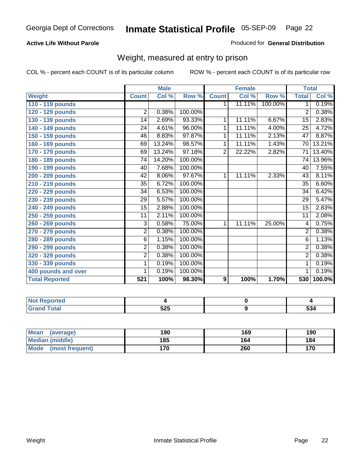#### **Active Life Without Parole**

#### Produced for **General Distribution**

#### Weight, measured at entry to prison

|                       |                 | <b>Male</b> |         |                  | <b>Female</b> |         | <b>Total</b>    |        |
|-----------------------|-----------------|-------------|---------|------------------|---------------|---------|-----------------|--------|
| <b>Weight</b>         | <b>Count</b>    | Col %       | Row %   | <b>Count</b>     | Col %         | Row %   | <b>Total</b>    | Col %  |
| 110 - 119 pounds      |                 |             |         | $\mathbf 1$      | 11.11%        | 100.00% | $\mathbf{1}$    | 0.19%  |
| 120 - 129 pounds      | $\overline{2}$  | 0.38%       | 100.00% |                  |               |         | $\overline{2}$  | 0.38%  |
| 130 - 139 pounds      | 14              | 2.69%       | 93.33%  | 1                | 11.11%        | 6.67%   | 15              | 2.83%  |
| 140 - 149 pounds      | 24              | 4.61%       | 96.00%  | 1                | 11.11%        | 4.00%   | $\overline{25}$ | 4.72%  |
| 150 - 159 pounds      | 46              | 8.83%       | 97.87%  | 1                | 11.11%        | 2.13%   | 47              | 8.87%  |
| 160 - 169 pounds      | 69              | 13.24%      | 98.57%  | 1                | 11.11%        | 1.43%   | 70              | 13.21% |
| 170 - 179 pounds      | 69              | 13.24%      | 97.18%  | $\overline{2}$   | 22.22%        | 2.82%   | 71              | 13.40% |
| 180 - 189 pounds      | $\overline{74}$ | 14.20%      | 100.00% |                  |               |         | $\overline{74}$ | 13.96% |
| 190 - 199 pounds      | 40              | 7.68%       | 100.00% |                  |               |         | 40              | 7.55%  |
| 200 - 209 pounds      | 42              | 8.06%       | 97.67%  | 1                | 11.11%        | 2.33%   | 43              | 8.11%  |
| 210 - 219 pounds      | 35              | 6.72%       | 100.00% |                  |               |         | $\overline{35}$ | 6.60%  |
| 220 - 229 pounds      | 34              | 6.53%       | 100.00% |                  |               |         | $\overline{34}$ | 6.42%  |
| 230 - 239 pounds      | $\overline{29}$ | 5.57%       | 100.00% |                  |               |         | $\overline{29}$ | 5.47%  |
| 240 - 249 pounds      | 15              | 2.88%       | 100.00% |                  |               |         | $\overline{15}$ | 2.83%  |
| 250 - 259 pounds      | 11              | 2.11%       | 100.00% |                  |               |         | 11              | 2.08%  |
| 260 - 269 pounds      | $\overline{3}$  | 0.58%       | 75.00%  | 1                | 11.11%        | 25.00%  | 4               | 0.75%  |
| 270 - 279 pounds      | $\overline{2}$  | 0.38%       | 100.00% |                  |               |         | $\overline{2}$  | 0.38%  |
| 280 - 289 pounds      | $\overline{6}$  | 1.15%       | 100.00% |                  |               |         | $\overline{6}$  | 1.13%  |
| 290 - 299 pounds      | $\overline{2}$  | 0.38%       | 100.00% |                  |               |         | $\overline{2}$  | 0.38%  |
| 320 - 329 pounds      | $\overline{2}$  | 0.38%       | 100.00% |                  |               |         | $\overline{2}$  | 0.38%  |
| 330 - 339 pounds      | 1               | 0.19%       | 100.00% |                  |               |         | 1               | 0.19%  |
| 400 pounds and over   | 1               | 0.19%       | 100.00% |                  |               |         | 1               | 0.19%  |
| <b>Total Reported</b> | 521             | 100%        | 98.30%  | $\boldsymbol{9}$ | 100%          | 1.70%   | 530             | 100.0% |

| ported<br><b>NOT</b><br><b>Rer</b> |     |                   |
|------------------------------------|-----|-------------------|
| <b>Total</b><br>$\sim$ .           | 525 | <b>FA</b><br>- სა |

| <b>Mean</b><br>(average)       | 190 | 169 | 190 |
|--------------------------------|-----|-----|-----|
| Median (middle)                | 185 | 164 | 184 |
| <b>Mode</b><br>(most frequent) | 170 | 260 | 170 |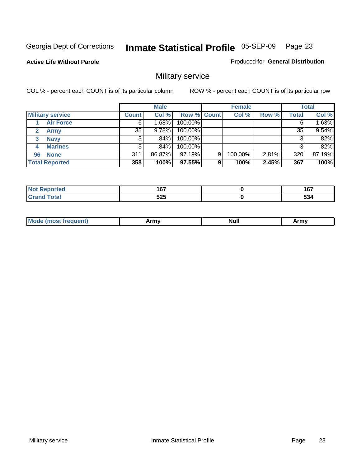**Active Life Without Parole** 

Produced for **General Distribution**

## Military service

|                         |              | <b>Male</b> |                    |   | <b>Female</b> |       |       | <b>Total</b> |
|-------------------------|--------------|-------------|--------------------|---|---------------|-------|-------|--------------|
| <b>Military service</b> | <b>Count</b> | Col %       | <b>Row % Count</b> |   | Col %         | Row % | Total | Col %        |
| <b>Air Force</b>        | 6            | $1.68\%$    | 100.00%            |   |               |       |       | 1.63%        |
| <b>Army</b>             | 35           | 9.78%       | 100.00%            |   |               |       | 35    | 9.54%        |
| <b>Navy</b><br>3        |              | ا 84%.      | 100.00%            |   |               |       |       | .82%         |
| <b>Marines</b><br>4     | 3            | .84%        | 100.00%            |   |               |       | 3     | .82%         |
| 96 None                 | 311          | 86.87%      | 97.19%             | 9 | 100.00%       | 2.81% | 320   | 87.19%       |
| <b>Total Reported</b>   | 358          | 100%        | 97.55%             | 9 | 100%          | 2.45% | 367   | 100%         |

| المستحققات<br>Ter. | 1 C 7<br>ו שי<br>$\sim$ $\sim$ | - - -<br>י ט ו<br>___   |
|--------------------|--------------------------------|-------------------------|
| $C = 4 - 1$        | よつよ<br>JZJ<br>- -              | <b>FA</b><br><b>534</b> |

| M<br><b>INUIL</b><br>.<br>. |
|-----------------------------|
|-----------------------------|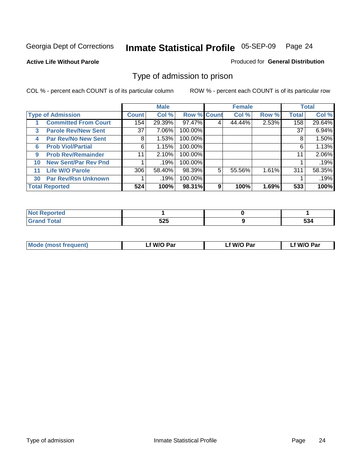#### **Active Life Without Parole**

#### Produced for **General Distribution**

#### Type of admission to prison

|              |                             |                 | <b>Male</b> |                    |   | <b>Female</b> |       |              | <b>Total</b> |
|--------------|-----------------------------|-----------------|-------------|--------------------|---|---------------|-------|--------------|--------------|
|              | <b>Type of Admission</b>    | <b>Count</b>    | Col %       | <b>Row % Count</b> |   | Col %         | Row % | <b>Total</b> | Col %        |
|              | <b>Committed From Court</b> | 154             | 29.39%      | 97.47%             |   | 44.44%        | 2.53% | 158          | 29.64%       |
| $\mathbf{3}$ | <b>Parole Rev/New Sent</b>  | 37 <sup>1</sup> | 7.06%       | 100.00%            |   |               |       | 37           | 6.94%        |
| 4            | <b>Par Rev/No New Sent</b>  | 8               | 1.53%       | 100.00%            |   |               |       | 8            | 1.50%        |
| 6            | <b>Prob Viol/Partial</b>    | 6               | 1.15%       | 100.00%            |   |               |       | 6            | 1.13%        |
| 9            | <b>Prob Rev/Remainder</b>   | 11              | 2.10%       | 100.00%            |   |               |       | 11           | 2.06%        |
| 10           | <b>New Sent/Par Rev Pnd</b> |                 | .19%        | 100.00%            |   |               |       |              | .19%         |
| 11           | <b>Life W/O Parole</b>      | 306             | 58.40%      | 98.39%             | 5 | 55.56%        | 1.61% | 311          | 58.35%       |
| 30           | <b>Par Rev/Rsn Unknown</b>  |                 | .19%        | 100.00%            |   |               |       |              | .19%         |
|              | <b>Total Reported</b>       | 524             | 100%        | 98.31%             | 9 | 100%          | 1.69% | 533          | 100%         |

| eported                     |             |             |
|-----------------------------|-------------|-------------|
| <b>Total</b><br>r<br>$\sim$ | EOE<br>ິບ∠ບ | ra 1<br>534 |

| Mode (most frequent) | Lf W/O Par | Lf W/O Par | f W/O Par |
|----------------------|------------|------------|-----------|
|                      |            |            |           |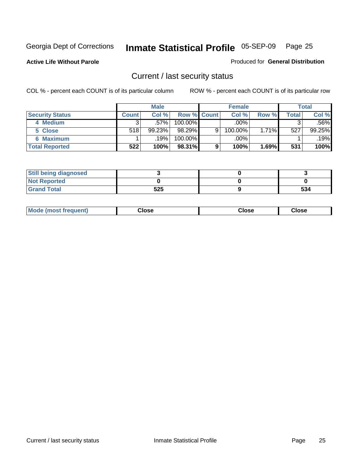**Active Life Without Parole** 

Produced for **General Distribution**

#### Current / last security status

|                        |                | <b>Male</b> |                    |   | <b>Female</b> |       |       | <b>Total</b> |
|------------------------|----------------|-------------|--------------------|---|---------------|-------|-------|--------------|
| <b>Security Status</b> | <b>Count</b> l | Col%        | <b>Row % Count</b> |   | Col %         | Row % | Total | Col %        |
| 4 Medium               |                | .57%        | $100.00\%$         |   | $.00\%$       |       |       | .56%         |
| 5 Close                | 518            | $99.23\%$   | $98.29\%$          | 9 | 100.00%       | 1.71% | 527   | 99.25%       |
| <b>6 Maximum</b>       |                | $.19\%$     | 100.00%            |   | .00%          |       |       | .19%         |
| <b>Total Reported</b>  | 522            | 100%        | 98.31%             | 9 | 100%          | 1.69% | 531   | 100%         |

| <b>Still being diagnosed</b> |     |     |
|------------------------------|-----|-----|
| <b>Not Reported</b>          |     |     |
| <b>Grand Total</b>           | 525 | 534 |

| Mode (most frequent) | Close | Close | Close |
|----------------------|-------|-------|-------|
|                      |       |       |       |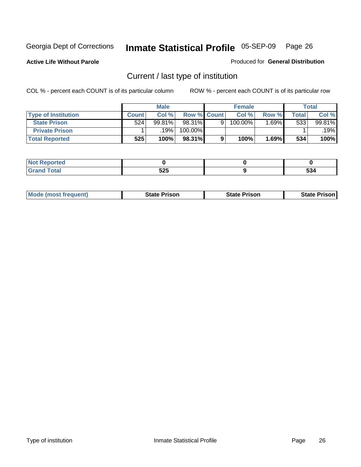**Active Life Without Parole** 

Produced for **General Distribution**

## Current / last type of institution

|                            |              | <b>Male</b> |                    | <b>Female</b> |       |       | <b>Total</b> |
|----------------------------|--------------|-------------|--------------------|---------------|-------|-------|--------------|
| <b>Type of Institution</b> | <b>Count</b> | Col %       | <b>Row % Count</b> | Col%          | Row % | Total | Col %        |
| <b>State Prison</b>        | 524          | 99.81%      | 98.31%             | 100.00%       | .69%  | 533   | 99.81%       |
| <b>Private Prison</b>      |              | 19%         | 100.00%            |               |       |       | 19%          |
| <b>Total Reported</b>      | 525          | 100%        | 98.31%             | 100%          | 1.69% | 534   | 100%         |

| teol        |     |    |
|-------------|-----|----|
| <b>otal</b> | よつよ | -^ |
| $\sim$      | ວ∠ວ | ັບ |

| <b>Mode (most frequent)</b> | <b>State Prison</b> | <b>State Prison</b> | <b>State Prison</b> |
|-----------------------------|---------------------|---------------------|---------------------|
|                             |                     |                     |                     |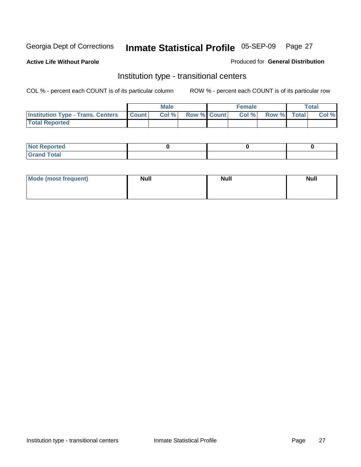**Active Life Without Parole** 

Produced for **General Distribution**

#### Institution type - transitional centers

|                                          |              | <b>Male</b> |                    | <b>Female</b> |             | Total |
|------------------------------------------|--------------|-------------|--------------------|---------------|-------------|-------|
| <b>Institution Type - Trans. Centers</b> | <b>Count</b> | Col%        | <b>Row % Count</b> | Col %         | Row % Total | Col % |
| <b>Total Reported</b>                    |              |             |                    |               |             |       |

| rtea<br>20 NGL 2<br>  |  |  |
|-----------------------|--|--|
| into!<br>---<br>_____ |  |  |

| Mode (most frequent) | <b>Null</b> | <b>Null</b> | <b>Null</b> |
|----------------------|-------------|-------------|-------------|
|                      |             |             |             |
|                      |             |             |             |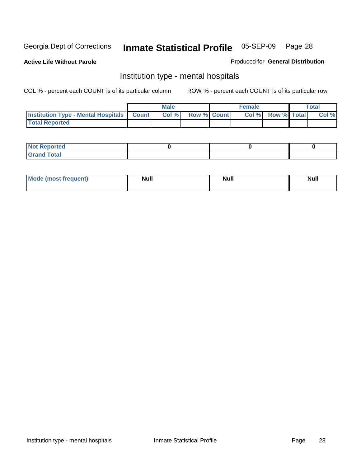**Active Life Without Parole** 

Produced for **General Distribution**

#### Institution type - mental hospitals

|                                                    | Male |                    | <b>Female</b> |                    | <b>Total</b> |
|----------------------------------------------------|------|--------------------|---------------|--------------------|--------------|
| <b>Institution Type - Mental Hospitals Count  </b> | Col% | <b>Row % Count</b> | Col%          | <b>Row % Total</b> | Col %        |
| <b>Total Reported</b>                              |      |                    |               |                    |              |

| <b>Not Reported</b>            |  |  |
|--------------------------------|--|--|
| <b>Total</b><br>$^\circ$ Grand |  |  |

| Mode (most frequent) | <b>Null</b> | <b>Null</b> | <b>Null</b> |
|----------------------|-------------|-------------|-------------|
|                      |             |             |             |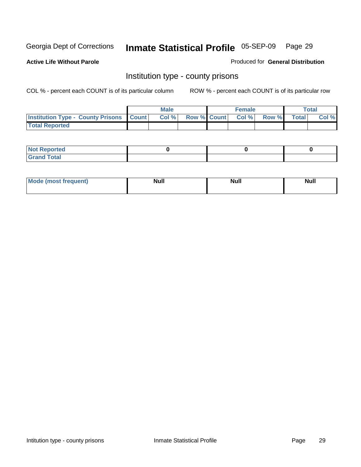**Active Life Without Parole** 

Produced for **General Distribution**

#### Institution type - county prisons

|                                                    | <b>Male</b> |  | <b>Female</b>            |              |       | Total |
|----------------------------------------------------|-------------|--|--------------------------|--------------|-------|-------|
| <b>Institution Type - County Prisons   Count  </b> | Col %       |  | <b>Row % Count Col %</b> | <b>Row %</b> | Total | Col % |
| <b>Total Reported</b>                              |             |  |                          |              |       |       |

| <b>Not</b><br><b>Reported</b> |  |  |
|-------------------------------|--|--|
| <b>Grand Total</b>            |  |  |

| Mode (m<br>frequent):<br>nnst | Moll<br>чин.<br>_____ | <b>Moll</b> | <b>Null</b> |
|-------------------------------|-----------------------|-------------|-------------|
|                               |                       |             |             |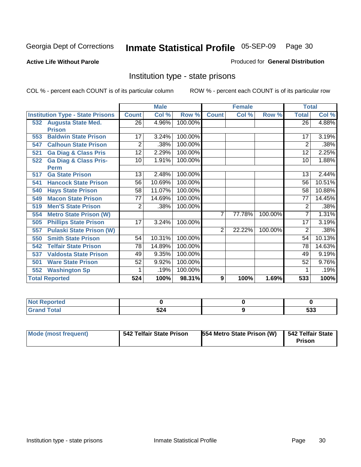#### **Active Life Without Parole**

#### Produced for **General Distribution**

#### Institution type - state prisons

|     |                                         |                 | <b>Male</b> |         |                | <b>Female</b> |         | <b>Total</b>    |        |
|-----|-----------------------------------------|-----------------|-------------|---------|----------------|---------------|---------|-----------------|--------|
|     | <b>Institution Type - State Prisons</b> | <b>Count</b>    | Col %       | Row %   | <b>Count</b>   | Col %         | Row %   | <b>Total</b>    | Col %  |
|     | 532 Augusta State Med.                  | $\overline{26}$ | 4.96%       | 100.00% |                |               |         | $\overline{26}$ | 4.88%  |
|     | <b>Prison</b>                           |                 |             |         |                |               |         |                 |        |
| 553 | <b>Baldwin State Prison</b>             | 17              | 3.24%       | 100.00% |                |               |         | 17              | 3.19%  |
| 547 | <b>Calhoun State Prison</b>             | $\overline{2}$  | .38%        | 100.00% |                |               |         | 2               | .38%   |
| 521 | <b>Ga Diag &amp; Class Pris</b>         | 12              | 2.29%       | 100.00% |                |               |         | 12              | 2.25%  |
| 522 | <b>Ga Diag &amp; Class Pris-</b>        | 10              | 1.91%       | 100.00% |                |               |         | 10              | 1.88%  |
|     | <b>Perm</b>                             |                 |             |         |                |               |         |                 |        |
| 517 | <b>Ga State Prison</b>                  | 13              | 2.48%       | 100.00% |                |               |         | 13              | 2.44%  |
| 541 | <b>Hancock State Prison</b>             | 56              | 10.69%      | 100.00% |                |               |         | 56              | 10.51% |
| 540 | <b>Hays State Prison</b>                | 58              | 11.07%      | 100.00% |                |               |         | 58              | 10.88% |
| 549 | <b>Macon State Prison</b>               | 77              | 14.69%      | 100.00% |                |               |         | 77              | 14.45% |
| 519 | <b>Men'S State Prison</b>               | 2               | .38%        | 100.00% |                |               |         | 2               | .38%   |
| 554 | <b>Metro State Prison (W)</b>           |                 |             |         | $\overline{7}$ | 77.78%        | 100.00% | 7               | 1.31%  |
| 505 | <b>Phillips State Prison</b>            | 17              | 3.24%       | 100.00% |                |               |         | 17              | 3.19%  |
| 557 | <b>Pulaski State Prison (W)</b>         |                 |             |         | 2              | 22.22%        | 100.00% | 2               | .38%   |
| 550 | <b>Smith State Prison</b>               | 54              | 10.31%      | 100.00% |                |               |         | 54              | 10.13% |
| 542 | <b>Telfair State Prison</b>             | 78              | 14.89%      | 100.00% |                |               |         | 78              | 14.63% |
| 537 | <b>Valdosta State Prison</b>            | 49              | 9.35%       | 100.00% |                |               |         | 49              | 9.19%  |
| 501 | <b>Ware State Prison</b>                | 52              | 9.92%       | 100.00% |                |               |         | 52              | 9.76%  |
| 552 | <b>Washington Sp</b>                    |                 | .19%        | 100.00% |                |               |         |                 | .19%   |
|     | <b>Total Reported</b>                   | 524             | 100%        | 98.31%  | 9              | 100%          | 1.69%   | 533             | 100%   |

| <b>Not Reported</b> |             |                          |
|---------------------|-------------|--------------------------|
| <b>cotal</b>        | につん<br>-944 | <b>ran</b><br><u>ააა</u> |

| 542 Telfair State Prison<br>Mode (most frequent) | 554 Metro State Prison (W) | 542 Telfair State<br>Prison |
|--------------------------------------------------|----------------------------|-----------------------------|
|--------------------------------------------------|----------------------------|-----------------------------|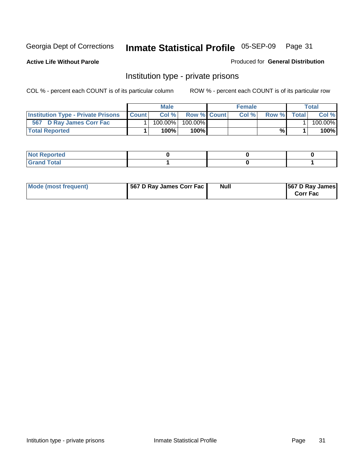**Active Life Without Parole** 

Produced for **General Distribution**

#### Institution type - private prisons

|                                           |              | <b>Male</b> |               | <b>Female</b> |       |       | Total   |
|-------------------------------------------|--------------|-------------|---------------|---------------|-------|-------|---------|
| <b>Institution Type - Private Prisons</b> | <b>Count</b> | Col %       | Row % Count   | Col %         | Row % | Total | Col %   |
| 567 D Ray James Corr Fac                  |              | $100.00\%$  | 100.00%       |               |       |       | 100.00% |
| <b>Total Reported</b>                     |              | 100%        | 100% <b>I</b> |               | %     |       | 100%    |

| <b>Not Reported</b>             |  |  |
|---------------------------------|--|--|
| <b>Total</b><br>Gr2<br>$\sim$ . |  |  |

| Mode (most frequent) | 567 D Ray James Corr Fac | <b>Null</b> | <b>567 D Ray James</b><br><b>Corr Fac</b> |
|----------------------|--------------------------|-------------|-------------------------------------------|
|----------------------|--------------------------|-------------|-------------------------------------------|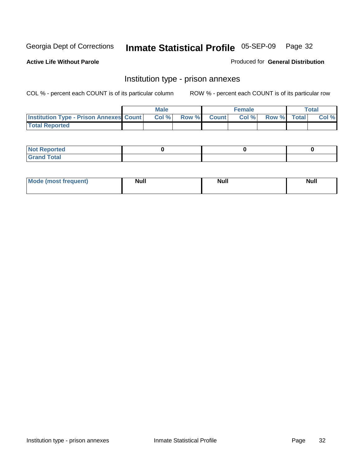**Active Life Without Parole** 

Produced for **General Distribution**

#### Institution type - prison annexes

|                                                | <b>Male</b> |             | <b>Female</b> |             | <b>Total</b> |
|------------------------------------------------|-------------|-------------|---------------|-------------|--------------|
| <b>Institution Type - Prison Annexes Count</b> | Col %       | Row % Count | Col%          | Row % Total | Col %        |
| <b>Total Reported</b>                          |             |             |               |             |              |

| <b>Not</b><br><b>Reported</b>    |  |  |
|----------------------------------|--|--|
| <b>Total</b><br>Gran<br>$\sim$ . |  |  |

| Mode (most frequent) | <b>Null</b> | <b>Null</b> | <b>Null</b> |
|----------------------|-------------|-------------|-------------|
|                      |             |             |             |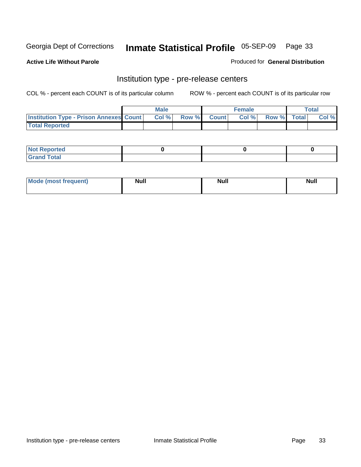**Active Life Without Parole** 

Produced for **General Distribution**

#### Institution type - pre-release centers

|                                                | <b>Male</b> |             | <b>Female</b> |             | <b>Total</b> |
|------------------------------------------------|-------------|-------------|---------------|-------------|--------------|
| <b>Institution Type - Prison Annexes Count</b> | Col %       | Row % Count | Col%          | Row % Total | Col %        |
| <b>Total Reported</b>                          |             |             |               |             |              |

| <b>Not</b><br><b>Reported</b>    |  |  |
|----------------------------------|--|--|
| <b>Total</b><br>Gran<br>$\sim$ . |  |  |

| Mode (most frequent) | <b>Null</b> | <b>Null</b><br>_____ | <b>Null</b> |
|----------------------|-------------|----------------------|-------------|
|                      |             |                      |             |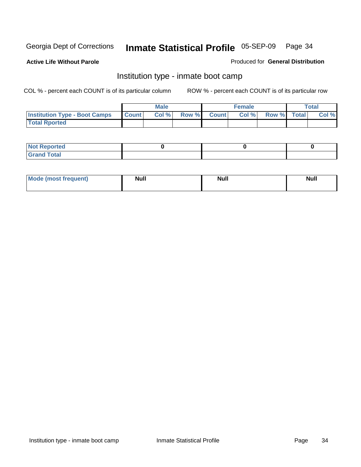**Active Life Without Parole** 

Produced for **General Distribution**

#### Institution type - inmate boot camp

|                                      |              | <b>Male</b> |                    | <b>Female</b> |             | <b>Total</b> |
|--------------------------------------|--------------|-------------|--------------------|---------------|-------------|--------------|
| <b>Institution Type - Boot Camps</b> | <b>Count</b> | Col%        | <b>Row % Count</b> | Col%          | Row % Total | Col %        |
| <b>Total Rported</b>                 |              |             |                    |               |             |              |

| <b>Not Reported</b>  |  |  |
|----------------------|--|--|
| <b>Total</b><br>Croy |  |  |

| <b>Mode (most frequent)</b> | <b>Null</b> | <b>Null</b> | <b>Null</b> |
|-----------------------------|-------------|-------------|-------------|
|                             |             |             |             |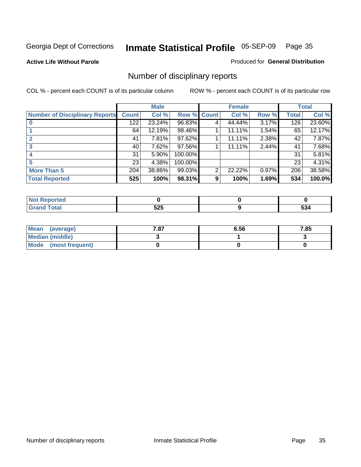**Active Life Without Parole** 

Produced for **General Distribution**

## Number of disciplinary reports

|                                       |              | <b>Male</b> |             |   | <b>Female</b> |       |       | <b>Total</b> |
|---------------------------------------|--------------|-------------|-------------|---|---------------|-------|-------|--------------|
| <b>Number of Disciplinary Reports</b> | <b>Count</b> | Col %       | Row % Count |   | Col %         | Row % | Total | Col %        |
|                                       | 122          | 23.24%      | 96.83%      | 4 | 44.44%        | 3.17% | 126   | 23.60%       |
|                                       | 64           | 12.19%      | 98.46%      |   | 11.11%        | 1.54% | 65    | 12.17%       |
| $\mathbf 2$                           | 41           | 7.81%       | 97.62%      |   | 11.11%        | 2.38% | 42    | 7.87%        |
| 3                                     | 40           | 7.62%       | 97.56%      |   | 11.11%        | 2.44% | 41    | 7.68%        |
|                                       | 31           | 5.90%       | 100.00%     |   |               |       | 31    | 5.81%        |
| 5                                     | 23           | 4.38%       | 100.00%     |   |               |       | 23    | 4.31%        |
| <b>More Than 5</b>                    | 204          | 38.86%      | 99.03%      | 2 | 22.22%        | 0.97% | 206   | 38.58%       |
| <b>Total Reported</b>                 | 525          | 100%        | 98.31%      | 9 | 100%          | 1.69% | 534   | 100.0%       |

| N<br>Ter.      |     |     |
|----------------|-----|-----|
| T <sub>5</sub> | につに | -^  |
|                | ◡∸◡ | უე4 |

| Mean (average)       | 7.87 | 6.56 | 7.85 |
|----------------------|------|------|------|
| Median (middle)      |      |      |      |
| Mode (most frequent) |      |      |      |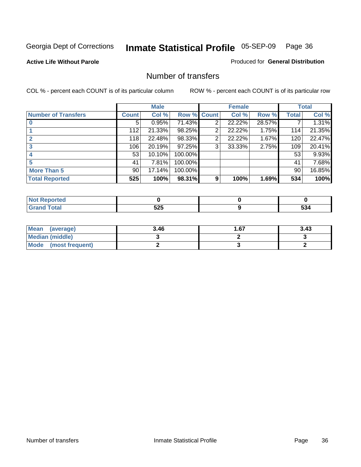#### **Active Life Without Parole**

#### Produced for **General Distribution**

#### Number of transfers

|                            |              | <b>Male</b> |             |                | <b>Female</b> |        |              | <b>Total</b> |
|----------------------------|--------------|-------------|-------------|----------------|---------------|--------|--------------|--------------|
| <b>Number of Transfers</b> | <b>Count</b> | Col %       | Row % Count |                | Col %         | Row %  | <b>Total</b> | Col %        |
|                            | 5            | 0.95%       | 71.43%      | 2              | 22.22%        | 28.57% |              | 1.31%        |
|                            | 112          | 21.33%      | 98.25%      | 2              | 22.22%        | 1.75%  | 114          | 21.35%       |
|                            | 118          | 22.48%      | 98.33%      | $\overline{2}$ | 22.22%        | 1.67%  | 120          | 22.47%       |
|                            | 106          | 20.19%      | 97.25%      | 3              | 33.33%        | 2.75%  | 109          | 20.41%       |
|                            | 53           | 10.10%      | 100.00%     |                |               |        | 53           | 9.93%        |
|                            | 41           | 7.81%       | 100.00%     |                |               |        | 41           | 7.68%        |
| <b>More Than 5</b>         | 90           | 17.14%      | 100.00%     |                |               |        | 90           | 16.85%       |
| <b>Total Reported</b>      | 525          | 100%        | 98.31%      | 9              | 100%          | 1.69%  | 534          | 100%         |

| IN 6<br>чес. |     |     |
|--------------|-----|-----|
| $T$ stori    | につに |     |
|              | ◡∸◡ | უა4 |

| Mean (average)       | 3.46 | l .67 | 3.43 |
|----------------------|------|-------|------|
| Median (middle)      |      |       |      |
| Mode (most frequent) |      |       |      |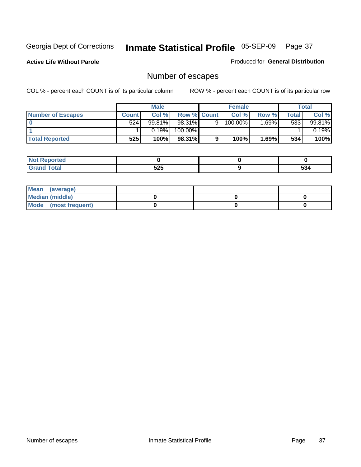**Active Life Without Parole** 

Produced for **General Distribution**

## Number of escapes

|                       |         | <b>Male</b> |                    |   | <b>Female</b> |         |       | <b>Total</b> |
|-----------------------|---------|-------------|--------------------|---|---------------|---------|-------|--------------|
| Number of Escapes     | Count l | Col %       | <b>Row % Count</b> |   | Col %         | Row %   | Total | Col %        |
|                       | 524     | 99.81%      | $98.31\%$          | 9 | 100.00%       | l.69% l | 533   | 99.81%       |
|                       |         | 0.19%       | 100.00%            |   |               |         |       | 0.19%        |
| <b>Total Reported</b> | 525     | 100%        | $98.31\%$          |   | 100%          | 1.69%   | 534   | 100%         |

| the said that the<br>тео |     |      |
|--------------------------|-----|------|
| <b>Utal</b>              | につに | --   |
| $-1$ - $-1$ - $-1$       | JLJ | - აა |

| Mean (average)       |  |  |
|----------------------|--|--|
| Median (middle)      |  |  |
| Mode (most frequent) |  |  |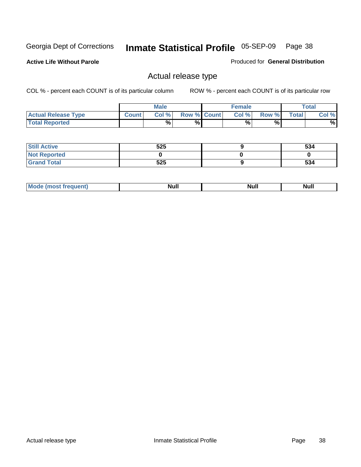**Active Life Without Parole** 

Produced for **General Distribution**

## Actual release type

|                            |              | <b>Male</b> |                    | <b>Female</b> |       |              | $\tau$ otal |
|----------------------------|--------------|-------------|--------------------|---------------|-------|--------------|-------------|
| <b>Actual Release Type</b> | <b>Count</b> | Col %       | <b>Row % Count</b> | Col %         | Row % | <b>Total</b> | Col %       |
| <b>Total Reported</b>      |              | $\%$        | %                  | %             | %     |              | %           |

| <b>Still Active</b> | 525 | 534 |
|---------------------|-----|-----|
| <b>Not Reported</b> |     |     |
| <b>Grand Total</b>  | 525 | 534 |

| M<br>_____<br>_____ | NI | Null | $\cdots$ |
|---------------------|----|------|----------|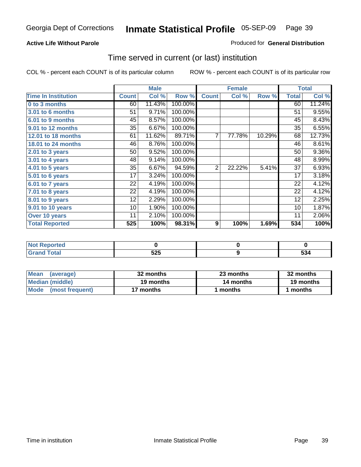### **Active Life Without Parole**

### Produced for **General Distribution**

## Time served in current (or last) institution

|                            |              | <b>Male</b> |         |                  | <b>Female</b> |        |              | <b>Total</b> |
|----------------------------|--------------|-------------|---------|------------------|---------------|--------|--------------|--------------|
| <b>Time In Institution</b> | <b>Count</b> | Col %       | Row %   | <b>Count</b>     | Col %         | Row %  | <b>Total</b> | Col %        |
| 0 to 3 months              | 60           | 11.43%      | 100.00% |                  |               |        | 60           | 11.24%       |
| 3.01 to 6 months           | 51           | 9.71%       | 100.00% |                  |               |        | 51           | 9.55%        |
| 6.01 to 9 months           | 45           | 8.57%       | 100.00% |                  |               |        | 45           | 8.43%        |
| 9.01 to 12 months          | 35           | 6.67%       | 100.00% |                  |               |        | 35           | 6.55%        |
| 12.01 to 18 months         | 61           | 11.62%      | 89.71%  | $\overline{7}$   | 77.78%        | 10.29% | 68           | 12.73%       |
| 18.01 to 24 months         | 46           | 8.76%       | 100.00% |                  |               |        | 46           | 8.61%        |
| 2.01 to 3 years            | 50           | 9.52%       | 100.00% |                  |               |        | 50           | 9.36%        |
| 3.01 to 4 years            | 48           | 9.14%       | 100.00% |                  |               |        | 48           | 8.99%        |
| 4.01 to 5 years            | 35           | 6.67%       | 94.59%  | $\overline{2}$   | 22.22%        | 5.41%  | 37           | 6.93%        |
| $5.01$ to 6 years          | 17           | 3.24%       | 100.00% |                  |               |        | 17           | 3.18%        |
| 6.01 to 7 years            | 22           | 4.19%       | 100.00% |                  |               |        | 22           | 4.12%        |
| $7.01$ to 8 years          | 22           | 4.19%       | 100.00% |                  |               |        | 22           | 4.12%        |
| 8.01 to 9 years            | 12           | 2.29%       | 100.00% |                  |               |        | 12           | 2.25%        |
| 9.01 to 10 years           | 10           | 1.90%       | 100.00% |                  |               |        | 10           | 1.87%        |
| Over 10 years              | 11           | 2.10%       | 100.00% |                  |               |        | 11           | 2.06%        |
| <b>Total Reported</b>      | 525          | 100%        | 98.31%  | $\boldsymbol{9}$ | 100%          | 1.69%  | 534          | 100%         |

| <b>Reported</b><br><b>NOT</b> |            |           |
|-------------------------------|------------|-----------|
| <b>otal</b>                   | につに<br>ບ∠ບ | -^<br>JJ. |

| <b>Mean</b><br>(average) | 32 months | 23 months | 32 months |  |
|--------------------------|-----------|-----------|-----------|--|
| Median (middle)          | 19 months | 14 months | 19 months |  |
| Mode (most frequent)     | 17 months | ' months  | months    |  |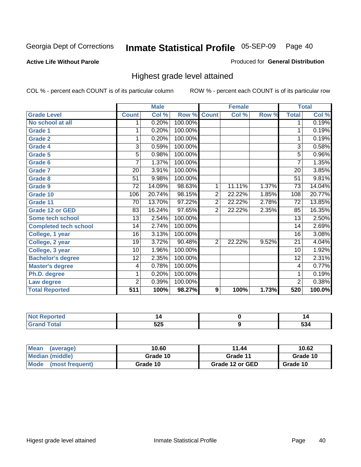### **Active Life Without Parole**

### Produced for **General Distribution**

## Highest grade level attained

|                              |                 | <b>Male</b> |         |                | <b>Female</b> |       |                | <b>Total</b> |
|------------------------------|-----------------|-------------|---------|----------------|---------------|-------|----------------|--------------|
| <b>Grade Level</b>           | <b>Count</b>    | Col %       | Row %   | <b>Count</b>   | Col %         | Row % | <b>Total</b>   | Col %        |
| No school at all             | 1.              | 0.20%       | 100.00% |                |               |       | 1              | 0.19%        |
| <b>Grade 1</b>               | 1               | 0.20%       | 100.00% |                |               |       | 1              | 0.19%        |
| <b>Grade 2</b>               | 1               | 0.20%       | 100.00% |                |               |       | 1              | 0.19%        |
| <b>Grade 4</b>               | 3               | 0.59%       | 100.00% |                |               |       | $\overline{3}$ | 0.58%        |
| Grade 5                      | 5               | 0.98%       | 100.00% |                |               |       | $\overline{5}$ | 0.96%        |
| Grade 6                      | 7               | 1.37%       | 100.00% |                |               |       | 7              | 1.35%        |
| <b>Grade 7</b>               | 20              | 3.91%       | 100.00% |                |               |       | 20             | 3.85%        |
| <b>Grade 8</b>               | 51              | 9.98%       | 100.00% |                |               |       | 51             | 9.81%        |
| <b>Grade 9</b>               | 72              | 14.09%      | 98.63%  | 1              | 11.11%        | 1.37% | 73             | 14.04%       |
| Grade 10                     | 106             | 20.74%      | 98.15%  | $\overline{2}$ | 22.22%        | 1.85% | 108            | 20.77%       |
| Grade 11                     | $\overline{70}$ | 13.70%      | 97.22%  | $\overline{2}$ | 22.22%        | 2.78% | 72             | 13.85%       |
| <b>Grade 12 or GED</b>       | 83              | 16.24%      | 97.65%  | $\overline{2}$ | 22.22%        | 2.35% | 85             | 16.35%       |
| <b>Some tech school</b>      | $\overline{13}$ | 2.54%       | 100.00% |                |               |       | 13             | 2.50%        |
| <b>Completed tech school</b> | 14              | 2.74%       | 100.00% |                |               |       | 14             | 2.69%        |
| College, 1 year              | 16              | 3.13%       | 100.00% |                |               |       | 16             | 3.08%        |
| College, 2 year              | 19              | 3.72%       | 90.48%  | $\overline{2}$ | 22.22%        | 9.52% | 21             | 4.04%        |
| College, 3 year              | 10              | 1.96%       | 100.00% |                |               |       | 10             | 1.92%        |
| <b>Bachelor's degree</b>     | 12              | 2.35%       | 100.00% |                |               |       | 12             | 2.31%        |
| <b>Master's degree</b>       | 4               | 0.78%       | 100.00% |                |               |       | 4              | 0.77%        |
| Ph.D. degree                 | 1               | 0.20%       | 100.00% |                |               |       | 1              | 0.19%        |
| Law degree                   | $\overline{2}$  | 0.39%       | 100.00% |                |               |       | $\overline{2}$ | 0.38%        |
| <b>Total Reported</b>        | 511             | 100%        | 98.27%  | 9              | 100%          | 1.73% | 520            | 100.0%       |

| тео | L          | 14        |
|-----|------------|-----------|
|     | につに<br>ง∠ง | -^<br>ບບ∙ |

| <b>Mean</b><br>(average) | 10.60    | 11.44           | 10.62    |  |
|--------------------------|----------|-----------------|----------|--|
| Median (middle)          | Grade 10 | Grade 11        | Grade 10 |  |
| Mode<br>(most frequent)  | Grade 10 | Grade 12 or GED | Grade 10 |  |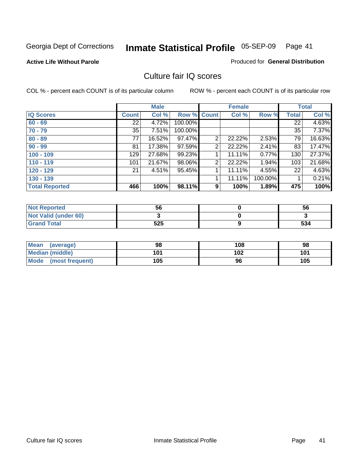### **Active Life Without Parole**

### Produced for **General Distribution**

## Culture fair IQ scores

|                       |              | <b>Male</b> |             |                | <b>Female</b> |          |              | <b>Total</b> |
|-----------------------|--------------|-------------|-------------|----------------|---------------|----------|--------------|--------------|
| <b>IQ Scores</b>      | <b>Count</b> | Col %       | Row % Count |                | Col %         | Row %    | <b>Total</b> | Col %        |
| $60 - 69$             | 22           | 4.72%       | 100.00%     |                |               |          | 22           | 4.63%        |
| $70 - 79$             | 35           | 7.51%       | 100.00%     |                |               |          | 35           | 7.37%        |
| $80 - 89$             | 77           | 16.52%      | 97.47%      | $\overline{2}$ | 22.22%        | $2.53\%$ | 79           | 16.63%       |
| $90 - 99$             | 81           | 17.38%      | 97.59%      | 2              | 22.22%        | 2.41%    | 83           | 17.47%       |
| $100 - 109$           | 129          | 27.68%      | 99.23%      |                | 11.11%        | 0.77%    | 130          | 27.37%       |
| $110 - 119$           | 101          | 21.67%      | 98.06%      | 2              | 22.22%        | 1.94%    | 103          | 21.68%       |
| $120 - 129$           | 21           | 4.51%       | 95.45%      | 1              | 11.11%        | 4.55%    | 22           | 4.63%        |
| $130 - 139$           |              |             |             |                | 11.11%        | 100.00%  |              | 0.21%        |
| <b>Total Reported</b> | 466          | 100%        | 98.11%      | 9              | 100%          | 1.89%    | 475          | 100%         |

| <b>Not Reported</b>  | 56  | 56  |
|----------------------|-----|-----|
| Not Valid (under 60) |     |     |
| <b>Grand Total</b>   | 525 | 534 |

| <b>Mean</b><br>(average) | 98  | 108 | 98  |
|--------------------------|-----|-----|-----|
| <b>Median (middle)</b>   | 101 | 102 | 101 |
| Mode (most frequent)     | 105 | 96  | 105 |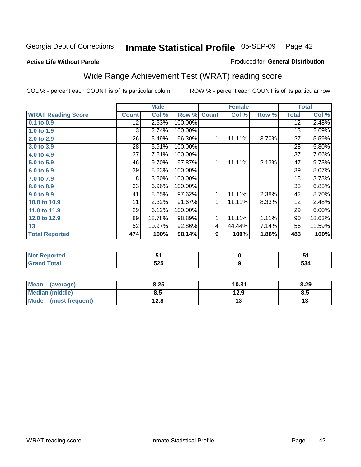### **Active Life Without Parole**

### Produced for **General Distribution**

## Wide Range Achievement Test (WRAT) reading score

|                           |                 | <b>Male</b> |         |                  | <b>Female</b>    |       |                 | <b>Total</b> |
|---------------------------|-----------------|-------------|---------|------------------|------------------|-------|-----------------|--------------|
| <b>WRAT Reading Score</b> | <b>Count</b>    | Col %       | Row %   | <b>Count</b>     | Col %            | Row % | <b>Total</b>    | Col %        |
| 0.1 to 0.9                | $\overline{12}$ | 2.53%       | 100.00% |                  |                  |       | $\overline{12}$ | 2.48%        |
| 1.0 to 1.9                | 13              | 2.74%       | 100.00% |                  |                  |       | 13              | 2.69%        |
| 2.0 to 2.9                | 26              | 5.49%       | 96.30%  | 1                | 11.11%           | 3.70% | $\overline{27}$ | 5.59%        |
| 3.0 to 3.9                | 28              | 5.91%       | 100.00% |                  |                  |       | 28              | 5.80%        |
| 4.0 to 4.9                | 37              | 7.81%       | 100.00% |                  |                  |       | 37              | 7.66%        |
| 5.0 to 5.9                | 46              | 9.70%       | 97.87%  | 1                | 11.11%           | 2.13% | 47              | 9.73%        |
| 6.0 to 6.9                | 39              | 8.23%       | 100.00% |                  |                  |       | 39              | 8.07%        |
| 7.0 to 7.9                | 18              | 3.80%       | 100.00% |                  |                  |       | 18              | 3.73%        |
| 8.0 to 8.9                | 33              | 6.96%       | 100.00% |                  |                  |       | 33              | 6.83%        |
| 9.0 to 9.9                | 41              | 8.65%       | 97.62%  | 1                | 11.11%           | 2.38% | 42              | 8.70%        |
| 10.0 to 10.9              | 11              | 2.32%       | 91.67%  | 1                | 11.11%           | 8.33% | 12              | 2.48%        |
| 11.0 to 11.9              | 29              | 6.12%       | 100.00% |                  |                  |       | 29              | 6.00%        |
| 12.0 to 12.9              | 89              | 18.78%      | 98.89%  | 1                | 11.11%           | 1.11% | 90              | 18.63%       |
| 13                        | 52              | 10.97%      | 92.86%  | 4                | 44.44%           | 7.14% | 56              | 11.59%       |
| <b>Total Reported</b>     | 474             | 100%        | 98.14%  | $\boldsymbol{9}$ | 100%             | 1.86% | 483             | 100%         |
|                           |                 |             |         |                  |                  |       |                 |              |
| <b>Not Reported</b>       |                 | 51          |         |                  | $\pmb{0}$        |       |                 | 51           |
| <b>Grand Total</b>        |                 | 525         |         |                  | $\boldsymbol{9}$ |       |                 | 534          |

| Mean<br>(average)    | 8.25 | 10.31 | 8.29 |
|----------------------|------|-------|------|
| Median (middle)      | 8.5  | 12.9  | 8.5  |
| Mode (most frequent) | 12.8 | 10    | 13   |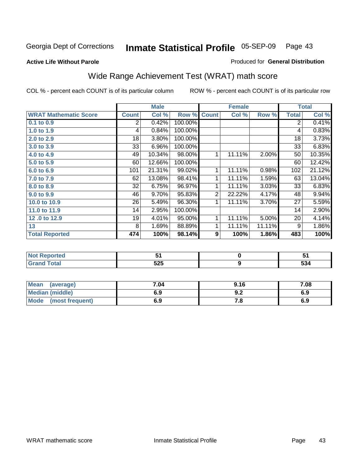### **Active Life Without Parole**

### Produced for **General Distribution**

## Wide Range Achievement Test (WRAT) math score

|                              |                 | <b>Male</b> |         |                | <b>Female</b>    |        |                 | <b>Total</b> |
|------------------------------|-----------------|-------------|---------|----------------|------------------|--------|-----------------|--------------|
| <b>WRAT Mathematic Score</b> | <b>Count</b>    | Col %       | Row %   | <b>Count</b>   | Col %            | Row %  | <b>Total</b>    | Col %        |
| 0.1 to 0.9                   | 2               | 0.42%       | 100.00% |                |                  |        | $\overline{2}$  | 0.41%        |
| 1.0 to 1.9                   | 4               | 0.84%       | 100.00% |                |                  |        | 4               | 0.83%        |
| 2.0 to 2.9                   | 18              | 3.80%       | 100.00% |                |                  |        | 18              | 3.73%        |
| 3.0 to 3.9                   | $\overline{33}$ | 6.96%       | 100.00% |                |                  |        | $\overline{33}$ | 6.83%        |
| 4.0 to 4.9                   | 49              | 10.34%      | 98.00%  | 1              | 11.11%           | 2.00%  | 50              | 10.35%       |
| 5.0 to 5.9                   | 60              | 12.66%      | 100.00% |                |                  |        | 60              | 12.42%       |
| 6.0 to 6.9                   | 101             | 21.31%      | 99.02%  | 1              | 11.11%           | 0.98%  | 102             | 21.12%       |
| 7.0 to 7.9                   | 62              | 13.08%      | 98.41%  | 1              | 11.11%           | 1.59%  | 63              | 13.04%       |
| 8.0 to 8.9                   | 32              | 6.75%       | 96.97%  | $\mathbf{1}$   | 11.11%           | 3.03%  | 33              | 6.83%        |
| 9.0 to 9.9                   | 46              | 9.70%       | 95.83%  | $\overline{2}$ | 22.22%           | 4.17%  | 48              | 9.94%        |
| 10.0 to 10.9                 | 26              | 5.49%       | 96.30%  | 1              | 11.11%           | 3.70%  | 27              | 5.59%        |
| 11.0 to 11.9                 | 14              | 2.95%       | 100.00% |                |                  |        | 14              | 2.90%        |
| 12.0 to 12.9                 | 19              | 4.01%       | 95.00%  | $\mathbf{1}$   | 11.11%           | 5.00%  | 20              | 4.14%        |
| 13                           | 8               | 1.69%       | 88.89%  | 1              | 11.11%           | 11.11% | 9               | 1.86%        |
| <b>Total Reported</b>        | 474             | 100%        | 98.14%  | 9              | 100%             | 1.86%  | 483             | 100%         |
|                              |                 |             |         |                |                  |        |                 |              |
| <b>Not Reported</b>          |                 | 51          |         |                | $\pmb{0}$        |        |                 | 51           |
| <b>Grand Total</b>           |                 | 525         |         |                | $\boldsymbol{9}$ |        |                 | 534          |

| <b>Mean</b><br>(average) | 7.04 | 9.16 | 7.08 |
|--------------------------|------|------|------|
| Median (middle)          | 6.9  | 9.Z  | 6.9  |
| Mode<br>(most frequent)  | 6.9  | . o  | 6.9  |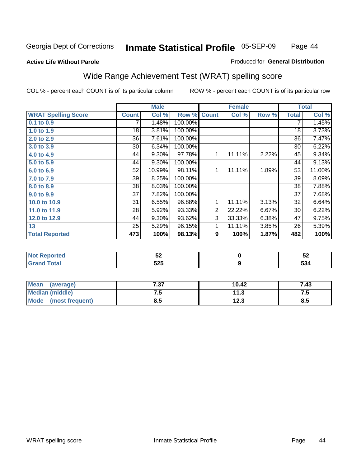Page 44

### **Active Life Without Parole**

### Produced for **General Distribution**

## Wide Range Achievement Test (WRAT) spelling score

|                            |              | <b>Male</b> |         |                  | <b>Female</b>    |       |              | <b>Total</b> |
|----------------------------|--------------|-------------|---------|------------------|------------------|-------|--------------|--------------|
| <b>WRAT Spelling Score</b> | <b>Count</b> | Col %       | Row %   | <b>Count</b>     | Col %            | Row % | <b>Total</b> | Col %        |
| $0.1$ to $0.9$             |              | 1.48%       | 100.00% |                  |                  |       | 7            | 1.45%        |
| 1.0 to 1.9                 | 18           | 3.81%       | 100.00% |                  |                  |       | 18           | 3.73%        |
| 2.0 to 2.9                 | 36           | 7.61%       | 100.00% |                  |                  |       | 36           | 7.47%        |
| 3.0 to 3.9                 | 30           | 6.34%       | 100.00% |                  |                  |       | 30           | 6.22%        |
| 4.0 to 4.9                 | 44           | 9.30%       | 97.78%  | 1                | 11.11%           | 2.22% | 45           | 9.34%        |
| 5.0 to 5.9                 | 44           | 9.30%       | 100.00% |                  |                  |       | 44           | 9.13%        |
| 6.0 to 6.9                 | 52           | 10.99%      | 98.11%  | 1                | 11.11%           | 1.89% | 53           | 11.00%       |
| 7.0 to 7.9                 | 39           | 8.25%       | 100.00% |                  |                  |       | 39           | 8.09%        |
| 8.0 to 8.9                 | 38           | 8.03%       | 100.00% |                  |                  |       | 38           | 7.88%        |
| 9.0 to 9.9                 | 37           | 7.82%       | 100.00% |                  |                  |       | 37           | 7.68%        |
| 10.0 to 10.9               | 31           | 6.55%       | 96.88%  | 1                | 11.11%           | 3.13% | 32           | 6.64%        |
| 11.0 to 11.9               | 28           | 5.92%       | 93.33%  | $\overline{2}$   | 22.22%           | 6.67% | 30           | 6.22%        |
| 12.0 to 12.9               | 44           | 9.30%       | 93.62%  | 3                | 33.33%           | 6.38% | 47           | 9.75%        |
| 13                         | 25           | 5.29%       | 96.15%  | 1                | 11.11%           | 3.85% | 26           | 5.39%        |
| <b>Total Reported</b>      | 473          | 100%        | 98.13%  | $\boldsymbol{9}$ | 100%             | 1.87% | 482          | 100%         |
|                            |              |             |         |                  |                  |       |              |              |
| <b>Not Reported</b>        |              | 52          |         |                  | $\pmb{0}$        |       |              | 52           |
| <b>Grand Total</b>         |              | 525         |         |                  | $\boldsymbol{9}$ |       |              | 534          |

| Mean (average)       | 7.37 | 10.42 | 7.43 |
|----------------------|------|-------|------|
| Median (middle)      | . J  | 11.3  | r. 1 |
| Mode (most frequent) | 8.5  | 12.3  | 8.5  |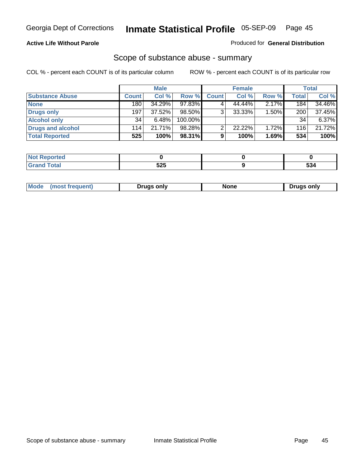### **Active Life Without Parole**

### Produced for **General Distribution**

## Scope of substance abuse - summary

|                        |              | <b>Male</b> |            |              | <b>Female</b> |          |                  | Total    |
|------------------------|--------------|-------------|------------|--------------|---------------|----------|------------------|----------|
| <b>Substance Abuse</b> | <b>Count</b> | Col %       | Row %      | <b>Count</b> | Col %         | Row %    | Total            | Col %    |
| <b>None</b>            | 180          | 34.29%      | 97.83%     |              | 44.44%        | $2.17\%$ | 184              | 34.46%   |
| Drugs only             | 197          | 37.52%      | 98.50%     | 3            | 33.33%        | $1.50\%$ | 200 <sub>1</sub> | 37.45%   |
| <b>Alcohol only</b>    | 34           | 6.48%       | $100.00\%$ |              |               |          | 34               | $6.37\%$ |
| Drugs and alcohol      | 114          | 21.71%      | 98.28%     | ົ            | 22.22%        | 1.72%    | 116              | 21.72%   |
| <b>Total Reported</b>  | 525          | 100%        | 98.31%     | 9            | 100%          | 1.69%    | 534              | 100%     |

| <b>Not</b><br>Reported         |            |     |
|--------------------------------|------------|-----|
| <b>Total</b><br><b>'</b> Gran⊾ | につに<br>ວ∠ວ | აა4 |

| ruas onlv<br>one<br>only<br>Pruas .<br>онеш. | Mode |  |  |  |
|----------------------------------------------|------|--|--|--|
|----------------------------------------------|------|--|--|--|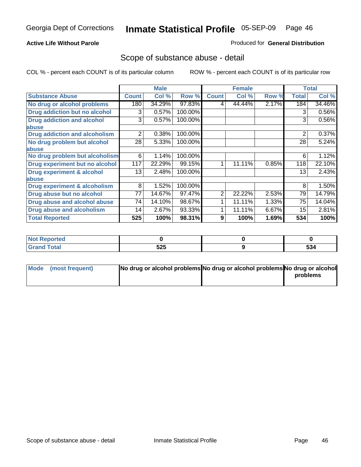## **Active Life Without Parole**

## Produced for **General Distribution**

## Scope of substance abuse - detail

|                                      |              | <b>Male</b> |         |              | <b>Female</b> |       |                | <b>Total</b> |
|--------------------------------------|--------------|-------------|---------|--------------|---------------|-------|----------------|--------------|
| <b>Substance Abuse</b>               | <b>Count</b> | Col %       | Row %   | <b>Count</b> | Col %         | Row % | <b>Total</b>   | Col %        |
| No drug or alcohol problems          | 180          | 34.29%      | 97.83%  | 4            | 44.44%        | 2.17% | 184            | 34.46%       |
| Drug addiction but no alcohol        | 3            | 0.57%       | 100.00% |              |               |       | 3              | 0.56%        |
| <b>Drug addiction and alcohol</b>    | 3            | 0.57%       | 100.00% |              |               |       | 3              | 0.56%        |
| abuse                                |              |             |         |              |               |       |                |              |
| <b>Drug addiction and alcoholism</b> | 2            | 0.38%       | 100.00% |              |               |       | $\overline{2}$ | 0.37%        |
| No drug problem but alcohol          | 28           | 5.33%       | 100.00% |              |               |       | 28             | 5.24%        |
| abuse                                |              |             |         |              |               |       |                |              |
| No drug problem but alcoholism       | 6            | 1.14%       | 100.00% |              |               |       | 6              | 1.12%        |
| Drug experiment but no alcohol       | 117          | 22.29%      | 99.15%  | 1            | 11.11%        | 0.85% | 118            | 22.10%       |
| <b>Drug experiment &amp; alcohol</b> | 13           | 2.48%       | 100.00% |              |               |       | 13             | 2.43%        |
| abuse                                |              |             |         |              |               |       |                |              |
| Drug experiment & alcoholism         | 8            | 1.52%       | 100.00% |              |               |       | 8              | 1.50%        |
| Drug abuse but no alcohol            | 77           | 14.67%      | 97.47%  | 2            | 22.22%        | 2.53% | 79             | 14.79%       |
| Drug abuse and alcohol abuse         | 74           | 14.10%      | 98.67%  |              | 11.11%        | 1.33% | 75             | 14.04%       |
| Drug abuse and alcoholism            | 14           | 2.67%       | 93.33%  |              | 11.11%        | 6.67% | 15             | 2.81%        |
| <b>Total Reported</b>                | 525          | 100%        | 98.31%  | 9            | 100%          | 1.69% | 534            | 100%         |

| ∣Not Reported |     |     |
|---------------|-----|-----|
| <b>Total</b>  | ドウド | -0  |
| $\sim$ .      | ວ∠ວ | OO4 |

| Mode (most frequent) | No drug or alcohol problems No drug or alcohol problems No drug or alcohol |          |
|----------------------|----------------------------------------------------------------------------|----------|
|                      |                                                                            | problems |
|                      |                                                                            |          |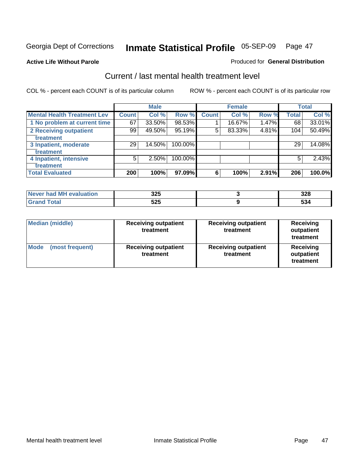**Active Life Without Parole** 

### Produced for **General Distribution**

## Current / last mental health treatment level

|                                    |       | <b>Male</b> |         |              | <b>Female</b> |       |              | <b>Total</b> |
|------------------------------------|-------|-------------|---------|--------------|---------------|-------|--------------|--------------|
| <b>Mental Health Treatment Lev</b> | Count | Col %       | Row %   | <b>Count</b> | Col %         | Row % | <b>Total</b> | Col %        |
| 1 No problem at current time       | 67    | 33.50%      | 98.53%  |              | 16.67%        | 1.47% | 68           | 33.01%       |
| 2 Receiving outpatient             | 99    | 49.50%      | 95.19%  | 5            | 83.33%        | 4.81% | 104          | 50.49%       |
| treatment                          |       |             |         |              |               |       |              |              |
| 3 Inpatient, moderate              | 29    | 14.50%      | 100.00% |              |               |       | 29           | 14.08%       |
| treatment                          |       |             |         |              |               |       |              |              |
| 4 Inpatient, intensive             | 5     | 2.50%       | 100.00% |              |               |       | 5            | 2.43%        |
| treatment                          |       |             |         |              |               |       |              |              |
| <b>Total Evaluated</b>             | 200   | 100%        | 97.09%  | 6            | 100%          | 2.91% | 206          | 100.0%       |

| Never had MH evaluation | ククド<br>JZJ | າາດ<br>ە∡د |
|-------------------------|------------|------------|
|                         | 525        | $-2$<br>◡◡ |

| <b>Median (middle)</b>         | <b>Receiving outpatient</b><br>treatment | <b>Receiving outpatient</b><br>treatment | <b>Receiving</b><br>outpatient<br>treatment |
|--------------------------------|------------------------------------------|------------------------------------------|---------------------------------------------|
| <b>Mode</b><br>(most frequent) | <b>Receiving outpatient</b><br>treatment | <b>Receiving outpatient</b><br>treatment | Receiving<br>outpatient<br>treatment        |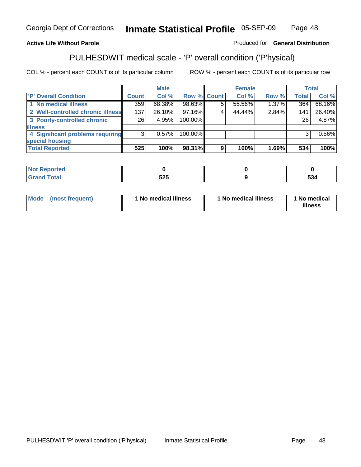## **Active Life Without Parole**

Produced for **General Distribution**

## PULHESDWIT medical scale - 'P' overall condition ('P'hysical)

|                                   |                 | <b>Male</b> |             |   | <b>Female</b> |       |                 | <b>Total</b> |
|-----------------------------------|-----------------|-------------|-------------|---|---------------|-------|-----------------|--------------|
| 'P' Overall Condition             | Count l         | Col %       | Row % Count |   | Col %         | Row % | <b>Total</b>    | Col %        |
| 1 No medical illness              | 359             | 68.38%      | 98.63%      | 5 | 55.56%        | 1.37% | 364             | 68.16%       |
| 2 Well-controlled chronic illness | 137             | 26.10%      | 97.16%      |   | 44.44%        | 2.84% | 141             | 26.40%       |
| 3 Poorly-controlled chronic       | 26 <sub>1</sub> | 4.95%       | 100.00%     |   |               |       | 26 <sub>1</sub> | 4.87%        |
| <b>illness</b>                    |                 |             |             |   |               |       |                 |              |
| 4 Significant problems requiring  | 3 <sup>1</sup>  | $0.57\%$    | 100.00%     |   |               |       | 3               | $0.56\%$     |
| special housing                   |                 |             |             |   |               |       |                 |              |
| <b>Total Reported</b>             | 525             | 100%        | 98.31%      | 9 | 100%          | 1.69% | 534             | 100%         |

| Not Reported |                   |     |
|--------------|-------------------|-----|
| <b>otal</b>  | ENE<br>JZJ<br>$-$ | 534 |

| Mode<br>(most frequent) | 1 No medical illness | 1 No medical illness | 1 No medical<br>illness |
|-------------------------|----------------------|----------------------|-------------------------|
|-------------------------|----------------------|----------------------|-------------------------|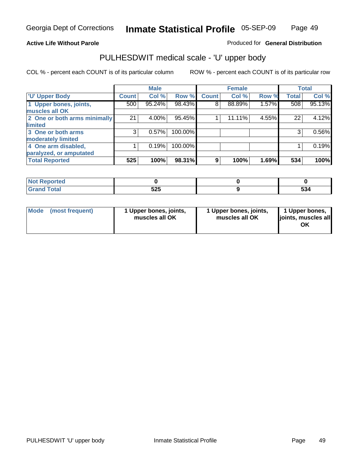### **Active Life Without Parole**

Produced for **General Distribution**

## PULHESDWIT medical scale - 'U' upper body

|                              |              | <b>Male</b> |         |              | <b>Female</b> |       |              | <b>Total</b> |
|------------------------------|--------------|-------------|---------|--------------|---------------|-------|--------------|--------------|
| <b>TU' Upper Body</b>        | <b>Count</b> | Col %       | Row %   | <b>Count</b> | Col %         | Row % | <b>Total</b> | Col %        |
| 1 Upper bones, joints,       | 500          | 95.24%      | 98.43%  | 8            | 88.89%        | 1.57% | 508          | 95.13%       |
| muscles all OK               |              |             |         |              |               |       |              |              |
| 2 One or both arms minimally | 21           | 4.00%       | 95.45%  |              | $11.11\%$     | 4.55% | 22           | 4.12%        |
| limited                      |              |             |         |              |               |       |              |              |
| 3 One or both arms           | 3            | 0.57%       | 100.00% |              |               |       | 3            | 0.56%        |
| moderately limited           |              |             |         |              |               |       |              |              |
| 4 One arm disabled,          |              | 0.19%       | 100.00% |              |               |       |              | 0.19%        |
| paralyzed, or amputated      |              |             |         |              |               |       |              |              |
| <b>Total Reported</b>        | 525          | 100%        | 98.31%  | 9            | 100%          | 1.69% | 534          | 100%         |

| <b>Reported</b><br>NOT<br> |            |                  |
|----------------------------|------------|------------------|
| <b>Total</b>               | よつよ<br>JZJ | <b>FA</b><br>534 |

| <b>Mode</b> | (most frequent) | 1 Upper bones, joints,<br>muscles all OK | 1 Upper bones, joints,<br>muscles all OK | 1 Upper bones,<br>joints, muscles all<br>OK |
|-------------|-----------------|------------------------------------------|------------------------------------------|---------------------------------------------|
|-------------|-----------------|------------------------------------------|------------------------------------------|---------------------------------------------|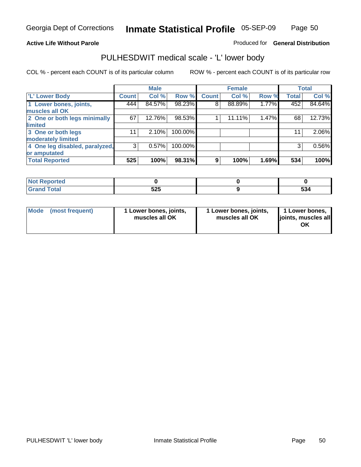### **Active Life Without Parole**

### Produced for **General Distribution**

## PULHESDWIT medical scale - 'L' lower body

|                                |              | <b>Male</b> |         |              | <b>Female</b> |       |              | <b>Total</b> |
|--------------------------------|--------------|-------------|---------|--------------|---------------|-------|--------------|--------------|
| 'L' Lower Body                 | <b>Count</b> | Col %       | Row %   | <b>Count</b> | Col %         | Row % | <b>Total</b> | Col %        |
| 1 Lower bones, joints,         | 444          | 84.57%      | 98.23%  | 8            | 88.89%        | 1.77% | 452          | 84.64%       |
| muscles all OK                 |              |             |         |              |               |       |              |              |
| 2 One or both legs minimally   | 67           | 12.76%      | 98.53%  |              | 11.11%        | 1.47% | 68           | 12.73%       |
| limited                        |              |             |         |              |               |       |              |              |
| 3 One or both legs             | 11           | 2.10%       | 100.00% |              |               |       | 11           | 2.06%        |
| moderately limited             |              |             |         |              |               |       |              |              |
| 4 One leg disabled, paralyzed, | 3            | 0.57%       | 100.00% |              |               |       | 3            | 0.56%        |
| or amputated                   |              |             |         |              |               |       |              |              |
| <b>Total Reported</b>          | 525          | 100%        | 98.31%  | 9            | 100%          | 1.69% | 534          | 100%         |

| <b>rted</b><br>w                           |            |           |
|--------------------------------------------|------------|-----------|
| $f \wedge f \wedge f$<br><b>TULAI</b><br>. | よつよ<br>JZJ | -^<br>534 |

|  | Mode (most frequent) | 1 Lower bones, joints,<br>muscles all OK | 1 Lower bones, joints,<br>muscles all OK | 1 Lower bones,<br>joints, muscles all<br>OK |
|--|----------------------|------------------------------------------|------------------------------------------|---------------------------------------------|
|--|----------------------|------------------------------------------|------------------------------------------|---------------------------------------------|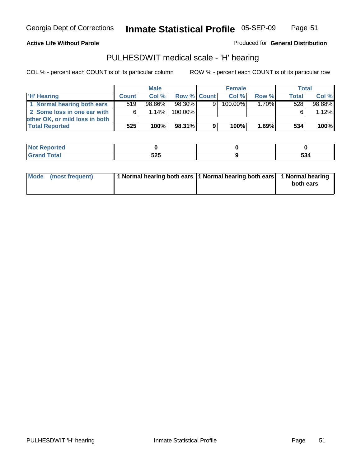### **Active Life Without Parole**

Produced for **General Distribution**

## PULHESDWIT medical scale - 'H' hearing

|                                |              | <b>Male</b> |             |   | <b>Female</b> |          | Total        |         |
|--------------------------------|--------------|-------------|-------------|---|---------------|----------|--------------|---------|
| 'H' Hearing                    | <b>Count</b> | Col%        | Row % Count |   | Col%          | Row %    | <b>Total</b> | Col %   |
| 1 Normal hearing both ears     | 519          | 98.86%      | 98.30%      | 9 | 100.00%       | $1.70\%$ | 528          | 98.88%  |
| 2 Some loss in one ear with    | 6            | $1.14\%$    | 100.00%     |   |               |          |              | 1.12%   |
| other OK, or mild loss in both |              |             |             |   |               |          |              |         |
| <b>Total Reported</b>          | 525          | 100%        | 98.31%I     | 9 | 100%          | 1.69%    | 534          | $100\%$ |

| тео                |            |     |
|--------------------|------------|-----|
| $-1$ . $-1$ . $-1$ | <b>FAF</b> | 534 |
|                    | ᇰᄼ         | ◡◡┭ |

| Mode (most frequent) | 1 Normal hearing both ears 1 Normal hearing both ears 1 Normal hearing | both ears |
|----------------------|------------------------------------------------------------------------|-----------|
|                      |                                                                        |           |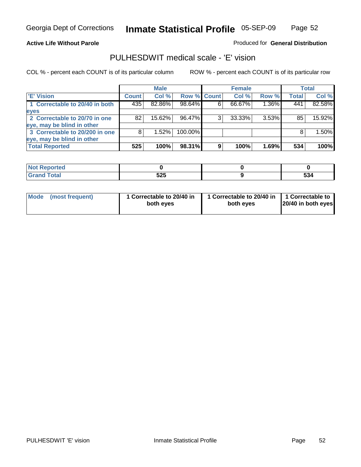Page 52

### **Active Life Without Parole**

Produced for **General Distribution**

## PULHESDWIT medical scale - 'E' vision

|                                |       | <b>Male</b> |             |   | <b>Female</b> |          |              | Total  |
|--------------------------------|-------|-------------|-------------|---|---------------|----------|--------------|--------|
| <b>E' Vision</b>               | Count | Col %       | Row % Count |   | Col %         | Row %    | <b>Total</b> | Col %  |
| 1 Correctable to 20/40 in both | 435   | 82.86%      | 98.64%      |   | 66.67%        | 1.36%    | 441          | 82.58% |
| eyes                           |       |             |             |   |               |          |              |        |
| 2 Correctable to 20/70 in one  | 82    | $15.62\%$   | 96.47%      |   | 33.33%        | $3.53\%$ | 85           | 15.92% |
| eye, may be blind in other     |       |             |             |   |               |          |              |        |
| 3 Correctable to 20/200 in one | 8     | 1.52%       | 100.00%     |   |               |          |              | 1.50%  |
| eye, may be blind in other     |       |             |             |   |               |          |              |        |
| <b>Total Reported</b>          | 525   | 100%        | 98.31%      | 9 | 100%          | 1.69%    | 534          | 100%   |

| oorted<br>N.           |     |             |
|------------------------|-----|-------------|
| <b>Total</b><br>$\sim$ | 525 | -^ ^<br>OO4 |

| Mode (most frequent) | 1 Correctable to 20/40 in<br>both eyes | 1 Correctable to 20/40 in   1 Correctable to<br>both eves | 20/40 in both eyes |
|----------------------|----------------------------------------|-----------------------------------------------------------|--------------------|
|----------------------|----------------------------------------|-----------------------------------------------------------|--------------------|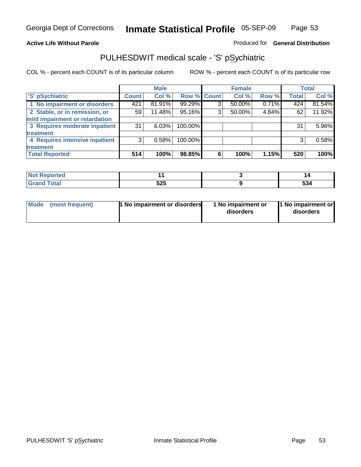### **Active Life Without Parole**

## Produced for **General Distribution**

## PULHESDWIT medical scale - 'S' pSychiatric

|                                |              | <b>Male</b> |             |   | <b>Female</b> |       |              | <b>Total</b> |
|--------------------------------|--------------|-------------|-------------|---|---------------|-------|--------------|--------------|
| 'S' pSychiatric                | <b>Count</b> | Col %       | Row % Count |   | Col %         | Row % | <b>Total</b> | Col %        |
| 1 No impairment or disorders   | 421          | 81.91%      | 99.29%      | 3 | $50.00\%$     | 0.71% | 424          | 81.54%       |
| 2 Stable, or in remission, or  | 59           | 11.48%      | 95.16%      | 3 | 50.00%        | 4.84% | 62           | $11.92\%$    |
| mild impairment or retardation |              |             |             |   |               |       |              |              |
| 3 Requires moderate inpatient  | 31           | 6.03%       | 100.00%     |   |               |       | 31           | 5.96%        |
| treatment                      |              |             |             |   |               |       |              |              |
| 4 Requires intensive inpatient | 3            | 0.58%       | 100.00%     |   |               |       | 3            | 0.58%        |
| treatment                      |              |             |             |   |               |       |              |              |
| <b>Total Reported</b>          | 514          | 100%        | 98.85%      | 6 | 100%          | 1.15% | 520          | 100%         |

| المناسب<br>ortea |            |                  |
|------------------|------------|------------------|
| <b>otal</b>      | につに<br>ວ∠ວ | -^<br><b>534</b> |

| Mode (most frequent) | <b>1</b> No impairment or disorders | 1 No impairment or<br>disorders | 11 No impairment or<br>disorders |
|----------------------|-------------------------------------|---------------------------------|----------------------------------|
|----------------------|-------------------------------------|---------------------------------|----------------------------------|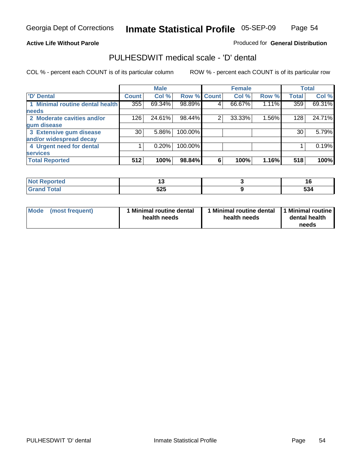Page 54

### **Active Life Without Parole**

Produced for **General Distribution**

## PULHESDWIT medical scale - 'D' dental

|                                 |        | <b>Male</b> |             |   | <b>Female</b> |       |              | <b>Total</b> |
|---------------------------------|--------|-------------|-------------|---|---------------|-------|--------------|--------------|
| 'D' Dental                      | Count! | Col %       | Row % Count |   | Col %         | Row % | <b>Total</b> | Col %        |
| 1 Minimal routine dental health | 355    | 69.34%      | 98.89%      |   | 66.67%        | 1.11% | 359          | 69.31%       |
| <b>needs</b>                    |        |             |             |   |               |       |              |              |
| 2 Moderate cavities and/or      | 126    | 24.61%      | 98.44%      | 2 | 33.33%        | 1.56% | 128          | 24.71%       |
| gum disease                     |        |             |             |   |               |       |              |              |
| 3 Extensive gum disease         | 30     | $5.86\%$    | 100.00%     |   |               |       | 30           | 5.79%        |
| and/or widespread decay         |        |             |             |   |               |       |              |              |
| 4 Urgent need for dental        |        | 0.20%       | 100.00%     |   |               |       |              | 0.19%        |
| <b>services</b>                 |        |             |             |   |               |       |              |              |
| <b>Total Reported</b>           | 512    | 100%        | 98.84%      | 6 | 100%          | 1.16% | 518          | 100%         |

| <b>Not Reported</b><br>$\sim$ |     | 10        |
|-------------------------------|-----|-----------|
| <b>Total</b>                  | につに | <b>FA</b> |
| <b>.</b>                      | ວ∠ວ | 534       |

| <b>Mode</b><br>(most frequent) | <b>Minimal routine dental</b><br>health needs | 1 Minimal routine dental<br>health needs | 11 Minimal routine<br>dental health<br>needs |
|--------------------------------|-----------------------------------------------|------------------------------------------|----------------------------------------------|
|--------------------------------|-----------------------------------------------|------------------------------------------|----------------------------------------------|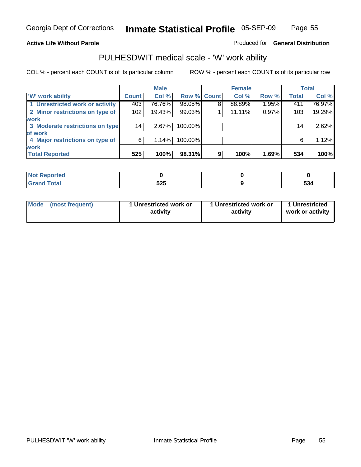### **Active Life Without Parole**

### Produced for **General Distribution**

## PULHESDWIT medical scale - 'W' work ability

|                                 |              | <b>Male</b> |             |   | <b>Female</b> |       |                 | <b>Total</b> |
|---------------------------------|--------------|-------------|-------------|---|---------------|-------|-----------------|--------------|
| <b>W' work ability</b>          | <b>Count</b> | Col %       | Row % Count |   | Col %         | Row % | <b>Total</b>    | Col %        |
| 1 Unrestricted work or activity | 403          | 76.76%      | 98.05%      | 8 | 88.89%        | 1.95% | 411             | 76.97%       |
| 2 Minor restrictions on type of | 102          | 19.43%      | 99.03%      |   | 11.11%        | 0.97% | 103             | 19.29%       |
| work                            |              |             |             |   |               |       |                 |              |
| 3 Moderate restrictions on type | 14           | $2.67\%$    | 100.00%     |   |               |       | 14 <sub>1</sub> | 2.62%        |
| of work                         |              |             |             |   |               |       |                 |              |
| 4 Major restrictions on type of | 6            | 1.14%       | 100.00%     |   |               |       | 6               | 1.12%        |
| <b>work</b>                     |              |             |             |   |               |       |                 |              |
| <b>Total Reported</b>           | 525          | 100%        | 98.31%      | 9 | 100%          | 1.69% | 534             | 100%         |

| prted<br><b>NOT</b><br>seno |     |     |
|-----------------------------|-----|-----|
| $T \wedge f \wedge f$       | につに | -^  |
| otal                        | ວ∠ວ | 534 |

| Mode | (most frequent) | 1 Unrestricted work or<br>activity | 1 Unrestricted work or<br>activity | 1 Unrestricted<br>work or activity |  |
|------|-----------------|------------------------------------|------------------------------------|------------------------------------|--|
|      |                 |                                    |                                    |                                    |  |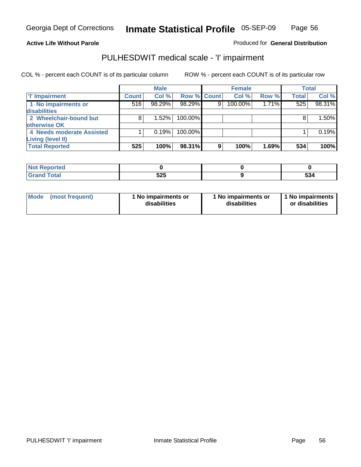Page 56

### **Active Life Without Parole**

### Produced for **General Distribution**

## PULHESDWIT medical scale - 'I' impairment

|                           |              | <b>Male</b> |             |                | <b>Female</b> |       |              | <b>Total</b> |
|---------------------------|--------------|-------------|-------------|----------------|---------------|-------|--------------|--------------|
| <b>T' Impairment</b>      | <b>Count</b> | Col %       | Row % Count |                | Col %         | Row % | <b>Total</b> | Col %        |
| 1 No impairments or       | 516          | 98.29%      | 98.29%      | 9 <sub>1</sub> | 100.00%       | 1.71% | 525          | 98.31%       |
| disabilities              |              |             |             |                |               |       |              |              |
| 2 Wheelchair-bound but    |              | 1.52%       | 100.00%     |                |               |       |              | 1.50%        |
| otherwise OK              |              |             |             |                |               |       |              |              |
| 4 Needs moderate Assisted |              | 0.19%       | 100.00%     |                |               |       |              | 0.19%        |
| <b>Living (level II)</b>  |              |             |             |                |               |       |              |              |
| <b>Total Reported</b>     | 525          | 100%        | 98.31%      | 9              | 100%          | 1.69% | 534          | 100%         |

| Reported |     |     |
|----------|-----|-----|
| Total    | 525 | ააჟ |

| Mode            | 1 No impairments or | 1 No impairments or | 1 No impairments |
|-----------------|---------------------|---------------------|------------------|
| (most frequent) | disabilities        | disabilities        | or disabilities  |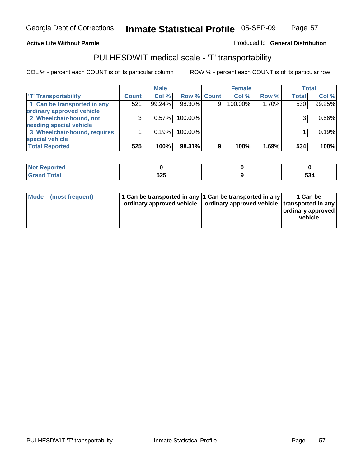### **Inmate Statistical Profile** 05-SEP-09 Page Page 57

## **Active Life Without Parole Produced fo Seneral Distribution**

## PULHESDWIT medical scale - 'T' transportability

|                              |              | <b>Male</b> |                    |   | <b>Female</b> |       |              | <b>Total</b> |
|------------------------------|--------------|-------------|--------------------|---|---------------|-------|--------------|--------------|
| <b>T' Transportability</b>   | <b>Count</b> | Col %       | <b>Row % Count</b> |   | Col %         | Row % | <b>Total</b> | Col %        |
| 1 Can be transported in any  | 521          | 99.24%      | 98.30%             | 9 | 100.00%       | 1.70% | 530          | 99.25%       |
| ordinary approved vehicle    |              |             |                    |   |               |       |              |              |
| 2 Wheelchair-bound, not      | 3            | 0.57%       | 100.00%            |   |               |       |              | 0.56%        |
| needing special vehicle      |              |             |                    |   |               |       |              |              |
| 3 Wheelchair-bound, requires |              | 0.19%       | 100.00%            |   |               |       |              | 0.19%        |
| special vehicle              |              |             |                    |   |               |       |              |              |
| <b>Total Reported</b>        | 525          | 100%        | 98.31%             | 9 | 100%          | 1.69% | 534          | 100%         |

| <b>Reported</b><br>' NOI |            |            |
|--------------------------|------------|------------|
| Total<br>---             | につに<br>つムこ | <b>534</b> |

| Mode (most frequent) | 1 Can be transported in any 1 Can be transported in any | ordinary approved vehicle   ordinary approved vehicle   transported in any | 1 Can be<br>  ordinary approved  <br>vehicle |
|----------------------|---------------------------------------------------------|----------------------------------------------------------------------------|----------------------------------------------|
|----------------------|---------------------------------------------------------|----------------------------------------------------------------------------|----------------------------------------------|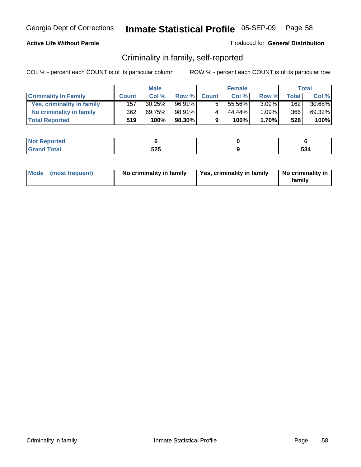### **Active Life Without Parole**

### Produced for **General Distribution**

## Criminality in family, self-reported

|                              |              | <b>Male</b> |           |              | <b>Female</b> |          |              | Total     |
|------------------------------|--------------|-------------|-----------|--------------|---------------|----------|--------------|-----------|
| <b>Criminality In Family</b> | <b>Count</b> | Col %       | Row %     | <b>Count</b> | Col %         | Row %    | <b>Total</b> | Col %     |
| Yes, criminality in family   | 157          | 30.25%      | $96.91\%$ | 5.           | 55.56%        | $3.09\%$ | 162          | $30.68\%$ |
| No criminality in family     | 362          | 69.75%      | 98.91%    | 4            | 44.44%        | 1.09%    | 366          | 69.32%    |
| <b>Total Reported</b>        | 519          | 100%        | 98.30%    | 9            | 100%          | $1.70\%$ | 528          | 100%      |

| oorted<br><b>NOT</b><br>יסרו. |     |             |
|-------------------------------|-----|-------------|
| $\sim$ $\sim$<br>Grar<br>--   | 525 | -^<br>. JJ4 |

|  | Mode (most frequent) | No criminality in family | Yes, criminality in family | No criminality in<br>family |
|--|----------------------|--------------------------|----------------------------|-----------------------------|
|--|----------------------|--------------------------|----------------------------|-----------------------------|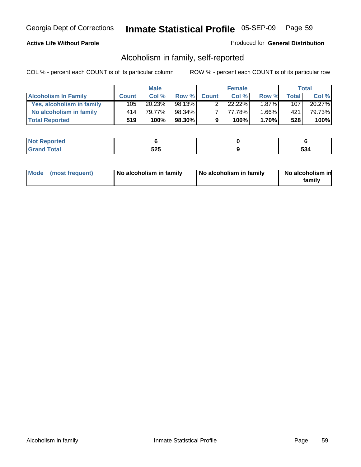### **Active Life Without Parole**

### Produced for **General Distribution**

## Alcoholism in family, self-reported

|                             |              | <b>Male</b> |        |              | <b>Female</b> |       |       | Total  |
|-----------------------------|--------------|-------------|--------|--------------|---------------|-------|-------|--------|
| <b>Alcoholism In Family</b> | <b>Count</b> | Col %       | Row %  | <b>Count</b> | Col %         | Row % | Total | Col %  |
| Yes, alcoholism in family   | 105          | 20.23%      | 98.13% |              | $22.22\%$     | 1.87% | 107   | 20.27% |
| No alcoholism in family     | 414          | 79.77%      | 98.34% |              | 77.78%        | 1.66% | 421   | 79.73% |
| <b>Total Reported</b>       | 519          | 100%        | 98.30% | 9            | 100%          | 1.70% | 528   | 100%   |

| тео<br>NO                                                |                  |           |
|----------------------------------------------------------|------------------|-----------|
| $\sim$ $\sim$<br>$\sim$ $\sim$ $\sim$ $\sim$ $\sim$<br>_ | cnc<br>ucu<br>__ | u<br>$ -$ |

|  | Mode (most frequent) | No alcoholism in family | No alcoholism in family | No alcoholism in<br>family |
|--|----------------------|-------------------------|-------------------------|----------------------------|
|--|----------------------|-------------------------|-------------------------|----------------------------|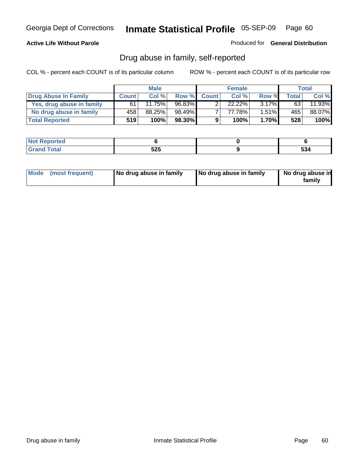### **Active Life Without Parole**

Produced for **General Distribution**

## Drug abuse in family, self-reported

|                           |              | <b>Male</b> |        |              | <b>Female</b> |          |              | Total     |
|---------------------------|--------------|-------------|--------|--------------|---------------|----------|--------------|-----------|
| Drug Abuse In Family      | <b>Count</b> | Col%        | Row %  | <b>Count</b> | Col %         | Row %    | <b>Total</b> | Col %     |
| Yes, drug abuse in family | 61           | 11.75%」     | 96.83% |              | 22.22%        | $3.17\%$ | 63           | $11.93\%$ |
| No drug abuse in family   | 458          | 88.25%      | 98.49% |              | 77.78%        | $1.51\%$ | 465'         | 88.07%    |
| <b>Total Reported</b>     | 519          | 100%        | 98.30% | 9            | 100%          | $1.70\%$ | 528          | 100%      |

| oorted<br><b>NOT</b><br><b>IVGI</b> |            |   |
|-------------------------------------|------------|---|
| Total<br>Grar<br>---                | につに<br>JLJ | u |

|  | Mode (most frequent) | No drug abuse in family | No drug abuse in family | No drug abuse in<br>family |
|--|----------------------|-------------------------|-------------------------|----------------------------|
|--|----------------------|-------------------------|-------------------------|----------------------------|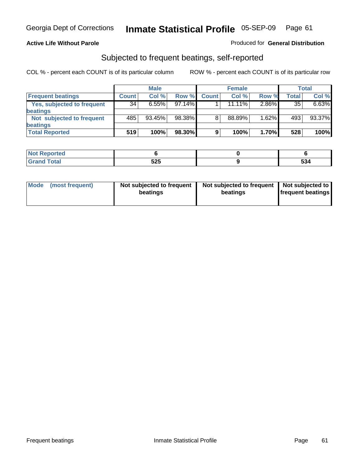### **Active Life Without Parole**

### Produced for **General Distribution**

## Subjected to frequent beatings, self-reported

|                            |              | <b>Male</b> |           |              | <b>Female</b> |       |       | <b>Total</b> |
|----------------------------|--------------|-------------|-----------|--------------|---------------|-------|-------|--------------|
| <b>Frequent beatings</b>   | <b>Count</b> | Col%        | Row %     | <b>Count</b> | Col%          | Row % | Total | Col %        |
| Yes, subjected to frequent | 34           | 6.55%       | $97.14\%$ |              | $11.11\%$     | 2.86% | 35    | 6.63%        |
| beatings                   |              |             |           |              |               |       |       |              |
| Not subjected to frequent  | 485          | 93.45%      | 98.38%    | 8            | 88.89%        | 1.62% | 493   | 93.37%       |
| beatings                   |              |             |           |              |               |       |       |              |
| <b>Total Reported</b>      | 519          | 100%        | 98.30%    | 9            | 100%          | 1.70% | 528   | 100%         |

| Not Reported                     |            |     |
|----------------------------------|------------|-----|
| T <sub>ofol</sub><br><b>CHAM</b> | よつよ<br>JZJ | 534 |

| Mode (most frequent) | Not subjected to frequent<br>beatings | Not subjected to frequent<br>beatings | Not subjected to<br><b>frequent beatings</b> |
|----------------------|---------------------------------------|---------------------------------------|----------------------------------------------|
|                      |                                       |                                       |                                              |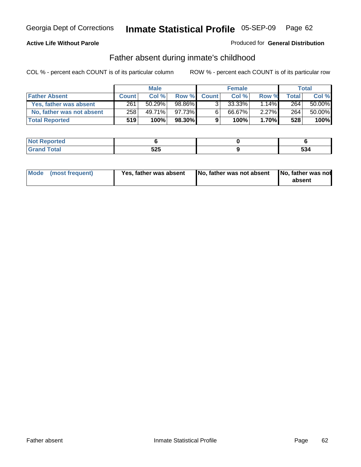### **Active Life Without Parole**

### Produced for **General Distribution**

## Father absent during inmate's childhood

|                           |              | <b>Male</b> |           |              | <b>Female</b> |          |       | Total  |
|---------------------------|--------------|-------------|-----------|--------------|---------------|----------|-------|--------|
| <b>Father Absent</b>      | <b>Count</b> | Col%        | Row %     | <b>Count</b> | Col %         | Row %    | Total | Col %  |
| Yes, father was absent    | 261          | 50.29%      | 98.86%    | 3            | 33.33%        | $14\%$   | 264   | 50.00% |
| No, father was not absent | 258          | 49.71%      | 97.73%    | $6^{\circ}$  | 66.67%        | $2.27\%$ | 264   | 50.00% |
| <b>Total Reported</b>     | 519          | 100%        | $98.30\%$ | 9            | 100%          | $1.70\%$ | 528   | 100%   |

| <b>Not Reported</b> |      |     |
|---------------------|------|-----|
| <b>Total</b>        | 525  | -^  |
| Gran                | $ -$ | 534 |

| Mode (most frequent) | Yes, father was absent | No, father was not absent No, father was not | absent |
|----------------------|------------------------|----------------------------------------------|--------|
|                      |                        |                                              |        |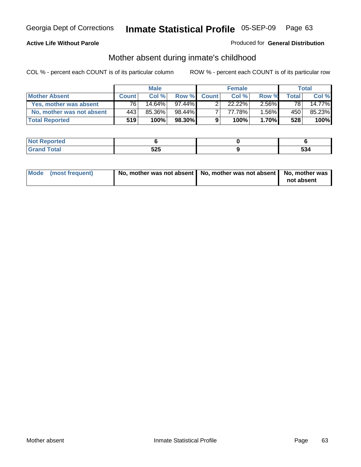## **Active Life Without Parole**

## Produced for **General Distribution**

# Mother absent during inmate's childhood

|                           |              | <b>Male</b> |           |              | <b>Female</b> |          |                 | Total  |
|---------------------------|--------------|-------------|-----------|--------------|---------------|----------|-----------------|--------|
| <b>Mother Absent</b>      | <b>Count</b> | Col %       | Row %     | <b>Count</b> | Col %         | Row %    | Total           | Col %  |
| Yes, mother was absent    | 76           | $14.64\%$   | $97.44\%$ | ົ            | $22.22\%$     | $2.56\%$ | 78 <sub>1</sub> | 14.77% |
| No, mother was not absent | 443          | 85.36%      | 98.44%    |              | 77.78%        | $1.56\%$ | 450             | 85.23% |
| <b>Total Reported</b>     | 519          | 100%        | 98.30%    | 9            | 100%          | 1.70%    | 528             | 100%   |

| <b>Not Reported</b> |      |     |
|---------------------|------|-----|
| <b>Total</b>        | 525  | -^  |
| Gran                | $ -$ | 534 |

| Mode (most frequent) | No, mother was not absent   No, mother was not absent   No, mother was | not absent |
|----------------------|------------------------------------------------------------------------|------------|
|----------------------|------------------------------------------------------------------------|------------|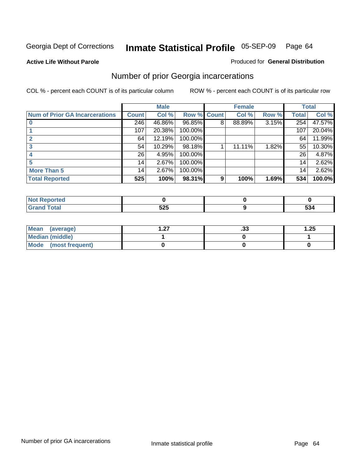**Active Life Without Parole** 

### Produced for **General Distribution**

## Number of prior Georgia incarcerations

|                                |                 | <b>Male</b> |                    |                | <b>Female</b> |       |       | <b>Total</b> |
|--------------------------------|-----------------|-------------|--------------------|----------------|---------------|-------|-------|--------------|
| Num of Prior GA Incarcerations | <b>Count</b>    | Col %       | <b>Row % Count</b> |                | Col %         | Row % | Total | Col %        |
|                                | 246             | 46.86%      | 96.85%             | 8              | 88.89%        | 3.15% | 254   | 47.57%       |
|                                | 107             | 20.38%      | 100.00%            |                |               |       | 107   | 20.04%       |
|                                | 64              | 12.19%      | 100.00%            |                |               |       | 64    | 11.99%       |
|                                | 54              | 10.29%      | 98.18%             |                | 11.11%        | 1.82% | 55    | 10.30%       |
|                                | 26              | 4.95%       | 100.00%            |                |               |       | 26    | 4.87%        |
|                                | 14              | 2.67%       | 100.00%            |                |               |       | 14    | 2.62%        |
| <b>More Than 5</b>             | 14 <sub>1</sub> | 2.67%       | 100.00%            |                |               |       | 14    | 2.62%        |
| <b>Total Reported</b>          | 525             | 100%        | 98.31%             | 9 <sub>1</sub> | 100%          | 1.69% | 534   | 100.0%       |

| .<br>тео<br>N |                         |                   |
|---------------|-------------------------|-------------------|
|               | <b>FAR</b><br>JZ<br>$-$ | -^<br>534<br>$ -$ |

| Mean (average)       | - 27<br>. . <i>.</i> . | . JJ | 1.25 |
|----------------------|------------------------|------|------|
| Median (middle)      |                        |      |      |
| Mode (most frequent) |                        |      |      |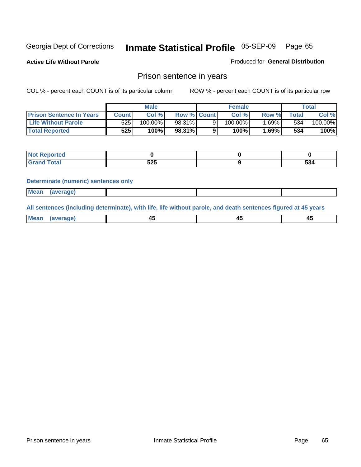**Active Life Without Parole** 

Produced for **General Distribution**

## Prison sentence in years

COL % - percent each COUNT is of its particular column ROW % - percent each COUNT is of its particular row

|                                 |         | <b>Male</b> |                    | <b>Female</b> |          |             | Total   |
|---------------------------------|---------|-------------|--------------------|---------------|----------|-------------|---------|
| <b>Prison Sentence In Years</b> | Count l | Col%        | <b>Row % Count</b> | Col%          | Row %    | $\tau$ otal | Col %   |
| Life Without Parole             | 525     | 100.00%     | 98.31%             | 100.00%       | $1.69\%$ | 534         | 100.00% |
| <b>Total Reported</b>           | 525     | 100%        | 98.31%             | 100%          | 1.69%    | 534         | 100%    |

| Reported                 |     |       |
|--------------------------|-----|-------|
| <b>cotal</b>             | につに | -^    |
| $\sim$ . $\sim$ . $\sim$ | ວ∠ວ | - JJ4 |

### **Determinate (numeric) sentences only**

|--|

**All sentences (including determinate), with life, life without parole, and death sentences figured at 45 years**

| Me:<br>anei<br>.<br>᠇<br>$\sim$ | -- | т.<br>$\sim$ |
|---------------------------------|----|--------------|
|---------------------------------|----|--------------|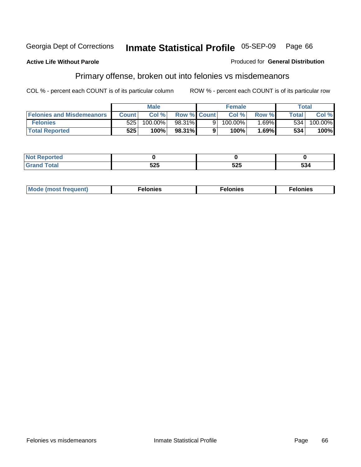### **Active Life Without Parole**

### Produced for **General Distribution**

## Primary offense, broken out into felonies vs misdemeanors

|                                  | <b>Male</b> |         |                    | <b>Female</b> | Total   |       |         |
|----------------------------------|-------------|---------|--------------------|---------------|---------|-------|---------|
| <b>Felonies and Misdemeanors</b> | Count l     | Col%    | <b>Row % Count</b> | Col%          | Row %   | Total | Col %   |
| <b>Felonies</b>                  | 525         | 100.00% | 98.31%             | 100.00%       | $.69\%$ | 534   | 100.00% |
| <b>Total Reported</b>            | 525         | 100%    | 98.31%I            | 100%          | .69%    | 534   | 100%    |

| <b>Not</b><br>Reported<br>. |            |            |     |
|-----------------------------|------------|------------|-----|
| Gra                         | こつに<br>JLJ | EOE<br>JZJ | 534 |

| M <sub>0</sub><br>. | צאור<br>. | . |
|---------------------|-----------|---|
|---------------------|-----------|---|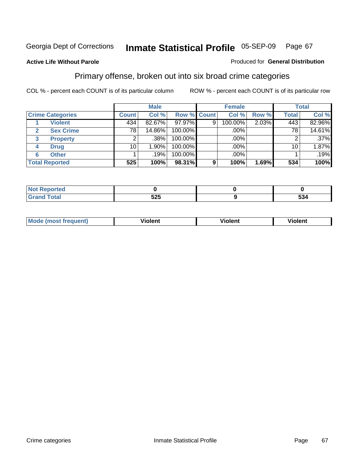### **Active Life Without Parole**

### Produced for **General Distribution**

## Primary offense, broken out into six broad crime categories

|                         | <b>Male</b>  |        |                    | <b>Female</b> |         |       | <b>Total</b>    |         |
|-------------------------|--------------|--------|--------------------|---------------|---------|-------|-----------------|---------|
| <b>Crime Categories</b> | <b>Count</b> | Col %  | <b>Row % Count</b> |               | Col %   | Row % | <b>Total</b>    | Col %   |
| <b>Violent</b>          | 434          | 82.67% | 97.97%             | 9             | 100.00% | 2.03% | 443             | 82.96%  |
| <b>Sex Crime</b>        | 781          | 14.86% | 100.00%            |               | .00%    |       | 78              | 14.61%  |
| 3<br><b>Property</b>    | 2            | .38%   | 100.00%            |               | .00%    |       |                 | $.37\%$ |
| <b>Drug</b><br>4        | 10           | 1.90%  | 100.00%            |               | .00%    |       | 10 <sub>1</sub> | 1.87%   |
| <b>Other</b><br>6       |              | .19%   | 100.00%            |               | .00%    |       |                 | .19%    |
| <b>Total Reported</b>   | 525          | 100%   | 98.31%             | 9             | 100%    | 1.69% | 534             | 100%    |

| Reported<br>NG<br>.            |            |     |
|--------------------------------|------------|-----|
| <b>Total</b><br><b>COMMENT</b> | よっよ<br>ວຂວ | 534 |

| Mo | n n | winlor" | ılen' |
|----|-----|---------|-------|
|    |     |         |       |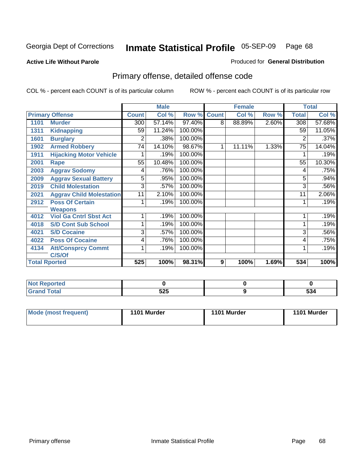### **Active Life Without Parole**

### Produced for **General Distribution**

## Primary offense, detailed offense code

|      |                                 |              | <b>Male</b> |         |              | <b>Female</b> |       |              | <b>Total</b> |
|------|---------------------------------|--------------|-------------|---------|--------------|---------------|-------|--------------|--------------|
|      | <b>Primary Offense</b>          | <b>Count</b> | Col %       | Row %   | <b>Count</b> | Col %         | Row % | <b>Total</b> | Col %        |
| 1101 | <b>Murder</b>                   | 300          | 57.14%      | 97.40%  | 8            | 88.89%        | 2.60% | 308          | 57.68%       |
| 1311 | <b>Kidnapping</b>               | 59           | 11.24%      | 100.00% |              |               |       | 59           | 11.05%       |
| 1601 | <b>Burglary</b>                 | 2            | .38%        | 100.00% |              |               |       | 2            | .37%         |
| 1902 | <b>Armed Robbery</b>            | 74           | 14.10%      | 98.67%  | 1            | 11.11%        | 1.33% | 75           | 14.04%       |
| 1911 | <b>Hijacking Motor Vehicle</b>  |              | .19%        | 100.00% |              |               |       |              | .19%         |
| 2001 | Rape                            | 55           | 10.48%      | 100.00% |              |               |       | 55           | 10.30%       |
| 2003 | <b>Aggrav Sodomy</b>            | 4            | .76%        | 100.00% |              |               |       | 4            | .75%         |
| 2009 | <b>Aggrav Sexual Battery</b>    | 5            | .95%        | 100.00% |              |               |       | 5            | .94%         |
| 2019 | <b>Child Molestation</b>        | 3            | .57%        | 100.00% |              |               |       | 3            | .56%         |
| 2021 | <b>Aggrav Child Molestation</b> | 11           | 2.10%       | 100.00% |              |               |       | 11           | 2.06%        |
| 2912 | <b>Poss Of Certain</b>          |              | .19%        | 100.00% |              |               |       |              | .19%         |
|      | <b>Weapons</b>                  |              |             |         |              |               |       |              |              |
| 4012 | <b>Viol Ga Cntrl Sbst Act</b>   |              | .19%        | 100.00% |              |               |       |              | .19%         |
| 4018 | <b>S/D Cont Sub School</b>      |              | .19%        | 100.00% |              |               |       |              | .19%         |
| 4021 | <b>S/D Cocaine</b>              | 3            | .57%        | 100.00% |              |               |       | 3            | .56%         |
| 4022 | <b>Poss Of Cocaine</b>          | 4            | .76%        | 100.00% |              |               |       | 4            | .75%         |
| 4134 | <b>Att/Consprcy Commt</b>       | 1            | .19%        | 100.00% |              |               |       |              | .19%         |
|      | C/S/Of                          |              |             |         |              |               |       |              |              |
|      | <b>Total Rported</b>            | 525          | 100%        | 98.31%  | 9            | 100%          | 1.69% | 534          | 100%         |

| <b>Not Reported</b> |              |           |
|---------------------|--------------|-----------|
| <b>Total</b>        | につに<br>ົບຂົບ | -^<br>OO4 |

| Mode (most frequent) | 1101 Murder | 1101 Murder | 1101 Murder |
|----------------------|-------------|-------------|-------------|
|----------------------|-------------|-------------|-------------|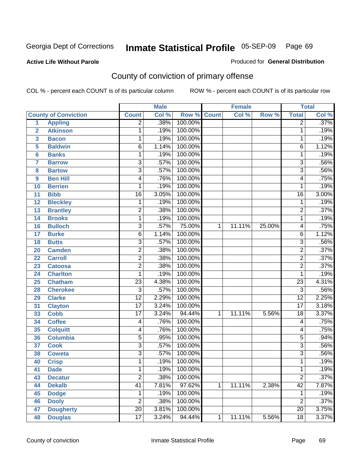### **Active Life Without Parole**

### Produced for **General Distribution**

## County of conviction of primary offense

|                         |                             |                         | <b>Male</b> |             |              | <b>Female</b> |        |                 | <b>Total</b> |
|-------------------------|-----------------------------|-------------------------|-------------|-------------|--------------|---------------|--------|-----------------|--------------|
|                         | <b>County of Conviction</b> | <b>Count</b>            | Col %       | Row % Count |              | Col %         | Row %  | <b>Total</b>    | Col %        |
| 1                       | <b>Appling</b>              | $\overline{2}$          | .38%        | 100.00%     |              |               |        | $\overline{2}$  | .37%         |
| $\overline{2}$          | <b>Atkinson</b>             | 1                       | .19%        | 100.00%     |              |               |        | 1               | .19%         |
| $\overline{\mathbf{3}}$ | <b>Bacon</b>                | 1                       | .19%        | 100.00%     |              |               |        | 1               | .19%         |
| 5                       | <b>Baldwin</b>              | $\overline{6}$          | 1.14%       | 100.00%     |              |               |        | $\overline{6}$  | 1.12%        |
| 6                       | <b>Banks</b>                | 1                       | .19%        | 100.00%     |              |               |        | 1               | .19%         |
| $\overline{7}$          | <b>Barrow</b>               | $\overline{3}$          | .57%        | 100.00%     |              |               |        | $\overline{3}$  | .56%         |
| 8                       | <b>Bartow</b>               | $\overline{3}$          | .57%        | 100.00%     |              |               |        | $\overline{3}$  | .56%         |
| 9                       | <b>Ben Hill</b>             | 4                       | .76%        | 100.00%     |              |               |        | 4               | .75%         |
| 10                      | <b>Berrien</b>              | 1                       | .19%        | 100.00%     |              |               |        | 1               | .19%         |
| 11                      | <b>Bibb</b>                 | $\overline{16}$         | 3.05%       | 100.00%     |              |               |        | $\overline{16}$ | 3.00%        |
| 12                      | <b>Bleckley</b>             | 1                       | .19%        | 100.00%     |              |               |        | 1               | .19%         |
| 13                      | <b>Brantley</b>             | $\overline{2}$          | .38%        | 100.00%     |              |               |        | $\overline{2}$  | .37%         |
| $\overline{14}$         | <b>Brooks</b>               | 1                       | .19%        | 100.00%     |              |               |        | $\mathbf{1}$    | .19%         |
| 16                      | <b>Bulloch</b>              | $\overline{3}$          | .57%        | 75.00%      | 1            | 11.11%        | 25.00% | 4               | .75%         |
| 17                      | <b>Burke</b>                | $\overline{6}$          | 1.14%       | 100.00%     |              |               |        | $\overline{6}$  | 1.12%        |
| 18                      | <b>Butts</b>                | $\overline{3}$          | .57%        | 100.00%     |              |               |        | $\overline{3}$  | .56%         |
| 20                      | <b>Camden</b>               | $\overline{2}$          | .38%        | 100.00%     |              |               |        | $\overline{2}$  | .37%         |
| 22                      | <b>Carroll</b>              | $\overline{2}$          | .38%        | 100.00%     |              |               |        | $\overline{2}$  | .37%         |
| 23                      | <b>Catoosa</b>              | $\overline{2}$          | .38%        | 100.00%     |              |               |        | $\overline{2}$  | .37%         |
| 24                      | <b>Charlton</b>             | 1                       | .19%        | 100.00%     |              |               |        | 1               | .19%         |
| 25                      | <b>Chatham</b>              | $\overline{23}$         | 4.38%       | 100.00%     |              |               |        | $\overline{23}$ | 4.31%        |
| 28                      | <b>Cherokee</b>             | $\overline{3}$          | .57%        | 100.00%     |              |               |        | $\overline{3}$  | .56%         |
| 29                      | <b>Clarke</b>               | $\overline{12}$         | 2.29%       | 100.00%     |              |               |        | $\overline{12}$ | 2.25%        |
| 31                      | <b>Clayton</b>              | $\overline{17}$         | 3.24%       | 100.00%     |              |               |        | $\overline{17}$ | 3.18%        |
| 33                      | <b>Cobb</b>                 | $\overline{17}$         | 3.24%       | 94.44%      | 1            | 11.11%        | 5.56%  | $\overline{18}$ | 3.37%        |
| 34                      | <b>Coffee</b>               | $\overline{\mathbf{4}}$ | .76%        | 100.00%     |              |               |        | 4               | .75%         |
| 35                      | <b>Colquitt</b>             | 4                       | .76%        | 100.00%     |              |               |        | 4               | .75%         |
| 36                      | <b>Columbia</b>             | $\overline{5}$          | .95%        | 100.00%     |              |               |        | $\overline{5}$  | .94%         |
| 37                      | <b>Cook</b>                 | $\overline{3}$          | .57%        | 100.00%     |              |               |        | $\overline{3}$  | .56%         |
| 38                      | <b>Coweta</b>               | $\overline{3}$          | .57%        | 100.00%     |              |               |        | $\overline{3}$  | .56%         |
| 40                      | <b>Crisp</b>                | 1                       | .19%        | 100.00%     |              |               |        | 1               | .19%         |
| 41                      | <b>Dade</b>                 | 1                       | .19%        | 100.00%     |              |               |        | 1               | .19%         |
| 43                      | <b>Decatur</b>              | $\overline{2}$          | .38%        | 100.00%     |              |               |        | $\overline{2}$  | .37%         |
| 44                      | <b>Dekalb</b>               | 41                      | 7.81%       | 97.62%      | $\mathbf{1}$ | 11.11%        | 2.38%  | $\overline{42}$ | 7.87%        |
| 45                      | <b>Dodge</b>                | 1                       | .19%        | 100.00%     |              |               |        | 1               | .19%         |
| 46                      | <b>Dooly</b>                | $\overline{2}$          | .38%        | 100.00%     |              |               |        | $\overline{2}$  | .37%         |
| 47                      | <b>Dougherty</b>            | $\overline{20}$         | 3.81%       | 100.00%     |              |               |        | $\overline{20}$ | 3.75%        |
| 48                      | <b>Douglas</b>              | 17                      | 3.24%       | 94.44%      | $\mathbf{1}$ | 11.11%        | 5.56%  | $\overline{18}$ | 3.37%        |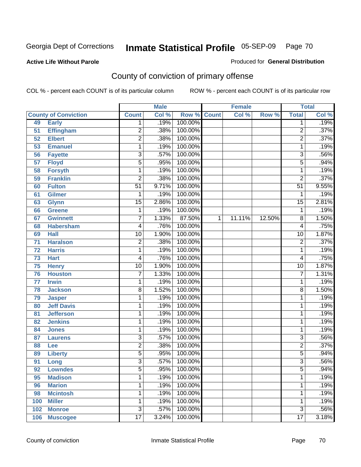Produced for **General Distribution**

### **Active Life Without Parole**

# County of conviction of primary offense

|                 |                             |                 | <b>Male</b> |             |   | <b>Female</b> |        |                 | <b>Total</b> |
|-----------------|-----------------------------|-----------------|-------------|-------------|---|---------------|--------|-----------------|--------------|
|                 | <b>County of Conviction</b> | <b>Count</b>    | Col %       | Row % Count |   | Col %         | Row %  | <b>Total</b>    | Col %        |
| 49              | <b>Early</b>                | 1               | .19%        | 100.00%     |   |               |        | $\overline{1}$  | .19%         |
| 51              | <b>Effingham</b>            | $\overline{2}$  | .38%        | 100.00%     |   |               |        | $\overline{2}$  | .37%         |
| 52              | <b>Elbert</b>               | $\overline{2}$  | .38%        | 100.00%     |   |               |        | $\overline{2}$  | .37%         |
| 53              | <b>Emanuel</b>              | 1               | .19%        | 100.00%     |   |               |        | 1               | .19%         |
| 56              | <b>Fayette</b>              | $\overline{3}$  | .57%        | 100.00%     |   |               |        | $\overline{3}$  | .56%         |
| 57              | <b>Floyd</b>                | $\overline{5}$  | .95%        | 100.00%     |   |               |        | $\overline{5}$  | .94%         |
| 58              | <b>Forsyth</b>              | 1               | .19%        | 100.00%     |   |               |        | $\mathbf{1}$    | .19%         |
| 59              | <b>Franklin</b>             | $\overline{2}$  | .38%        | 100.00%     |   |               |        | $\overline{2}$  | .37%         |
| 60              | <b>Fulton</b>               | $\overline{51}$ | 9.71%       | 100.00%     |   |               |        | $\overline{51}$ | 9.55%        |
| 61              | <b>Gilmer</b>               | 1               | .19%        | 100.00%     |   |               |        | 1               | .19%         |
| 63              | <b>Glynn</b>                | $\overline{15}$ | 2.86%       | 100.00%     |   |               |        | 15              | 2.81%        |
| 66              | <b>Greene</b>               | 1               | .19%        | 100.00%     |   |               |        | 1               | .19%         |
| 67              | <b>Gwinnett</b>             | $\overline{7}$  | 1.33%       | 87.50%      | 1 | 11.11%        | 12.50% | $\overline{8}$  | 1.50%        |
| 68              | <b>Habersham</b>            | 4               | .76%        | 100.00%     |   |               |        | 4               | .75%         |
| 69              | <b>Hall</b>                 | $\overline{10}$ | 1.90%       | 100.00%     |   |               |        | $\overline{10}$ | 1.87%        |
| 71              | <b>Haralson</b>             | $\overline{2}$  | .38%        | 100.00%     |   |               |        | $\overline{2}$  | .37%         |
| 72              | <b>Harris</b>               | 1               | .19%        | 100.00%     |   |               |        | 1               | .19%         |
| 73              | <b>Hart</b>                 | 4               | .76%        | 100.00%     |   |               |        | 4               | .75%         |
| 75              | <b>Henry</b>                | $\overline{10}$ | 1.90%       | 100.00%     |   |               |        | 10              | 1.87%        |
| 76              | <b>Houston</b>              | 7               | 1.33%       | 100.00%     |   |               |        | 7               | 1.31%        |
| $\overline{77}$ | <b>Irwin</b>                | 1               | .19%        | 100.00%     |   |               |        | $\mathbf{1}$    | .19%         |
| 78              | <b>Jackson</b>              | $\overline{8}$  | 1.52%       | 100.00%     |   |               |        | 8               | 1.50%        |
| 79              | <b>Jasper</b>               | 1               | .19%        | 100.00%     |   |               |        | 1               | .19%         |
| 80              | <b>Jeff Davis</b>           | 1               | .19%        | 100.00%     |   |               |        | 1               | .19%         |
| 81              | <b>Jefferson</b>            | 1               | .19%        | 100.00%     |   |               |        | 1               | .19%         |
| 82              | <b>Jenkins</b>              | 1               | .19%        | 100.00%     |   |               |        | 1               | .19%         |
| 84              | <b>Jones</b>                | 1               | .19%        | 100.00%     |   |               |        | $\mathbf 1$     | .19%         |
| 87              | <b>Laurens</b>              | 3               | .57%        | 100.00%     |   |               |        | 3               | .56%         |
| 88              | Lee                         | $\overline{2}$  | .38%        | 100.00%     |   |               |        | $\overline{2}$  | .37%         |
| 89              | <b>Liberty</b>              | $\overline{5}$  | .95%        | 100.00%     |   |               |        | $\overline{5}$  | .94%         |
| 91              | Long                        | $\overline{3}$  | .57%        | 100.00%     |   |               |        | $\overline{3}$  | .56%         |
| 92              | <b>Lowndes</b>              | 5               | .95%        | 100.00%     |   |               |        | 5               | .94%         |
| 95              | <b>Madison</b>              | 1               | .19%        | 100.00%     |   |               |        | 1               | .19%         |
| 96              | <b>Marion</b>               | 1               | .19%        | 100.00%     |   |               |        | 1               | .19%         |
| 98              | <b>Mcintosh</b>             | 1               | .19%        | 100.00%     |   |               |        | 1               | .19%         |
| 100             | <b>Miller</b>               | 1               | .19%        | 100.00%     |   |               |        | 1               | .19%         |
| 102             | <b>Monroe</b>               | $\overline{3}$  | .57%        | 100.00%     |   |               |        | $\overline{3}$  | .56%         |
| 106             | <b>Muscogee</b>             | $\overline{17}$ | 3.24%       | 100.00%     |   |               |        | $\overline{17}$ | 3.18%        |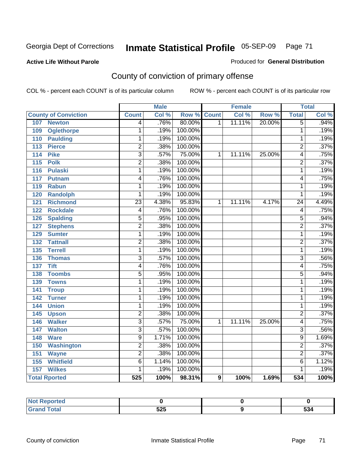### **Active Life Without Parole**

## Produced for **General Distribution**

## County of conviction of primary offense

|                                     |                         | <b>Male</b> |         |              | <b>Female</b> |        |                 | <b>Total</b> |
|-------------------------------------|-------------------------|-------------|---------|--------------|---------------|--------|-----------------|--------------|
| <b>County of Conviction</b>         | <b>Count</b>            | Col %       | Row %   | <b>Count</b> | Col %         | Row %  | <b>Total</b>    | Col %        |
| 107<br><b>Newton</b>                | 4                       | .76%        | 80.00%  | $\mathbf 1$  | 11.11%        | 20.00% | $\overline{5}$  | .94%         |
| <b>Oglethorpe</b><br>109            | 1                       | .19%        | 100.00% |              |               |        | 1               | .19%         |
| $\overline{110}$<br><b>Paulding</b> | 1                       | .19%        | 100.00% |              |               |        | 1               | .19%         |
| 113<br><b>Pierce</b>                | $\overline{2}$          | .38%        | 100.00% |              |               |        | $\overline{2}$  | .37%         |
| 114<br><b>Pike</b>                  | $\overline{3}$          | .57%        | 75.00%  | 1            | 11.11%        | 25.00% | $\overline{4}$  | .75%         |
| $\overline{115}$<br><b>Polk</b>     | $\overline{2}$          | .38%        | 100.00% |              |               |        | $\overline{2}$  | .37%         |
| 116<br><b>Pulaski</b>               | 1                       | .19%        | 100.00% |              |               |        | $\overline{1}$  | .19%         |
| 117<br><b>Putnam</b>                | 4                       | .76%        | 100.00% |              |               |        | $\overline{4}$  | .75%         |
| <b>Rabun</b><br>119                 | 1                       | .19%        | 100.00% |              |               |        | 1               | .19%         |
| <b>Randolph</b><br>120              | 1                       | .19%        | 100.00% |              |               |        | 1               | .19%         |
| <b>Richmond</b><br>121              | $\overline{23}$         | 4.38%       | 95.83%  | $\mathbf{1}$ | 11.11%        | 4.17%  | $\overline{24}$ | 4.49%        |
| <b>Rockdale</b><br>122              | 4                       | .76%        | 100.00% |              |               |        | $\overline{4}$  | .75%         |
| 126<br><b>Spalding</b>              | $\overline{5}$          | .95%        | 100.00% |              |               |        | $\overline{5}$  | .94%         |
| <b>Stephens</b><br>127              | $\overline{2}$          | .38%        | 100.00% |              |               |        | $\overline{2}$  | .37%         |
| <b>Sumter</b><br>129                | 1                       | .19%        | 100.00% |              |               |        | $\overline{1}$  | .19%         |
| <b>Tattnall</b><br>132              | $\overline{2}$          | .38%        | 100.00% |              |               |        | $\overline{2}$  | .37%         |
| <b>Terrell</b><br>135               | 1                       | .19%        | 100.00% |              |               |        | 1               | .19%         |
| 136<br><b>Thomas</b>                | 3                       | .57%        | 100.00% |              |               |        | 3               | .56%         |
| <b>Tift</b><br>137                  | $\overline{4}$          | .76%        | 100.00% |              |               |        | $\overline{4}$  | .75%         |
| $138$<br><b>Toombs</b>              | $\overline{5}$          | .95%        | 100.00% |              |               |        | $\overline{5}$  | .94%         |
| 139<br><b>Towns</b>                 | 1                       | .19%        | 100.00% |              |               |        | $\overline{1}$  | .19%         |
| 141<br><b>Troup</b>                 | 1                       | .19%        | 100.00% |              |               |        | $\mathbf{1}$    | .19%         |
| <b>Turner</b><br>142                | 1                       | .19%        | 100.00% |              |               |        | 1               | .19%         |
| <b>Union</b><br>144                 | 1                       | .19%        | 100.00% |              |               |        | 1               | .19%         |
| 145<br><b>Upson</b>                 | $\overline{2}$          | .38%        | 100.00% |              |               |        | $\overline{2}$  | .37%         |
| <b>Walker</b><br>146                | $\overline{\mathbf{3}}$ | .57%        | 75.00%  | $\mathbf{1}$ | 11.11%        | 25.00% | $\overline{4}$  | .75%         |
| $\overline{147}$<br><b>Walton</b>   | $\overline{3}$          | .57%        | 100.00% |              |               |        | $\overline{3}$  | .56%         |
| <b>Ware</b><br>148                  | $\overline{9}$          | 1.71%       | 100.00% |              |               |        | $\overline{9}$  | 1.69%        |
| 150<br>Washington                   | $\overline{2}$          | .38%        | 100.00% |              |               |        | $\overline{2}$  | .37%         |
| 151<br><b>Wayne</b>                 | $\overline{2}$          | .38%        | 100.00% |              |               |        | $\overline{2}$  | .37%         |
| <b>Whitfield</b><br>155             | $\overline{6}$          | 1.14%       | 100.00% |              |               |        | $\overline{6}$  | 1.12%        |
| 157<br><b>Wilkes</b>                | 1                       | .19%        | 100.00% |              |               |        | 1               | .19%         |
| <b>Total Rported</b>                | 525                     | 100%        | 98.31%  | 9            | 100%          | 1.69%  | 534             | 100%         |

| <b>NOT Reported</b> |          |           |
|---------------------|----------|-----------|
| <b>Total</b>        | につに<br>ື | -^<br>OO4 |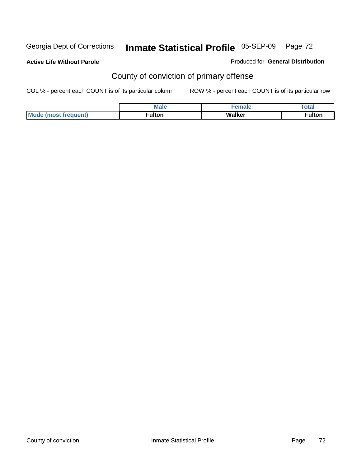**Active Life Without Parole** 

Produced for **General Distribution**

## County of conviction of primary offense

|                             | <b>Male</b> | emale  | $\tau$ otar |
|-----------------------------|-------------|--------|-------------|
| <b>Mode (most frequent)</b> | ™ulton      | Walker | ≂ulton      |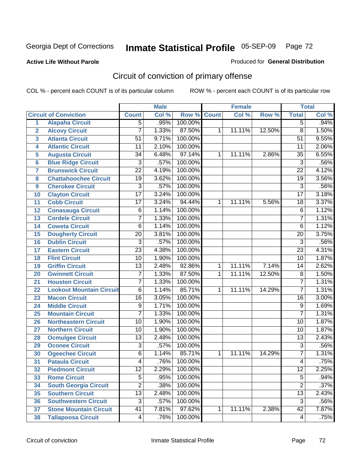**Active Life Without Parole** 

Produced for **General Distribution**

# Circuit of conviction of primary offense

|                 |                                 |                 | <b>Male</b> |             |              | <b>Female</b> |        |                 | <b>Total</b>               |
|-----------------|---------------------------------|-----------------|-------------|-------------|--------------|---------------|--------|-----------------|----------------------------|
|                 | <b>Circuit of Conviction</b>    | <b>Count</b>    | Col %       | Row % Count |              | Col %         | Row %  | <b>Total</b>    | $\overline{\text{Col }^9}$ |
| $\overline{1}$  | <b>Alapaha Circuit</b>          | $\overline{5}$  | .95%        | 100.00%     |              |               |        | 5               | .94%                       |
| $\overline{2}$  | <b>Alcovy Circuit</b>           | 7               | 1.33%       | 87.50%      | 1            | 11.11%        | 12.50% | $\overline{8}$  | 1.50%                      |
| 3               | <b>Atlanta Circuit</b>          | $\overline{51}$ | 9.71%       | 100.00%     |              |               |        | $\overline{51}$ | 9.55%                      |
| 4               | <b>Atlantic Circuit</b>         | 11              | 2.10%       | 100.00%     |              |               |        | 11              | 2.06%                      |
| 5               | <b>Augusta Circuit</b>          | $\overline{34}$ | 6.48%       | 97.14%      | 1            | 11.11%        | 2.86%  | $\overline{35}$ | 6.55%                      |
| $6\phantom{a}$  | <b>Blue Ridge Circuit</b>       | $\overline{3}$  | .57%        | 100.00%     |              |               |        | $\overline{3}$  | .56%                       |
| $\overline{7}$  | <b>Brunswick Circuit</b>        | $\overline{22}$ | 4.19%       | 100.00%     |              |               |        | $\overline{22}$ | 4.12%                      |
| 8               | <b>Chattahoochee Circuit</b>    | 19              | 3.62%       | 100.00%     |              |               |        | 19              | 3.56%                      |
| 9               | <b>Cherokee Circuit</b>         | $\overline{3}$  | .57%        | 100.00%     |              |               |        | $\overline{3}$  | .56%                       |
| 10              | <b>Clayton Circuit</b>          | $\overline{17}$ | 3.24%       | 100.00%     |              |               |        | $\overline{17}$ | 3.18%                      |
| 11              | <b>Cobb Circuit</b>             | $\overline{17}$ | 3.24%       | 94.44%      | 1            | 11.11%        | 5.56%  | $\overline{18}$ | 3.37%                      |
| 12              | <b>Conasauga Circuit</b>        | 6               | 1.14%       | 100.00%     |              |               |        | $\,6$           | 1.12%                      |
| $\overline{13}$ | <b>Cordele Circuit</b>          | $\overline{7}$  | 1.33%       | 100.00%     |              |               |        | $\overline{7}$  | 1.31%                      |
| 14              | <b>Coweta Circuit</b>           | $\overline{6}$  | 1.14%       | 100.00%     |              |               |        | $\overline{6}$  | 1.12%                      |
| 15              | <b>Dougherty Circuit</b>        | $\overline{20}$ | 3.81%       | 100.00%     |              |               |        | $\overline{20}$ | 3.75%                      |
| 16              | <b>Dublin Circuit</b>           | $\overline{3}$  | .57%        | 100.00%     |              |               |        | $\overline{3}$  | .56%                       |
| 17              | <b>Eastern Circuit</b>          | $\overline{23}$ | 4.38%       | 100.00%     |              |               |        | $\overline{23}$ | 4.31%                      |
| 18              | <b>Flint Circuit</b>            | 10              | 1.90%       | 100.00%     |              |               |        | 10              | 1.87%                      |
| 19              | <b>Griffin Circuit</b>          | $\overline{13}$ | 2.48%       | 92.86%      | $\mathbf{1}$ | 11.11%        | 7.14%  | $\overline{14}$ | 2.62%                      |
| 20              | <b>Gwinnett Circuit</b>         | 7               | 1.33%       | 87.50%      | $\mathbf 1$  | 11.11%        | 12.50% | 8               | 1.50%                      |
| 21              | <b>Houston Circuit</b>          | 7               | 1.33%       | 100.00%     |              |               |        | $\overline{7}$  | 1.31%                      |
| 22              | <b>Lookout Mountain Circuit</b> | $\overline{6}$  | 1.14%       | 85.71%      | 1            | 11.11%        | 14.29% | 7               | 1.31%                      |
| 23              | <b>Macon Circuit</b>            | $\overline{16}$ | 3.05%       | 100.00%     |              |               |        | $\overline{16}$ | 3.00%                      |
| 24              | <b>Middle Circuit</b>           | 9               | 1.71%       | 100.00%     |              |               |        | 9               | 1.69%                      |
| 25              | <b>Mountain Circuit</b>         | $\overline{7}$  | 1.33%       | 100.00%     |              |               |        | $\overline{7}$  | 1.31%                      |
| 26              | <b>Northeastern Circuit</b>     | $\overline{10}$ | 1.90%       | 100.00%     |              |               |        | $\overline{10}$ | 1.87%                      |
| 27              | <b>Northern Circuit</b>         | $\overline{10}$ | 1.90%       | 100.00%     |              |               |        | $\overline{10}$ | 1.87%                      |
| 28              | <b>Ocmulgee Circuit</b>         | $\overline{13}$ | 2.48%       | 100.00%     |              |               |        | $\overline{13}$ | 2.43%                      |
| 29              | <b>Oconee Circuit</b>           | $\overline{3}$  | .57%        | 100.00%     |              |               |        | $\overline{3}$  | .56%                       |
| 30              | <b>Ogeechee Circuit</b>         | $\overline{6}$  | 1.14%       | 85.71%      | 1            | 11.11%        | 14.29% | $\overline{7}$  | 1.31%                      |
| 31              | <b>Pataula Circuit</b>          | 4               | .76%        | 100.00%     |              |               |        | 4               | .75%                       |
| 32              | <b>Piedmont Circuit</b>         | 12              | 2.29%       | 100.00%     |              |               |        | 12              | 2.25%                      |
| 33              | <b>Rome Circuit</b>             | $\overline{5}$  | .95%        | 100.00%     |              |               |        | $\overline{5}$  | .94%                       |
| 34              | <b>South Georgia Circuit</b>    | $\overline{2}$  | .38%        | 100.00%     |              |               |        | $\overline{2}$  | .37%                       |
| 35              | <b>Southern Circuit</b>         | $\overline{13}$ | 2.48%       | 100.00%     |              |               |        | $\overline{13}$ | 2.43%                      |
| 36              | <b>Southwestern Circuit</b>     | 3               | .57%        | 100.00%     |              |               |        | 3               | .56%                       |
| 37              | <b>Stone Mountain Circuit</b>   | 41              | 7.81%       | 97.62%      | 1            | 11.11%        | 2.38%  | $\overline{42}$ | 7.87%                      |
| 38              | <b>Tallapoosa Circuit</b>       | 4               | .76%        | 100.00%     |              |               |        | 4               | .75%                       |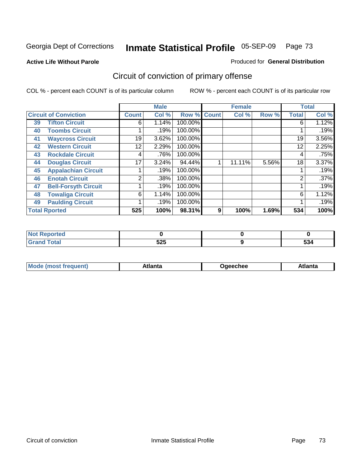**Active Life Without Parole** 

Produced for **General Distribution**

# Circuit of conviction of primary offense

|                              |                             |              | <b>Male</b> |             |   | <b>Female</b> |       |              | <b>Total</b> |
|------------------------------|-----------------------------|--------------|-------------|-------------|---|---------------|-------|--------------|--------------|
| <b>Circuit of Conviction</b> |                             | <b>Count</b> | Col %       | Row % Count |   | Col %         | Row % | <b>Total</b> | Col %        |
| 39                           | <b>Tifton Circuit</b>       | 6            | 1.14%       | 100.00%     |   |               |       | 6            | 1.12%        |
| 40                           | <b>Toombs Circuit</b>       |              | .19%        | 100.00%     |   |               |       |              | .19%         |
| 41                           | <b>Waycross Circuit</b>     | 19           | 3.62%       | 100.00%     |   |               |       | 19           | 3.56%        |
| 42                           | <b>Western Circuit</b>      | 12           | 2.29%       | 100.00%     |   |               |       | 12           | 2.25%        |
| 43                           | <b>Rockdale Circuit</b>     | 4            | .76%        | 100.00%     |   |               |       | 4            | .75%         |
| 44                           | <b>Douglas Circuit</b>      | 17           | 3.24%       | 94.44%      |   | 11.11%        | 5.56% | 18           | 3.37%        |
| 45                           | <b>Appalachian Circuit</b>  |              | .19%        | 100.00%     |   |               |       |              | .19%         |
| 46                           | <b>Enotah Circuit</b>       | 2            | .38%        | 100.00%     |   |               |       | 2            | .37%         |
| 47                           | <b>Bell-Forsyth Circuit</b> |              | .19%        | 100.00%     |   |               |       |              | .19%         |
| 48                           | <b>Towaliga Circuit</b>     | 6            | 1.14%       | 100.00%     |   |               |       | 6            | 1.12%        |
| 49                           | <b>Paulding Circuit</b>     |              | .19%        | 100.00%     |   |               |       |              | .19%         |
| <b>Total Rported</b>         |                             | 525          | 100%        | 98.31%      | 9 | 100%          | 1.69% | 534          | 100%         |

| لمنتشر بالتعبين<br>onted |            |             |
|--------------------------|------------|-------------|
| $C = 1$                  | よつよ<br>ວ∠ວ | -- -<br>OO4 |

|  | M | *****<br>⊡alilu | chee | .<br>''ILC |
|--|---|-----------------|------|------------|
|--|---|-----------------|------|------------|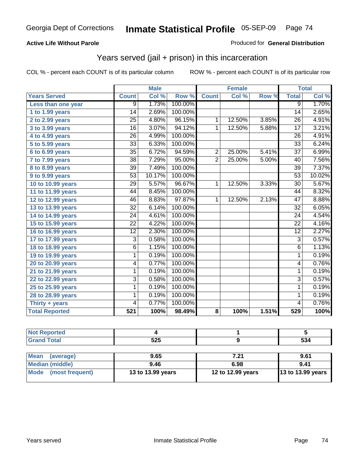#### **Active Life Without Parole**

#### Produced for **General Distribution**

## Years served (jail + prison) in this incarceration

|                       |                  | <b>Male</b> |         |                | <b>Female</b> |       |                 | <b>Total</b> |
|-----------------------|------------------|-------------|---------|----------------|---------------|-------|-----------------|--------------|
| <b>Years Served</b>   | <b>Count</b>     | Col %       | Row %   | <b>Count</b>   | Col %         | Row % | <b>Total</b>    | Col %        |
| Less than one year    | 9                | 1.73%       | 100.00% |                |               |       | 9               | 1.70%        |
| 1 to 1.99 years       | 14               | 2.69%       | 100.00% |                |               |       | 14              | 2.65%        |
| 2 to 2.99 years       | $\overline{25}$  | 4.80%       | 96.15%  | $\mathbf{1}$   | 12.50%        | 3.85% | $\overline{26}$ | 4.91%        |
| 3 to 3.99 years       | $\overline{16}$  | 3.07%       | 94.12%  | $\mathbf{1}$   | 12.50%        | 5.88% | $\overline{17}$ | 3.21%        |
| 4 to 4.99 years       | $\overline{26}$  | 4.99%       | 100.00% |                |               |       | $\overline{26}$ | 4.91%        |
| 5 to 5.99 years       | $\overline{33}$  | 6.33%       | 100.00% |                |               |       | 33              | 6.24%        |
| 6 to 6.99 years       | $\overline{35}$  | 6.72%       | 94.59%  | $\overline{2}$ | 25.00%        | 5.41% | $\overline{37}$ | 6.99%        |
| 7 to 7.99 years       | $\overline{38}$  | 7.29%       | 95.00%  | $\overline{2}$ | 25.00%        | 5.00% | 40              | 7.56%        |
| 8 to 8.99 years       | $\overline{39}$  | 7.49%       | 100.00% |                |               |       | $\overline{39}$ | 7.37%        |
| 9 to 9.99 years       | $\overline{53}$  | 10.17%      | 100.00% |                |               |       | $\overline{53}$ | 10.02%       |
| 10 to 10.99 years     | $\overline{29}$  | 5.57%       | 96.67%  | $\mathbf{1}$   | 12.50%        | 3.33% | 30              | 5.67%        |
| 11 to 11.99 years     | 44               | 8.45%       | 100.00% |                |               |       | 44              | 8.32%        |
| 12 to 12.99 years     | 46               | 8.83%       | 97.87%  | 1              | 12.50%        | 2.13% | 47              | 8.88%        |
| 13 to 13.99 years     | $\overline{32}$  | 6.14%       | 100.00% |                |               |       | $\overline{32}$ | 6.05%        |
| 14 to 14.99 years     | $\overline{24}$  | 4.61%       | 100.00% |                |               |       | 24              | 4.54%        |
| 15 to 15.99 years     | $\overline{22}$  | 4.22%       | 100.00% |                |               |       | $\overline{22}$ | 4.16%        |
| 16 to 16.99 years     | $\overline{12}$  | 2.30%       | 100.00% |                |               |       | $\overline{12}$ | 2.27%        |
| 17 to 17.99 years     | $\overline{3}$   | 0.58%       | 100.00% |                |               |       | $\overline{3}$  | 0.57%        |
| 18 to 18.99 years     | $\overline{6}$   | 1.15%       | 100.00% |                |               |       | $\overline{6}$  | 1.13%        |
| 19 to 19.99 years     | 1                | 0.19%       | 100.00% |                |               |       | 1               | 0.19%        |
| 20 to 20.99 years     | 4                | 0.77%       | 100.00% |                |               |       | 4               | 0.76%        |
| 21 to 21.99 years     | 1                | 0.19%       | 100.00% |                |               |       | 1               | 0.19%        |
| 22 to 22.99 years     | $\overline{3}$   | 0.58%       | 100.00% |                |               |       | $\overline{3}$  | 0.57%        |
| 25 to 25.99 years     | 1                | 0.19%       | 100.00% |                |               |       | 1               | 0.19%        |
| 28 to 28.99 years     | 1                | 0.19%       | 100.00% |                |               |       | 1               | 0.19%        |
| Thirty + years        | 4                | 0.77%       | 100.00% |                |               |       | $\overline{4}$  | 0.76%        |
| <b>Total Reported</b> | $\overline{521}$ | 100%        | 98.49%  | 8              | 100%          | 1.51% | 529             | 100%         |

| <b>Not Reported</b>            |                   |                   |                   |
|--------------------------------|-------------------|-------------------|-------------------|
| <b>Grand Total</b>             | 525               |                   | 534               |
|                                |                   |                   |                   |
| <b>Mean</b><br>(average)       | 9.65              | 7.21              | 9.61              |
| Median (middle)                | 9.46              | 6.98              | 9.41              |
| <b>Mode</b><br>(most frequent) | 13 to 13.99 years | 12 to 12.99 years | 13 to 13.99 years |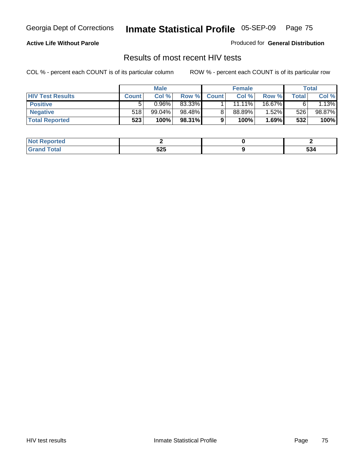### **Active Life Without Parole**

Produced for **General Distribution**

### Results of most recent HIV tests

|                         |              | <b>Male</b> |        |              | <b>Female</b> |        |       | <b>Total</b> |
|-------------------------|--------------|-------------|--------|--------------|---------------|--------|-------|--------------|
| <b>HIV Test Results</b> | <b>Count</b> | Col %       | Row %  | <b>Count</b> | Col %         | Row %  | Total | Col %        |
| <b>Positive</b>         | 5            | $0.96\%$    | 83.33% |              | 11.11%        | 16.67% |       | $1.13\%$     |
| <b>Negative</b>         | 518          | $99.04\%$   | 98.48% |              | $88.89\%$     | 1.52%  | 526   | 98.87%       |
| <b>Total Reported</b>   | 523          | 100%        | 98.31% |              | 100%          | 1.69%  | 532   | 100%         |

| <b>Not Reported</b> |     |             |
|---------------------|-----|-------------|
| <b>Grand Total</b>  | 525 | -^ *<br>უა4 |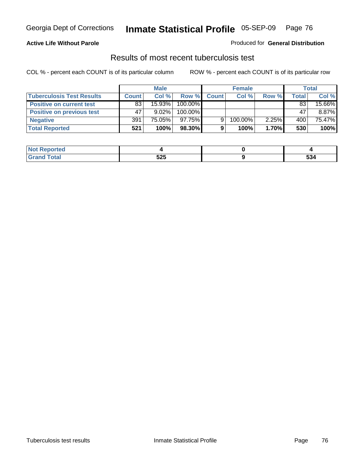### **Active Life Without Parole**

#### Produced for **General Distribution**

### Results of most recent tuberculosis test

|                                  |              | <b>Male</b> |           |              | <b>Female</b> |       |       | Total  |
|----------------------------------|--------------|-------------|-----------|--------------|---------------|-------|-------|--------|
| <b>Tuberculosis Test Results</b> | <b>Count</b> | Col%        | Row %     | <b>Count</b> | Col%          | Row % | Total | Col %  |
| <b>Positive on current test</b>  | 83           | 15.93%      | 100.00%   |              |               |       | 83    | 15.66% |
| <b>Positive on previous test</b> | 47           | $9.02\%$    | 100.00%   |              |               |       | 47    | 8.87%  |
| <b>Negative</b>                  | 391          | 75.05%      | $97.75\%$ | 9            | 100.00%       | 2.25% | 400   | 75.47% |
| <b>Total Reported</b>            | 521          | 100%        | 98.30%    |              | 100%          | 1.70% | 530   | 100%   |

| <b>Reported</b><br><b>NOT</b> |     |                  |
|-------------------------------|-----|------------------|
| <b>Total</b>                  | 525 | <b>FA</b><br>534 |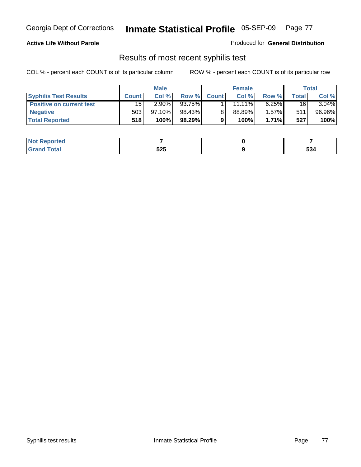### **Active Life Without Parole**

Produced for **General Distribution**

### Results of most recent syphilis test

|                                 |              | <b>Male</b> |        |              | <b>Female</b> |          |              | Total  |
|---------------------------------|--------------|-------------|--------|--------------|---------------|----------|--------------|--------|
| <b>Syphilis Test Results</b>    | <b>Count</b> | Col %       | Row %  | <b>Count</b> | Col %         | Row %    | <b>Total</b> | Col %  |
| <b>Positive on current test</b> | 15           | $2.90\%$    | 93.75% |              | $11.11\%$     | $6.25\%$ | 16           | 3.04%  |
| <b>Negative</b>                 | 503          | $97.10\%$   | 98.43% |              | 88.89%        | $1.57\%$ | 511          | 96.96% |
| <b>Total Reported</b>           | 518          | 100%        | 98.29% |              | 100%          | 1.71%    | 527          | 100%   |

| <b>Not Reported</b> |     |           |
|---------------------|-----|-----------|
| <b>Total</b>        | 525 | -^<br>აა4 |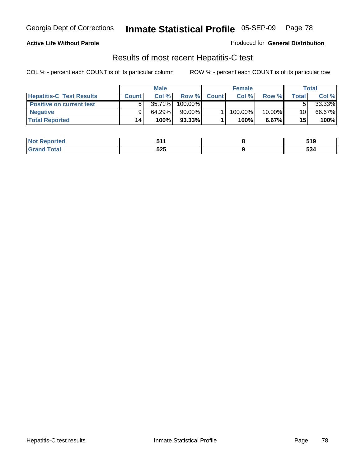### **Active Life Without Parole**

Produced for **General Distribution**

### Results of most recent Hepatitis-C test

|                                 |              | <b>Male</b> |           |              | <b>Female</b> |           |       | Total  |
|---------------------------------|--------------|-------------|-----------|--------------|---------------|-----------|-------|--------|
| <b>Hepatitis-C Test Results</b> | <b>Count</b> | Col %       | Row %     | <b>Count</b> | Col %         | Row %     | Total | Col %  |
| <b>Positive on current test</b> |              | $35.71\%$   | 100.00%   |              |               |           |       | 33.33% |
| <b>Negative</b>                 |              | 64.29%      | $90.00\%$ |              | 100.00%       | $10.00\%$ | 10    | 66.67% |
| <b>Total Reported</b>           | 14           | 100%        | 93.33%    |              | 100%          | 6.67%     | 15    | 100%   |

| <b>Not</b><br>Reported | 74 4. | 540<br>JIJ |
|------------------------|-------|------------|
| <b>Total</b>           | 525   | -^<br>აა4  |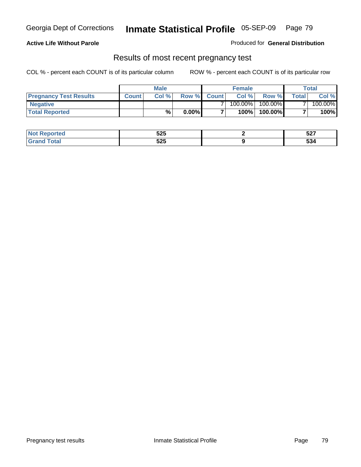#### **Active Life Without Parole**

Produced for **General Distribution**

### Results of most recent pregnancy test

|                               | <b>Male</b>  |      |          | <b>Female</b>  |            |         | <b>Total</b>   |         |
|-------------------------------|--------------|------|----------|----------------|------------|---------|----------------|---------|
| <b>Pregnancy Test Results</b> | <b>Count</b> | Col% | Row %    | <b>Count</b> Ⅰ | Col %      | Row %   | <b>Total</b> I | Col %   |
| <b>Negative</b>               |              |      |          |                | $100.00\%$ | 100.00% |                | 100.00% |
| <b>Total Reported</b>         |              | %    | $0.00\%$ |                | 100%       | 100.00% |                | 100%    |

| rted             | 525 | <b>FA7</b><br>JZ 1 |
|------------------|-----|--------------------|
| <b>otal</b><br>. | 525 | -^<br><b>JJ4</b>   |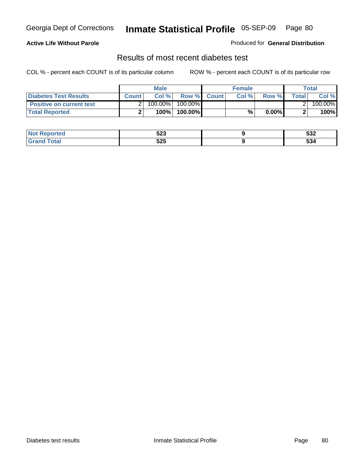### **Active Life Without Parole**

#### Produced for **General Distribution**

### Results of most recent diabetes test

|                                 |              | <b>Male</b> |                  | <b>Female</b> |          |       | Total   |
|---------------------------------|--------------|-------------|------------------|---------------|----------|-------|---------|
| <b>Diabetes Test Results</b>    | <b>Count</b> | Col %       | Row % Count      | Col %         | Row %    | Total | Col %   |
| <b>Positive on current test</b> |              | $100.00\%$  | 100.00% <b>I</b> |               |          |       | 100.00% |
| <b>Total Reported</b>           |              | $100\%$     | 100.00%          | %             | $0.00\%$ |       | 100%    |

| <b>Not Reported</b> | にへへ<br>ວ∠ວ | <b>EOO</b><br>ວວ∠ |
|---------------------|------------|-------------------|
| <b>Grand Total</b>  | 525        | ra 1<br>534       |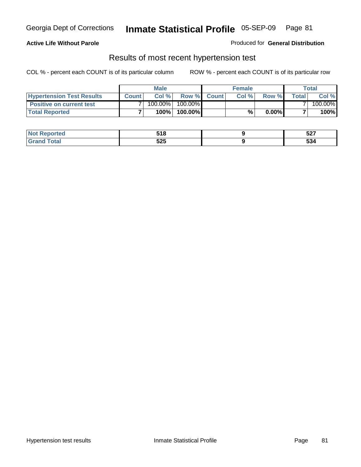### **Active Life Without Parole**

#### Produced for **General Distribution**

### Results of most recent hypertension test

|                                  |              | <b>Male</b> |                    | <b>Female</b> |          |        | Total   |
|----------------------------------|--------------|-------------|--------------------|---------------|----------|--------|---------|
| <b>Hypertension Test Results</b> | <b>Count</b> | Col %       | <b>Row % Count</b> | Col %         | Row %    | Totall | Col %   |
| <b>Positive on current test</b>  |              | 100.00%     | $100.00\%$         |               |          |        | 100.00% |
| <b>Total Reported</b>            |              | 100%        | 100.00%            | %             | $0.00\%$ |        | 100%    |

| <b>rted</b> | E4 0<br>JIU | <b>FA7</b><br><u>ว∠เ</u> |
|-------------|-------------|--------------------------|
| <b>ota</b>  | 525         | <b>FA</b><br>უაგ         |